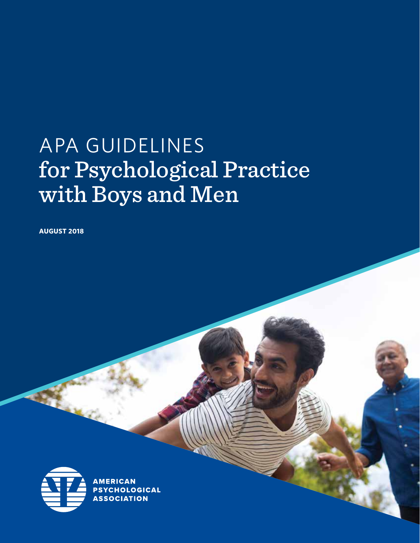# APA GUIDELINES for Psychological Practice with Boys and Men

**AUGUST 2018**

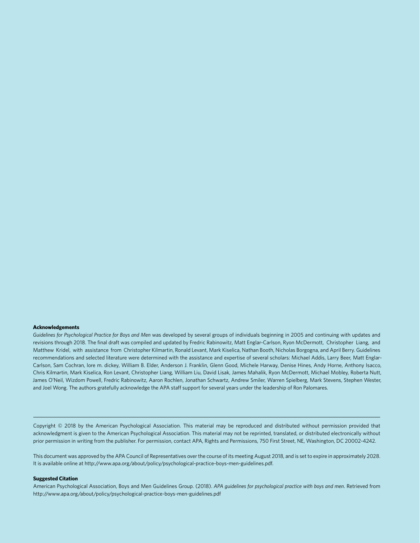#### **Acknowledgements**

Guidelines for Psychological Practice for Boys and Men was developed by several groups of individuals beginning in 2005 and continuing with updates and revisions through 2018. The final draft was compiled and updated by Fredric Rabinowitz, Matt Englar-Carlson, Ryon McDermott, Christopher Liang, and Matthew Kridel, with assistance from Christopher Kilmartin, Ronald Levant, Mark Kiselica, Nathan Booth, Nicholas Borgogna, and April Berry. Guidelines recommendations and selected literature were determined with the assistance and expertise of several scholars: Michael Addis, Larry Beer, Matt Englar-Carlson, Sam Cochran, lore m. dickey, William B. Elder, Anderson J. Franklin, Glenn Good, Michele Harway, Denise Hines, Andy Horne, Anthony Isacco, Chris Kilmartin, Mark Kiselica, Ron Levant, Christopher Liang, William Liu, David Lisak, James Mahalik, Ryon McDermott, Michael Mobley, Roberta Nutt, James O'Neil, Wizdom Powell, Fredric Rabinowitz, Aaron Rochlen, Jonathan Schwartz, Andrew Smiler, Warren Spielberg, Mark Stevens, Stephen Wester, and Joel Wong. The authors gratefully acknowledge the APA staff support for several years under the leadership of Ron Palomares.

Copyright © 2018 by the American Psychological Association. This material may be reproduced and distributed without permission provided that acknowledgment is given to the American Psychological Association. This material may not be reprinted, translated, or distributed electronically without prior permission in writing from the publisher. For permission, contact APA, Rights and Permissions, 750 First Street, NE, Washington, DC 20002-4242.

This document was approved by the APA Council of Representatives over the course of its meeting August 2018, and is set to expire in approximately 2028. It is available online at http://www.apa.org/about/policy/psychological-practice-boys-men-guidelines.pdf.

#### **Suggested Citation**

American Psychological Association, Boys and Men Guidelines Group. (2018). *APA guidelines for psychological practice with boys and men*. Retrieved from http://www.apa.org/about/policy/psychological-practice-boys-men-guidelines.pdf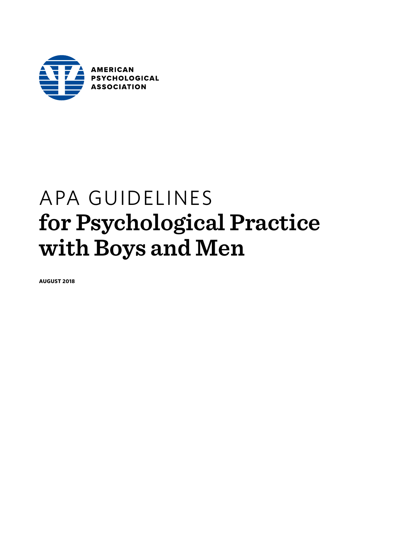

## APA GUIDELINES **for Psychological Practice with Boys and Men**

**AUGUST 2018**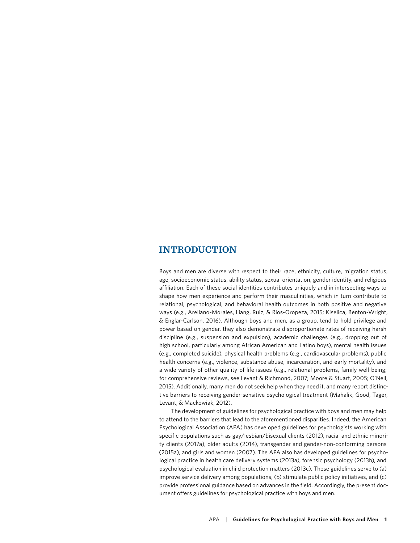## **INTRODUCTION**

Boys and men are diverse with respect to their race, ethnicity, culture, migration status, age, socioeconomic status, ability status, sexual orientation, gender identity, and religious affiliation. Each of these social identities contributes uniquely and in intersecting ways to shape how men experience and perform their masculinities, which in turn contribute to relational, psychological, and behavioral health outcomes in both positive and negative ways (e.g., Arellano-Morales, Liang, Ruiz, & Rios-Oropeza, 2015; Kiselica, Benton-Wright, & Englar-Carlson, 2016). Although boys and men, as a group, tend to hold privilege and power based on gender, they also demonstrate disproportionate rates of receiving harsh discipline (e.g., suspension and expulsion), academic challenges (e.g., dropping out of high school, particularly among African American and Latino boys), mental health issues (e.g., completed suicide), physical health problems (e.g., cardiovascular problems), public health concerns (e.g., violence, substance abuse, incarceration, and early mortality), and a wide variety of other quality-of-life issues (e.g., relational problems, family well-being; for comprehensive reviews, see Levant & Richmond, 2007; Moore & Stuart, 2005; O'Neil, 2015). Additionally, many men do not seek help when they need it, and many report distinctive barriers to receiving gender-sensitive psychological treatment (Mahalik, Good, Tager, Levant, & Mackowiak, 2012).

The development of guidelines for psychological practice with boys and men may help to attend to the barriers that lead to the aforementioned disparities. Indeed, the American Psychological Association (APA) has developed guidelines for psychologists working with specific populations such as gay/lesbian/bisexual clients (2012), racial and ethnic minority clients (2017a), older adults (2014), transgender and gender-non-conforming persons (2015a), and girls and women (2007). The APA also has developed guidelines for psychological practice in health care delivery systems (2013a), forensic psychology (2013b), and psychological evaluation in child protection matters (2013c). These guidelines serve to (a) improve service delivery among populations, (b) stimulate public policy initiatives, and (c) provide professional guidance based on advances in the field. Accordingly, the present document offers guidelines for psychological practice with boys and men.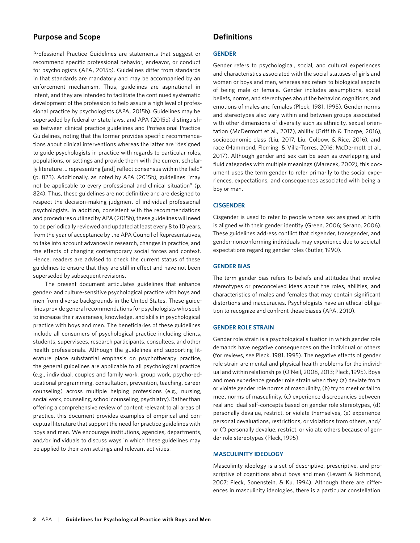## **Purpose and Scope**

Professional Practice Guidelines are statements that suggest or recommend specific professional behavior, endeavor, or conduct for psychologists (APA, 2015b). Guidelines differ from standards in that standards are mandatory and may be accompanied by an enforcement mechanism. Thus, guidelines are aspirational in intent, and they are intended to facilitate the continued systematic development of the profession to help assure a high level of professional practice by psychologists (APA, 2015b). Guidelines may be superseded by federal or state laws, and APA (2015b) distinguishes between clinical practice guidelines and Professional Practice Guidelines, noting that the former provides specific recommendations about clinical interventions whereas the latter are "designed to guide psychologists in practice with regards to particular roles, populations, or settings and provide them with the current scholarly literature … representing [and] reflect consensus within the field" (p. 823). Additionally, as noted by APA (2015b), guidelines "may not be applicable to every professional and clinical situation" (p. 824). Thus, these guidelines are not definitive and are designed to respect the decision-making judgment of individual professional psychologists. In addition, consistent with the recommendations and procedures outlined by APA (2015b), these guidelines will need to be periodically reviewed and updated at least every 8 to 10 years, from the year of acceptance by the APA Council of Representatives, to take into account advances in research, changes in practice, and the effects of changing contemporary social forces and context. Hence, readers are advised to check the current status of these guidelines to ensure that they are still in effect and have not been superseded by subsequent revisions.

The present document articulates guidelines that enhance gender- and culture-sensitive psychological practice with boys and men from diverse backgrounds in the United States. These guidelines provide general recommendations for psychologists who seek to increase their awareness, knowledge, and skills in psychological practice with boys and men. The beneficiaries of these guidelines include all consumers of psychological practice including clients, students, supervisees, research participants, consultees, and other health professionals. Although the guidelines and supporting literature place substantial emphasis on psychotherapy practice, the general guidelines are applicable to all psychological practice (e.g., individual, couples and family work, group work, psycho-educational programming, consultation, prevention, teaching, career counseling) across multiple helping professions (e.g., nursing, social work, counseling, school counseling, psychiatry). Rather than offering a comprehensive review of content relevant to all areas of practice, this document provides examples of empirical and conceptual literature that support the need for practice guidelines with boys and men. We encourage institutions, agencies, departments, and/or individuals to discuss ways in which these guidelines may be applied to their own settings and relevant activities.

### **Definitions**

#### **GENDER**

Gender refers to psychological, social, and cultural experiences and characteristics associated with the social statuses of girls and women or boys and men, whereas sex refers to biological aspects of being male or female. Gender includes assumptions, social beliefs, norms, and stereotypes about the behavior, cognitions, and emotions of males and females (Pleck, 1981, 1995). Gender norms and stereotypes also vary within and between groups associated with other dimensions of diversity such as ethnicity, sexual orientation (McDermott et al., 2017), ability (Griffith & Thorpe, 2016), socioeconomic class (Liu, 2017; Liu, Colbow, & Rice, 2016), and race (Hammond, Fleming, & Villa-Torres, 2016; McDermott et al., 2017). Although gender and sex can be seen as overlapping and fluid categories with multiple meanings (Marecek, 2002), this document uses the term gender to refer primarily to the social experiences, expectations, and consequences associated with being a boy or man.

#### **CISGENDER**

Cisgender is used to refer to people whose sex assigned at birth is aligned with their gender identity (Green, 2006; Serano, 2006). These guidelines address conflict that cisgender, transgender, and gender-nonconforming individuals may experience due to societal expectations regarding gender roles (Butler, 1990).

#### **GENDER BIAS**

The term gender bias refers to beliefs and attitudes that involve stereotypes or preconceived ideas about the roles, abilities, and characteristics of males and females that may contain significant distortions and inaccuracies. Psychologists have an ethical obligation to recognize and confront these biases (APA, 2010).

#### **GENDER ROLE STRAIN**

Gender role strain is a psychological situation in which gender role demands have negative consequences on the individual or others (for reviews, see Pleck, 1981, 1995). The negative effects of gender role strain are mental and physical health problems for the individual and within relationships (O'Neil, 2008, 2013; Pleck, 1995). Boys and men experience gender role strain when they (a) deviate from or violate gender role norms of masculinity, (b) try to meet or fail to meet norms of masculinity, (c) experience discrepancies between real and ideal self-concepts based on gender role stereotypes, (d) personally devalue, restrict, or violate themselves, (e) experience personal devaluations, restrictions, or violations from others, and/ or (f) personally devalue, restrict, or violate others because of gender role stereotypes (Pleck, 1995).

#### **MASCULINITY IDEOLOGY**

Masculinity ideology is a set of descriptive, prescriptive, and proscriptive of cognitions about boys and men (Levant & Richmond, 2007; Pleck, Sonenstein, & Ku, 1994). Although there are differences in masculinity ideologies, there is a particular constellation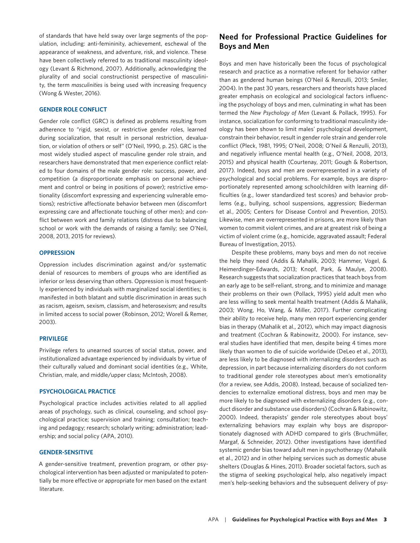of standards that have held sway over large segments of the population, including: anti-femininity, achievement, eschewal of the appearance of weakness, and adventure, risk, and violence. These have been collectively referred to as traditional masculinity ideology (Levant & Richmond, 2007). Additionally, acknowledging the plurality of and social constructionist perspective of masculinity, the term *masculinities* is being used with increasing frequency (Wong & Wester, 2016).

#### **GENDER ROLE CONFLICT**

Gender role conflict (GRC) is defined as problems resulting from adherence to "rigid, sexist, or restrictive gender roles, learned during socialization, that result in personal restriction, devaluation, or violation of others or self" (O'Neil, 1990, p. 25). GRC is the most widely studied aspect of masculine gender role strain, and researchers have demonstrated that men experience conflict related to four domains of the male gender role: success, power, and competition (a disproportionate emphasis on personal achievement and control or being in positions of power); restrictive emotionality (discomfort expressing and experiencing vulnerable emotions); restrictive affectionate behavior between men (discomfort expressing care and affectionate touching of other men); and conflict between work and family relations (distress due to balancing school or work with the demands of raising a family; see O'Neil, 2008, 2013, 2015 for reviews).

#### **OPPRESSION**

Oppression includes discrimination against and/or systematic denial of resources to members of groups who are identified as inferior or less deserving than others. Oppression is most frequently experienced by individuals with marginalized social identities; is manifested in both blatant and subtle discrimination in areas such as racism, ageism, sexism, classism, and heterosexism; and results in limited access to social power (Robinson, 2012; Worell & Remer, 2003).

#### **PRIVILEGE**

Privilege refers to unearned sources of social status, power, and institutionalized advantage experienced by individuals by virtue of their culturally valued and dominant social identities (e.g., White, Christian, male, and middle/upper class; McIntosh, 2008).

#### **PSYCHOLOGICAL PRACTICE**

Psychological practice includes activities related to all applied areas of psychology, such as clinical, counseling, and school psychological practice; supervision and training; consultation; teaching and pedagogy; research; scholarly writing; administration; leadership; and social policy (APA, 2010).

#### **GENDER-SENSITIVE**

A gender-sensitive treatment, prevention program, or other psychological intervention has been adjusted or manipulated to potentially be more effective or appropriate for men based on the extant literature.

## **Need for Professional Practice Guidelines for Boys and Men**

Boys and men have historically been the focus of psychological research and practice as a normative referent for behavior rather than as gendered human beings (O'Neil & Renzulli, 2013; Smiler, 2004). In the past 30 years, researchers and theorists have placed greater emphasis on ecological and sociological factors influencing the psychology of boys and men, culminating in what has been termed the *New Psychology of Men* (Levant & Pollack, 1995). For instance, socialization for conforming to traditional masculinity ideology has been shown to limit males' psychological development, constrain their behavior, result in gender role strain and gender role conflict (Pleck, 1981, 1995; O'Neil, 2008; O'Neil & Renzulli, 2013), and negatively influence mental health (e.g., O'Neil, 2008, 2013, 2015) and physical health (Courtenay, 2011; Gough & Robertson, 2017). Indeed, boys and men are overrepresented in a variety of psychological and social problems. For example, boys are disproportionately represented among schoolchildren with learning difficulties (e.g., lower standardized test scores) and behavior problems (e.g., bullying, school suspensions, aggression; Biederman et al., 2005; Centers for Disease Control and Prevention, 2015). Likewise, men are overrepresented in prisons, are more likely than women to commit violent crimes, and are at greatest risk of being a victim of violent crime (e.g., homicide, aggravated assault; Federal Bureau of Investigation, 2015).

Despite these problems, many boys and men do not receive the help they need (Addis & Mahalik, 2003; Hammer, Vogel, & Heimerdinger-Edwards, 2013; Knopf, Park, & Maulye, 2008). Research suggests that socialization practices that teach boys from an early age to be self-reliant, strong, and to minimize and manage their problems on their own (Pollack, 1995) yield adult men who are less willing to seek mental health treatment (Addis & Mahalik, 2003; Wong, Ho, Wang, & Miller, 2017). Further complicating their ability to receive help, many men report experiencing gender bias in therapy (Mahalik et al., 2012), which may impact diagnosis and treatment (Cochran & Rabinowitz, 2000). For instance, several studies have identified that men, despite being 4 times more likely than women to die of suicide worldwide (DeLeo et al., 2013), are less likely to be diagnosed with internalizing disorders such as depression, in part because internalizing disorders do not conform to traditional gender role stereotypes about men's emotionality (for a review, see Addis, 2008). Instead, because of socialized tendencies to externalize emotional distress, boys and men may be more likely to be diagnosed with externalizing disorders (e.g., conduct disorder and substance use disorders) (Cochran & Rabinowitz, 2000). Indeed, therapists' gender role stereotypes about boys' externalizing behaviors may explain why boys are disproportionately diagnosed with ADHD compared to girls (Bruchmüller, Margaf, & Schneider, 2012). Other investigations have identified systemic gender bias toward adult men in psychotherapy (Mahalik et al., 2012) and in other helping services such as domestic abuse shelters (Douglas & Hines, 2011). Broader societal factors, such as the stigma of seeking psychological help, also negatively impact men's help-seeking behaviors and the subsequent delivery of psy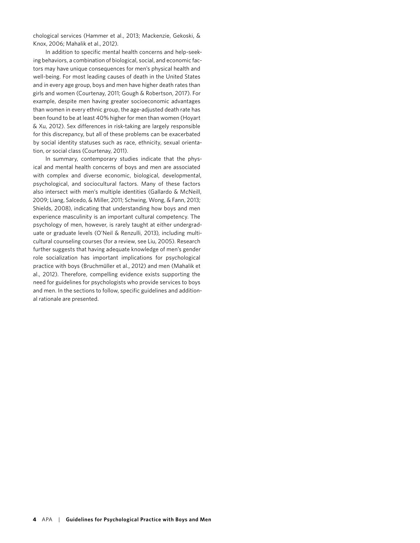chological services (Hammer et al., 2013; Mackenzie, Gekoski, & Knox, 2006; Mahalik et al., 2012).

In addition to specific mental health concerns and help-seeking behaviors, a combination of biological, social, and economic factors may have unique consequences for men's physical health and well-being. For most leading causes of death in the United States and in every age group, boys and men have higher death rates than girls and women (Courtenay, 2011; Gough & Robertson, 2017). For example, despite men having greater socioeconomic advantages than women in every ethnic group, the age-adjusted death rate has been found to be at least 40% higher for men than women (Hoyart & Xu, 2012). Sex differences in risk-taking are largely responsible for this discrepancy, but all of these problems can be exacerbated by social identity statuses such as race, ethnicity, sexual orientation, or social class (Courtenay, 2011).

In summary, contemporary studies indicate that the physical and mental health concerns of boys and men are associated with complex and diverse economic, biological, developmental, psychological, and sociocultural factors. Many of these factors also intersect with men's multiple identities (Gallardo & McNeill, 2009; Liang, Salcedo, & Miller, 2011; Schwing, Wong, & Fann, 2013; Shields, 2008), indicating that understanding how boys and men experience masculinity is an important cultural competency. The psychology of men, however, is rarely taught at either undergraduate or graduate levels (O'Neil & Renzulli, 2013), including multicultural counseling courses (for a review, see Liu, 2005). Research further suggests that having adequate knowledge of men's gender role socialization has important implications for psychological practice with boys (Bruchmüller et al., 2012) and men (Mahalik et al., 2012). Therefore, compelling evidence exists supporting the need for guidelines for psychologists who provide services to boys and men. In the sections to follow, specific guidelines and additional rationale are presented.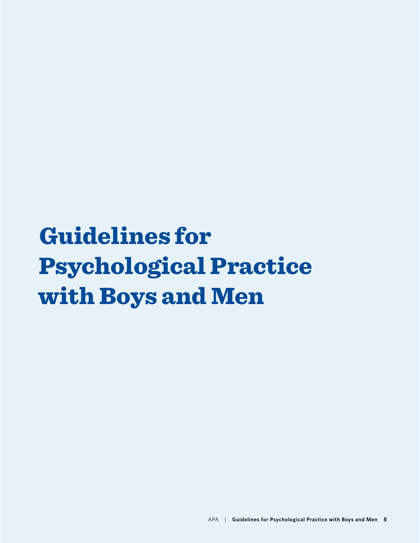# Guidelines for Psychological Practice with Boys and Men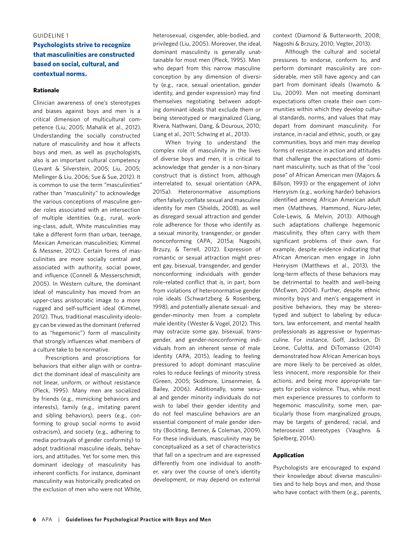#### GUIDELINE 1

## **Psychologists strive to recognize that masculinities are constructed based on social, cultural, and contextual norms.**

#### **Rationale**

Clinician awareness of one's stereotypes and biases against boys and men is a critical dimension of multicultural competence (Liu, 2005; Mahalik et al., 2012). Understanding the socially constructed nature of masculinity and how it affects boys and men, as well as psychologists, also is an important cultural competency (Levant & Silverstein, 2005; Liu, 2005; Mellinger & Liu, 2006; Sue & Sue, 2012). It is common to use the term "masculinities" rather than "masculinity" to acknowledge the various conceptions of masculine gender roles associated with an intersection of multiple identities (e.g., rural, working-class, adult, White masculinities may take a different form than urban, teenage, Mexican American masculinities; Kimmel & Messner, 2012). Certain forms of masculinities are more socially central and associated with authority, social power, and influence (Connell & Messerschmidt, 2005). In Western culture, the dominant ideal of masculinity has moved from an upper-class aristocratic image to a more rugged and self-sufficient ideal (Kimmel, 2012). Thus, traditional masculinity ideology can be viewed as the dominant (referred to as "hegemonic") form of masculinity that strongly influences what members of a culture take to be normative.

Prescriptions and proscriptions for behaviors that either align with or contradict the dominant ideal of masculinity are not linear, uniform, or without resistance (Pleck, 1995). Many men are socialized by friends (e.g., mimicking behaviors and interests), family (e.g., imitating parent and sibling behaviors), peers (e.g., conforming to group social norms to avoid ostracism), and society (e.g., adhering to media portrayals of gender conformity) to adopt traditional masculine ideals, behaviors, and attitudes. Yet for some men, this dominant ideology of masculinity has inherent conflicts. For instance, dominant masculinity was historically predicated on the exclusion of men who were not White, heterosexual, cisgender, able-bodied, and privileged (Liu, 2005). Moreover, the ideal, dominant masculinity is generally unattainable for most men (Pleck, 1995). Men who depart from this narrow masculine conception by any dimension of diversity (e.g., race, sexual orientation, gender identity, and gender expression) may find themselves negotiating between adopting dominant ideals that exclude them or being stereotyped or marginalized (Liang, Rivera, Nathwani, Dang, & Douroux, 2010; Liang et al., 2011; Schwing et al., 2013).

When trying to understand the complex role of masculinity in the lives of diverse boys and men, it is critical to acknowledge that gender is a non-binary construct that is distinct from, although interrelated to, sexual orientation (APA, 2015a). Heteronormative assumptions often falsely conflate sexual and masculine identity for men (Shields, 2008), as well as disregard sexual attraction and gender role adherence for those who identify as a sexual minority, transgender, or gender nonconforming (APA, 2015a; Nagoshi, Brzuzy, & Terrell, 2012). Expression of romantic or sexual attraction might present gay, bisexual, transgender, and gender nonconforming individuals with gender role–related conflict that is, in part, born from violations of heteronormative gender role ideals (Schwartzberg & Rosenberg, 1998), and potentially alienate sexual- and gender-minority men from a complete male identity (Wester & Vogel, 2012). This may ostracize some gay, bisexual, transgender, and gender-nonconforming individuals from an inherent sense of male identity (APA, 2015), leading to feeling pressured to adopt dominant masculine roles to reduce feelings of minority stress (Green, 2005; Skidmore, Linsenmeier, & Bailey, 2006). Additionally, some sexual and gender minority individuals do not wish to label their gender identity and do not feel masculine behaviors are an essential component of male gender identity (Bockting, Benner, & Coleman, 2009). For these individuals, masculinity may be conceptualized as a set of characteristics that fall on a spectrum and are expressed differently from one individual to another, vary over the course of one's identity development, or may depend on external

context (Diamond & Butterworth, 2008; Nagoshi & Brzuzy, 2010; Vegter, 2013).

Although the cultural and societal pressures to endorse, conform to, and perform dominant masculinity are considerable, men still have agency and can part from dominant ideals (Iwamoto & Liu, 2009). Men not meeting dominant expectations often create their own communities within which they develop cultural standards, norms, and values that may depart from dominant masculinity. For instance, in racial and ethnic, youth, or gay communities, boys and men may develop forms of resistance in action and attitudes that challenge the expectations of dominant masculinity, such as that of the "cool pose" of African American men (Majors & Billson, 1993) or the engagement of John Henryism (e.g., working harder) behaviors identified among African American adult men (Matthews, Hammond, Nuru-Jeter, Cole-Lewis, & Melvin, 2013). Although such adaptations challenge hegemonic masculinity, they often carry with them significant problems of their own. For example, despite evidence indicating that African American men engage in John Henryism (Matthews et al., 2013), the long-term effects of these behaviors may be detrimental to health and well-being (McEwen, 2004). Further, despite ethnic minority boys and men's engagement in positive behaviors, they may be stereotyped and subject to labeling by educators, law enforcement, and mental health professionals as aggressive or hypermasculine. For instance, Goff, Jackson, Di Leone, Culotta, and DiTomasso (2014) demonstrated how African American boys are more likely to be perceived as older, less innocent, more responsible for their actions, and being more appropriate targets for police violence. Thus, while most men experience pressures to conform to hegemonic masculinity, some men, particularly those from marginalized groups, may be targets of gendered, racial, and heterosexist stereotypes (Vaughns & Spielberg, 2014).

#### **Application**

Psychologists are encouraged to expand their knowledge about diverse masculinities and to help boys and men, and those who have contact with them (e.g., parents,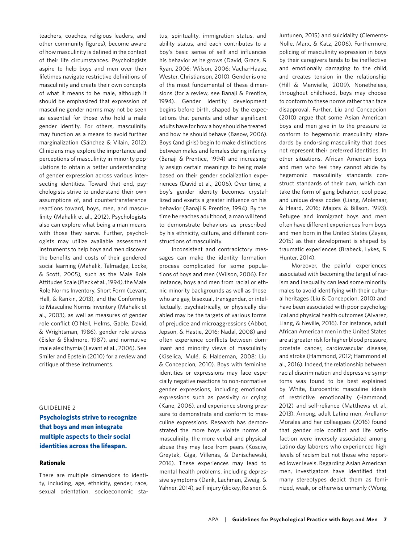teachers, coaches, religious leaders, and other community figures), become aware of how masculinity is defined in the context of their life circumstances. Psychologists aspire to help boys and men over their lifetimes navigate restrictive definitions of masculinity and create their own concepts of what it means to be male, although it should be emphasized that expression of masculine gender norms may not be seen as essential for those who hold a male gender identity. For others, masculinity may function as a means to avoid further marginalization (Sánchez & Vilain, 2012). Clinicians may explore the importance and perceptions of masculinity in minority populations to obtain a better understanding of gender expression across various intersecting identities. Toward that end, psychologists strive to understand their own assumptions of, and countertransference reactions toward, boys, men, and masculinity (Mahalik et al., 2012). Psychologists also can explore what being a man means with those they serve. Further, psychologists may utilize available assessment instruments to help boys and men discover the benefits and costs of their gendered social learning (Mahalik, Talmadge, Locke, & Scott, 2005), such as the Male Role Attitudes Scale (Pleck et al., 1994), the Male Role Norms Inventory, Short Form (Levant, Hall, & Rankin, 2013), and the Conformity to Masculine Norms Inventory (Mahalik et al., 2003), as well as measures of gender role conflict (O'Neil, Helms, Gable, David, & Wrightsman, 1986), gender role stress (Eisler & Skidmore, 1987), and normative male alexithymia (Levant et al., 2006). See Smiler and Epstein (2010) for a review and critique of these instruments.

#### GUIDELINE 2

**Psychologists strive to recognize that boys and men integrate multiple aspects to their social identities across the lifespan.**

#### **Rationale**

There are multiple dimensions to identity, including, age, ethnicity, gender, race, sexual orientation, socioeconomic sta-

tus, spirituality, immigration status, and ability status, and each contributes to a boy's basic sense of self and influences his behavior as he grows (David, Grace, & Ryan, 2006; Wilson, 2006; Vacha-Haase, Wester, Christianson, 2010). Gender is one of the most fundamental of these dimensions (for a review, see Banaji & Prentice, 1994). Gender identity development begins before birth, shaped by the expectations that parents and other significant adults have for how a boy should be treated and how he should behave (Basow, 2006). Boys (and girls) begin to make distinctions between males and females during infancy (Banaji & Prentice, 1994) and increasingly assign certain meanings to being male based on their gender socialization experiences (David et al., 2006). Over time, a boy's gender identity becomes crystallized and exerts a greater influence on his behavior (Banaji & Prentice, 1994). By the time he reaches adulthood, a man will tend to demonstrate behaviors as prescribed by his ethnicity, culture, and different constructions of masculinity.

Inconsistent and contradictory messages can make the identity formation process complicated for some populations of boys and men (Wilson, 2006). For instance, boys and men from racial or ethnic minority backgrounds as well as those who are gay, bisexual, transgender, or intellectually, psychiatrically, or physically disabled may be the targets of various forms of prejudice and microaggressions (Abbot, Jepson, & Hastie, 2016; Nadal, 2008) and often experience conflicts between dominant and minority views of masculinity (Kiselica, Mulé, & Haldeman, 2008; Liu & Concepcion, 2010). Boys with feminine identities or expressions may face especially negative reactions to non-normative gender expressions, including emotional expressions such as passivity or crying (Kane, 2006), and experience strong pressure to demonstrate and conform to masculine expressions. Research has demonstrated the more boys violate norms of masculinity, the more verbal and physical abuse they may face from peers (Kosciw, Greytak, Giga, Villenas, & Danischewski, 2016). These experiences may lead to mental health problems, including depressive symptoms (Dank, Lachman, Zweig, & Yahner, 2014), self-injury (dickey, Reisner, &

Juntunen, 2015) and suicidality (Clements-Nolle, Marx, & Katz, 2006). Furthermore, policing of masculinity expression in boys by their caregivers tends to be ineffective and emotionally damaging to the child, and creates tension in the relationship (Hill & Menvielle, 2009). Nonetheless, throughout childhood, boys may choose to conform to these norms rather than face disapproval. Further, Liu and Concepcion (2010) argue that some Asian American boys and men give in to the pressure to conform to hegemonic masculinity standards by endorsing masculinity that does not represent their preferred identities. In other situations, African American boys and men who feel they cannot abide by hegemonic masculinity standards construct standards of their own, which can take the form of gang behavior, cool pose, and unique dress codes (Liang, Molenaar, & Heard, 2016; Majors & Billson, 1993). Refugee and immigrant boys and men often have different experiences from boys and men born in the United States (Zayas, 2015) as their development is shaped by traumatic experiences (Brabeck, Lykes, & Hunter, 2014).

Moreover, the painful experiences associated with becoming the target of racism and inequality can lead some minority males to avoid identifying with their cultural heritages (Liu & Concepcion, 2010) and have been associated with poor psychological and physical health outcomes (Alvarez, Liang, & Neville, 2016). For instance, adult African American men in the United States are at greater risk for higher blood pressure, prostate cancer, cardiovascular disease, and stroke (Hammond, 2012; Hammond et al., 2016). Indeed, the relationship between racial discrimination and depressive symptoms was found to be best explained by White, Eurocentric masculine ideals of restrictive emotionality (Hammond, 2012) and self-reliance (Matthews et al., 2013). Among, adult Latino men, Arellano-Morales and her colleagues (2016) found that gender role conflict and life satisfaction were inversely associated among Latino day laborers who experienced high levels of racism but not those who reported lower levels. Regarding Asian American men, investigators have identified that many stereotypes depict them as feminized, weak, or otherwise unmanly (Wong,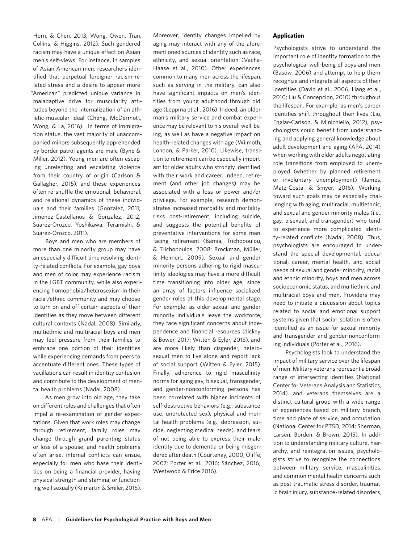Horn, & Chen, 2013; Wong, Owen, Tran, Collins, & Higgins, 2012). Such gendered racism may have a unique effect on Asian men's self-views. For instance, in samples of Asian American men, researchers identified that perpetual foreigner racism-related stress and a desire to appear more "American" predicted unique variance in maladaptive drive for muscularity attitudes beyond the internalization of an athletic-muscular ideal (Cheng, McDermott, Wong, & La, 2016). In terms of immigration status, the vast majority of unaccompanied minors subsequently apprehended by border patrol agents are male (Byne & Miller, 2012). Young men are often escaping unrelenting and escalating violence from their country of origin (Carlson & Gallagher, 2015), and these experiences often re-shuffle the emotional, behavioral, and relational dynamics of these individuals and their families (Gonzalez, 2011; Jimenez-Castellanos & Gonzalez, 2012; Suarez-Orozco, Yoshikawa, Teramishi, & Suarez-Orozco, 2011).

Boys and men who are members of more than one minority group may have an especially difficult time resolving identity-related conflicts. For example, gay boys and men of color may experience racism in the LGBT community, while also experiencing homophobia/heterosexism in their racial/ethnic community and may choose to turn on and off certain aspects of their identities as they move between different cultural contexts (Nadal, 2008). Similarly, multiethnic and multiracial boys and men may feel pressure from their families to embrace one portion of their identities while experiencing demands from peers to accentuate different ones. These types of vacillations can result in identity confusion and contribute to the development of mental health problems (Nadal, 2008).

As men grow into old age, they take on different roles and challenges that often impel a re-examination of gender expectations. Given that work roles may change through retirement, family roles may change through grand parenting status or loss of a spouse, and health problems often arise, internal conflicts can ensue, especially for men who base their identities on being a financial provider, having physical strength and stamina, or functioning well sexually (Kilmartin & Smiler, 2015). Moreover, identity changes impelled by aging may interact with any of the aforementioned sources of identity such as race, ethnicity, and sexual orientation (Vacha-Haase et al., 2010). Other experiences common to many men across the lifespan, such as serving in the military, can also have significant impacts on men's identities from young adulthood through old age (Leppma et al., 2016). Indeed, an older man's military service and combat experience may be relevant to his overall well-being, as well as have a negative impact on health-related changes with age (Wilmoth, London, & Parker, 2010). Likewise, transition to retirement can be especially important for older adults who strongly identified with their work and career. Indeed, retirement (and other job changes) may be associated with a loss or power and/or privilege. For example, research demonstrates increased morbidity and mortality risks post-retirement, including suicide, and suggests the potential benefits of preventative interventions for some men facing retirement (Bamia, Trichopoulou, & Trichopoulos, 2008; Brockman, Müller, & Helmert, 2009). Sexual and gender minority persons adhering to rigid masculinity ideologies may have a more difficult time transitioning into older age, since an array of factors influence socialized gender roles at this developmental stage. For example, as older sexual and gender minority individuals leave the workforce, they face significant concerns about independence and financial resources (dickey & Bower, 2017; Witten & Eyler, 2015), and are more likely than cisgender, heterosexual men to live alone and report lack of social support (Witten & Eyler, 2015). Finally, adherence to rigid masculinity norms for aging gay, bisexual, transgender, and gender-nonconforming persons has been correlated with higher incidents of self-destructive behaviors (e.g., substance use, unprotected sex), physical and mental health problems (e.g., depression, suicide, neglecting medical needs), and fears of not being able to express their male identity due to dementia or being misgendered after death (Courtenay, 2000; Oliffe, 2007; Porter et al., 2016; Sánchez, 2016; Westwood & Price 2016).

#### **Application**

Psychologists strive to understand the important role of identity formation to the psychological well-being of boys and men (Basow, 2006) and attempt to help them recognize and integrate all aspects of their identities (David et al., 2006; Liang et al., 2010; Liu & Concepcion, 2010) throughout the lifespan. For example, as men's career identities shift throughout their lives (Liu, Englar-Carlson, & Minichiello, 2012), psychologists could benefit from understanding and applying general knowledge about adult development and aging (APA, 2014) when working with older adults negotiating role transitions from employed to unemployed (whether by planned retirement or involuntary unemployment) (James, Matz-Costa, & Smyer, 2016). Working toward such goals may be especially challenging with aging, multiracial, multiethnic, and sexual and gender minority males (i.e., gay, bisexual, and transgender) who tend to experience more complicated identity-related conflicts (Nadal, 2008). Thus, psychologists are encouraged to understand the special developmental, educational, career, mental health, and social needs of sexual and gender minority, racial and ethnic minority, boys and men across socioeconomic status, and multiethnic and multiracial boys and men. Providers may need to initiate a discussion about topics related to social and emotional support systems given that social isolation is often identified as an issue for sexual minority and transgender and gender-nonconforming individuals (Porter et al., 2016).

Psychologists look to understand the impact of military service over the lifespan of men. Military veterans represent a broad range of intersecting identities (National Center for Veterans Analysis and Statistics, 2014), and veterans themselves are a distinct cultural group with a wide range of experiences based on military branch, time and place of service, and occupation (National Center for PTSD, 2014; Sherman, Larsen, Borden, & Brown, 2015). In addition to understanding military culture, hierarchy, and reintegration issues, psychologists strive to recognize the connections between military service, masculinities, and common mental health concerns such as post-traumatic stress disorder, traumatic brain injury, substance-related disorders,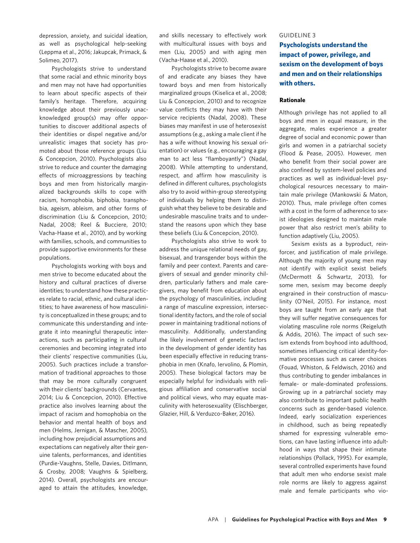depression, anxiety, and suicidal ideation, as well as psychological help-seeking (Leppma et al., 2016; Jakupcak, Primack, & Solimeo, 2017).

Psychologists strive to understand that some racial and ethnic minority boys and men may not have had opportunities to learn about specific aspects of their family's heritage. Therefore, acquiring knowledge about their previously unacknowledged group(s) may offer opportunities to discover additional aspects of their identities or dispel negative and/or unrealistic images that society has promoted about those reference groups (Liu & Concepcion, 2010). Psychologists also strive to reduce and counter the damaging effects of microaggressions by teaching boys and men from historically marginalized backgrounds skills to cope with racism, homophobia, biphobia, transphobia, ageism, ableism, and other forms of discrimination (Liu & Concepcion, 2010; Nadal, 2008; Reel & Bucciere, 2010; Vacha-Haase et al., 2010), and by working with families, schools, and communities to provide supportive environments for these populations.

Psychologists working with boys and men strive to become educated about the history and cultural practices of diverse identities; to understand how these practices relate to racial, ethnic, and cultural identities; to have awareness of how masculinity is conceptualized in these groups; and to communicate this understanding and integrate it into meaningful therapeutic interactions, such as participating in cultural ceremonies and becoming integrated into their clients' respective communities (Liu, 2005). Such practices include a transformation of traditional approaches to those that may be more culturally congruent with their clients' backgrounds (Cervantes, 2014; Liu & Concepcion, 2010). Effective practice also involves learning about the impact of racism and homophobia on the behavior and mental health of boys and men (Helms, Jernigan, & Mascher, 2005), including how prejudicial assumptions and expectations can negatively alter their genuine talents, performances, and identities (Purdie-Vaughns, Stelle, Davies, Ditlmann, & Crosby, 2008; Vaughns & Spielberg, 2014). Overall, psychologists are encouraged to attain the attitudes, knowledge, and skills necessary to effectively work with multicultural issues with boys and men (Liu, 2005) and with aging men (Vacha-Haase et al., 2010).

Psychologists strive to become aware of and eradicate any biases they have toward boys and men from historically marginalized groups (Kiselica et al., 2008; Liu & Concepcion, 2010) and to recognize value conflicts they may have with their service recipients (Nadal, 2008). These biases may manifest in use of heterosexist assumptions (e.g., asking a male client if he has a wife without knowing his sexual orientation) or values (e.g., encouraging a gay man to act less "flamboyantly") (Nadal, 2008). While attempting to understand, respect, and affirm how masculinity is defined in different cultures, psychologists also try to avoid within-group stereotyping of individuals by helping them to distinguish what they believe to be desirable and undesirable masculine traits and to understand the reasons upon which they base these beliefs (Liu & Concepcion, 2010).

Psychologists also strive to work to address the unique relational needs of gay, bisexual, and transgender boys within the family and peer context. Parents and caregivers of sexual and gender minority children, particularly fathers and male caregivers, may benefit from education about the psychology of masculinities, including a range of masculine expression, intersectional identity factors, and the role of social power in maintaining traditional notions of masculinity. Additionally, understanding the likely involvement of genetic factors in the development of gender identity has been especially effective in reducing transphobia in men (Knafo, Iervolino, & Plomin, 2005). These biological factors may be especially helpful for individuals with religious affiliation and conservative social and political views, who may equate masculinity with heterosexuality (Elischberger, Glazier, Hill, & Verduzco-Baker, 2016).

#### GUIDELINE 3

**Psychologists understand the impact of power, privilege, and sexism on the development of boys and men and on their relationships with others.**

#### **Rationale**

Although privilege has not applied to all boys and men in equal measure, in the aggregate, males experience a greater degree of social and economic power than girls and women in a patriarchal society (Flood & Pease, 2005). However, men who benefit from their social power are also confined by system-level policies and practices as well as individual-level psychological resources necessary to maintain male privilege (Mankowski & Maton, 2010). Thus, male privilege often comes with a cost in the form of adherence to sexist ideologies designed to maintain male power that also restrict men's ability to function adaptively (Liu, 2005).

Sexism exists as a byproduct, reinforcer, and justification of male privilege. Although the majority of young men may not identify with explicit sexist beliefs (McDermott & Schwartz, 2013), for some men, sexism may become deeply engrained in their construction of masculinity (O'Neil, 2015). For instance, most boys are taught from an early age that they will suffer negative consequences for violating masculine role norms (Reigeluth & Addis, 2016). The impact of such sexism extends from boyhood into adulthood, sometimes influencing critical identity-formative processes such as career choices (Fouad, Whiston, & Feldwisch, 2016) and thus contributing to gender imbalances in female- or male-dominated professions. Growing up in a patriarchal society may also contribute to important public health concerns such as gender-based violence. Indeed, early socialization experiences in childhood, such as being repeatedly shamed for expressing vulnerable emotions, can have lasting influence into adulthood in ways that shape their intimate relationships (Pollack, 1995). For example, several controlled experiments have found that adult men who endorse sexist male role norms are likely to aggress against male and female participants who vio-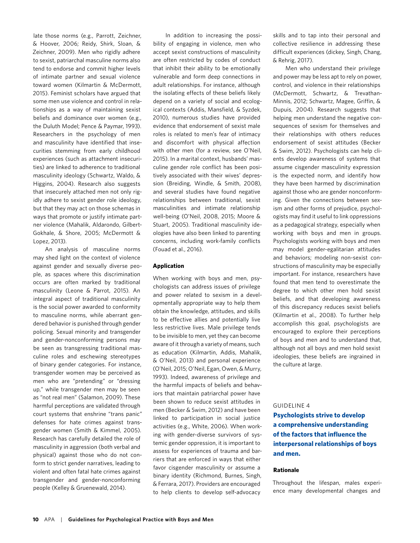late those norms (e.g., Parrott, Zeichner, & Hoover, 2006; Reidy, Shirk, Sloan, & Zeichner, 2009). Men who rigidly adhere to sexist, patriarchal masculine norms also tend to endorse and commit higher levels of intimate partner and sexual violence toward women (Kilmartin & McDermott, 2015). Feminist scholars have argued that some men use violence and control in relationships as a way of maintaining sexist beliefs and dominance over women (e.g., the Duluth Model; Pence & Paymar, 1993). Researchers in the psychology of men and masculinity have identified that insecurities stemming from early childhood experiences (such as attachment insecurities) are linked to adherence to traditional masculinity ideology (Schwartz, Waldo, & Higgins, 2004). Research also suggests that insecurely attached men not only rigidly adhere to sexist gender role ideology, but that they may act on those schemas in ways that promote or justify intimate partner violence (Mahalik, Aldarondo, Gilbert-Gokhale, & Shore, 2005; McDermott & Lopez, 2013).

An analysis of masculine norms may shed light on the context of violence against gender and sexually diverse people, as spaces where this discrimination occurs are often marked by traditional masculinity (Leone & Parrot, 2015). An integral aspect of traditional masculinity is the social power awarded to conformity to masculine norms, while aberrant gendered behavior is punished through gender policing. Sexual minority and transgender and gender-nonconforming persons may be seen as transgressing traditional masculine roles and eschewing stereotypes of binary gender categories. For instance, transgender women may be perceived as men who are "pretending" or "dressing up," while transgender men may be seen as "not real men" (Salamon, 2009). These harmful perceptions are validated through court systems that enshrine "trans panic" defenses for hate crimes against transgender women (Smith & Kimmel, 2005). Research has carefully detailed the role of masculinity in aggression (both verbal and physical) against those who do not conform to strict gender narratives, leading to violent and often fatal hate crimes against transgender and gender-nonconforming people (Kelley & Gruenewald, 2014).

In addition to increasing the possibility of engaging in violence, men who accept sexist constructions of masculinity are often restricted by codes of conduct that inhibit their ability to be emotionally vulnerable and form deep connections in adult relationships. For instance, although the isolating effects of these beliefs likely depend on a variety of social and ecological contexts (Addis, Mansfield, & Syzdek, 2010), numerous studies have provided evidence that endorsement of sexist male roles is related to men's fear of intimacy and discomfort with physical affection with other men (for a review, see O'Neil, 2015). In a marital context, husbands' masculine gender role conflict has been positively associated with their wives' depression (Breiding, Windle, & Smith, 2008), and several studies have found negative relationships between traditional, sexist masculinities and intimate relationship well-being (O'Neil, 2008, 2015; Moore & Stuart, 2005). Traditional masculinity ideologies have also been linked to parenting concerns, including work-family conflicts (Fouad et al., 2016).

#### **Application**

When working with boys and men, psychologists can address issues of privilege and power related to sexism in a developmentally appropriate way to help them obtain the knowledge, attitudes, and skills to be effective allies and potentially live less restrictive lives. Male privilege tends to be invisible to men, yet they can become aware of it through a variety of means, such as education (Kilmartin, Addis, Mahalik, & O'Neil, 2013) and personal experience (O'Neil, 2015; O'Neil, Egan, Owen, & Murry, 1993). Indeed, awareness of privilege and the harmful impacts of beliefs and behaviors that maintain patriarchal power have been shown to reduce sexist attitudes in men (Becker & Swim, 2012) and have been linked to participation in social justice activities (e.g., White, 2006). When working with gender-diverse survivors of systemic gender oppression, it is important to assess for experiences of trauma and barriers that are enforced in ways that either favor cisgender masculinity or assume a binary identity (Richmond, Burnes, Singh, & Ferrara, 2017). Providers are encouraged to help clients to develop self-advocacy

skills and to tap into their personal and collective resilience in addressing these difficult experiences (dickey, Singh, Chang, & Rehrig, 2017).

Men who understand their privilege and power may be less apt to rely on power, control, and violence in their relationships (McDermott, Schwartz, & Trevathan-Minnis, 2012; Schwartz, Magee, Griffin, & Dupuis, 2004). Research suggests that helping men understand the negative consequences of sexism for themselves and their relationships with others reduces endorsement of sexist attitudes (Becker & Swim, 2012). Psychologists can help clients develop awareness of systems that assume cisgender masculinity expression is the expected norm, and identify how they have been harmed by discrimination against those who are gender nonconforming. Given the connections between sexism and other forms of prejudice, psychologists may find it useful to link oppressions as a pedagogical strategy, especially when working with boys and men in groups. Psychologists working with boys and men may model gender-egalitarian attitudes and behaviors; modeling non-sexist constructions of masculinity may be especially important. For instance, researchers have found that men tend to overestimate the degree to which other men hold sexist beliefs, and that developing awareness of this discrepancy reduces sexist beliefs (Kilmartin et al., 2008). To further help accomplish this goal, psychologists are encouraged to explore their perceptions of boys and men and to understand that, although not all boys and men hold sexist ideologies, these beliefs are ingrained in the culture at large.

#### GUIDELINE 4

**Psychologists strive to develop a comprehensive understanding of the factors that influence the interpersonal relationships of boys and men.**

#### **Rationale**

Throughout the lifespan, males experience many developmental changes and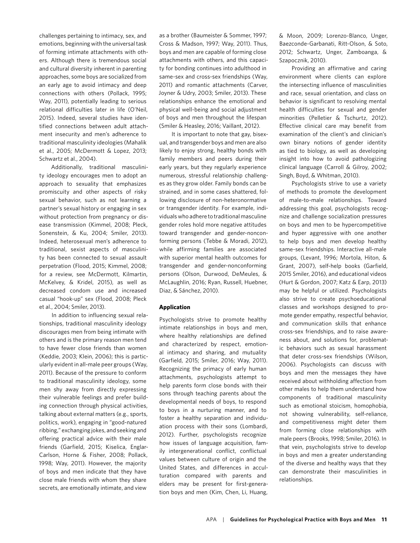challenges pertaining to intimacy, sex, and emotions, beginning with the universal task of forming intimate attachments with others. Although there is tremendous social and cultural diversity inherent in parenting approaches, some boys are socialized from an early age to avoid intimacy and deep connections with others (Pollack, 1995; Way, 2011), potentially leading to serious relational difficulties later in life (O'Neil, 2015). Indeed, several studies have identified connections between adult attachment insecurity and men's adherence to traditional masculinity ideologies (Mahalik et al., 2005; McDermott & Lopez, 2013; Schwartz et al., 2004).

Additionally, traditional masculinity ideology encourages men to adopt an approach to sexuality that emphasizes promiscuity and other aspects of risky sexual behavior, such as not learning a partner's sexual history or engaging in sex without protection from pregnancy or disease transmission (Kimmel, 2008; Pleck, Sonenstein, & Ku, 2004; Smiler, 2013). Indeed, heterosexual men's adherence to traditional, sexist aspects of masculinity has been connected to sexual assault perpetration (Flood, 2015; Kimmel, 2008; for a review, see McDermott, Kilmartin, McKelvey, & Kridel, 2015), as well as decreased condom use and increased casual "hook-up" sex (Flood, 2008; Pleck et al., 2004; Smiler, 2013).

In addition to influencing sexual relationships, traditional masculinity ideology discourages men from being intimate with others and is the primary reason men tend to have fewer close friends than women (Keddie, 2003; Klein, 2006); this is particularly evident in all-male peer groups (Way, 2011). Because of the pressure to conform to traditional masculinity ideology, some men shy away from directly expressing their vulnerable feelings and prefer building connection through physical activities, talking about external matters (e.g., sports, politics, work), engaging in "good-natured ribbing," exchanging jokes, and seeking and offering practical advice with their male friends (Garfield, 2015; Kiselica, Englar-Carlson, Horne & Fisher, 2008; Pollack, 1998; Way, 2011). However, the majority of boys and men indicate that they have close male friends with whom they share secrets, are emotionally intimate, and view

as a brother (Baumeister & Sommer, 1997; Cross & Madson, 1997; Way, 2011). Thus, boys and men are capable of forming close attachments with others, and this capacity for bonding continues into adulthood in same-sex and cross-sex friendships (Way, 2011) and romantic attachments (Carver, Joyner & Udry, 2003; Smiler, 2013). These relationships enhance the emotional and physical well-being and social adjustment of boys and men throughout the lifespan (Smiler & Heasley, 2016; Vaillant, 2012).

It is important to note that gay, bisexual, and transgender boys and men are also likely to enjoy strong, healthy bonds with family members and peers during their early years, but they regularly experience numerous, stressful relationship challenges as they grow older. Family bonds can be strained, and in some cases shattered, following disclosure of non-heteronormative or transgender identity. For example, individuals who adhere to traditional masculine gender roles hold more negative attitudes toward transgender and gender-nonconforming persons (Tebbe & Moradi, 2012), while affirming families are associated with superior mental health outcomes for transgender and gender-nonconforming persons (Olson, Durwood, DeMeules, & McLaughlin, 2016; Ryan, Russell, Huebner, Diaz, & Sánchez, 2010).

#### **Application**

Psychologists strive to promote healthy intimate relationships in boys and men, where healthy relationships are defined and characterized by respect, emotional intimacy and sharing, and mutuality (Garfield, 2015; Smiler, 2016; Way, 2011). Recognizing the primacy of early human attachments, psychologists attempt to help parents form close bonds with their sons through teaching parents about the developmental needs of boys, to respond to boys in a nurturing manner, and to foster a healthy separation and individuation process with their sons (Lombardi, 2012). Further, psychologists recognize how issues of language acquisition, family intergenerational conflict, conflictual values between culture of origin and the United States, and differences in acculturation compared with parents and elders may be present for first-generation boys and men (Kim, Chen, Li, Huang,

& Moon, 2009; Lorenzo-Blanco, Unger, Baezconde-Garbanati, Ritt-Olson, & Soto, 2012; Schwartz, Unger, Zamboanga, & Szapocznik, 2010).

Providing an affirmative and caring environment where clients can explore the intersecting influence of masculinities and race, sexual orientation, and class on behavior is significant to resolving mental health difficulties for sexual and gender minorities (Pelletier & Tschurtz, 2012). Effective clinical care may benefit from examination of the client's and clinician's own binary notions of gender identity as tied to biology, as well as developing insight into how to avoid pathologizing clinical language (Carroll & Gilroy, 2002; Singh, Boyd, & Whitman, 2010).

Psychologists strive to use a variety of methods to promote the development of male-to-male relationships. Toward addressing this goal, psychologists recognize and challenge socialization pressures on boys and men to be hypercompetitive and hyper aggressive with one another to help boys and men develop healthy same-sex friendships. Interactive all-male groups, (Levant, 1996; Mortola, Hiton, & Grant, 2007), self-help books (Garfield, 2015 Smiler, 2016), and educational videos (Hurt & Gordon, 2007; Katz & Earp, 2013) may be helpful or utilized. Psychologists also strive to create psychoeducational classes and workshops designed to promote gender empathy, respectful behavior, and communication skills that enhance cross-sex friendships, and to raise awareness about, and solutions for, problematic behaviors such as sexual harassment that deter cross-sex friendships (Wilson, 2006). Psychologists can discuss with boys and men the messages they have received about withholding affection from other males to help them understand how components of traditional masculinity such as emotional stoicism, homophobia, not showing vulnerability, self-reliance, and competitiveness might deter them from forming close relationships with male peers (Brooks, 1998; Smiler, 2016). In that vein, psychologists strive to develop in boys and men a greater understanding of the diverse and healthy ways that they can demonstrate their masculinities in relationships.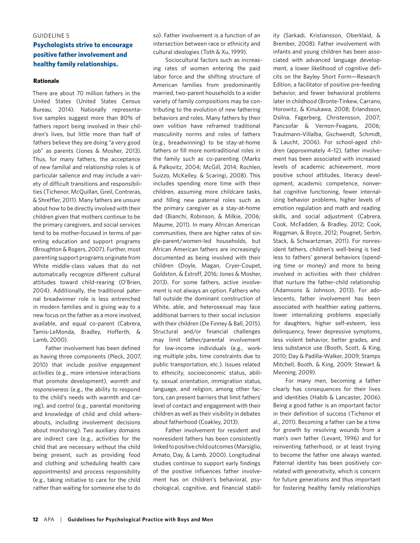#### GUIDELINE 5

## **Psychologists strive to encourage positive father involvement and healthy family relationships.**

#### **Rationale**

There are about 70 million fathers in the United States (United States Census Bureau, 2014). Nationally representative samples suggest more than 80% of fathers report being involved in their children's lives, but little more than half of fathers believe they are doing "a very good job" as parents (Jones & Mosher, 2013). Thus, for many fathers, the acceptance of new familial and relationship roles is of particular salience and may include a variety of difficult transitions and responsibilities (Tichenor, McQuillan, Greil, Contreras, & Shreffler, 2011). Many fathers are unsure about how to be directly involved with their children given that mothers continue to be the primary caregivers, and social services tend to be mother-focused in terms of parenting education and support programs (Broughton & Rogers, 2007). Further, most parenting support programs originate from White middle-class values that do not automatically recognize different cultural attitudes toward child-rearing (O'Brien, 2004). Additionally, the traditional paternal breadwinner role is less entrenched in modern families and is giving way to a new focus on the father as a more involved, available, and equal co-parent (Cabrera, Tamis-LeMonda, Bradley, Hofferth, & Lamb, 2000).

Father involvement has been defined as having three components (Pleck, 2007, 2010) that include *positive engagement activities* (e.g., more intensive interactions that promote development), *warmth and responsiveness* (e.g., the ability to respond to the child's needs with warmth and caring), and *control* (e.g., parental monitoring and knowledge of child and child whereabouts, including involvement decisions about monitoring). Two auxiliary domains are indirect care (e.g., activities for the child that are necessary without the child being present, such as providing food and clothing and scheduling health care appointments) and process responsibility (e.g., taking initiative to care for the child rather than waiting for someone else to do

so). Father involvement is a function of an intersection between race or ethnicity and cultural ideologies (Toth & Xu, 1999).

Sociocultural factors such as increasing rates of women entering the paid labor force and the shifting structure of American families from predominantly married, two-parent households to a wider variety of family compositions may be contributing to the evolution of new fathering behaviors and roles. Many fathers by their own volition have reframed traditional masculinity norms and roles of fathers (e.g., breadwinning) to be stay-at-home fathers or fill more nontraditional roles in the family such as co-parenting (Marks & Palkovitz, 2004; McGill, 2014; Rochlen, Suizzo, McKelley, & Scaringi, 2008). This includes spending more time with their children, assuming more childcare tasks, and filling new paternal roles such as the primary caregiver as a stay-at-home dad (Bianchi, Robinson, & Milkie, 2006; Maume, 2011). In many African American communities, there are higher rates of single-parent/women-led households, but African American fathers are increasingly documented as being involved with their children (Doyle, Magan, Cryer-Coupet, Goldston, & Estroff, 2016; Jones & Mosher, 2013). For some fathers, active involvement is not always an option. Fathers who fall outside the dominant construction of White, able, and heterosexual may face additional barriers to their social inclusion with their children (De Finney & Ball, 2015). Structural and/or financial challenges may limit father/parental involvement for low-income individuals (e.g., working multiple jobs, time constraints due to public transportation, etc.). Issues related to ethnicity, socioeconomic status, ability, sexual orientation, immigration status, language, and religion, among other factors, can present barriers that limit fathers' level of contact and engagement with their children as well as their visibility in debates about fatherhood (Coakley, 2013).

Father involvement for resident and nonresident fathers has been consistently linked to positive child outcomes (Marsiglio, Amato, Day, & Lamb, 2000). Longitudinal studies continue to support early findings of the positive influences father involvement has on children's behavioral, psychological, cognitive, and financial stability (Sarkadi, Kristiansson, Oberklaid, & Brember, 2008). Father involvement with infants and young children has been associated with advanced language development, a lower likelihood of cognitive deficits on the Bayley Short Form—Research Edition, a facilitator of positive pre-feeding behavior, and fewer behavioral problems later in childhood (Bronte-Tinkew, Carrano, Horowitz, & Kinukawa, 2008; Erlandsson, Dsilna, Fagerberg, Christensson, 2007; Pancsofar & Vernon-Feagans, 2006; Trautmann-Villalba, Gschwendt, Schmidt, & Laucht, 2006). For school-aged children (approximately 4–12), father involvement has been associated with increased levels of academic achievement, more positive school attitudes, literacy development, academic competence, nonverbal cognitive functioning, fewer internalizing behavior problems, higher levels of emotion regulation and math and reading skills, and social adjustment (Cabrera, Cook, McFadden, & Bradley, 2012; Cook, Roggman, & Boyce, 2012; Pougnet, Serbin, Stack, & Schwartzman, 2011). For nonresident fathers, children's well-being is tied less to fathers' general behaviors (spending time or money) and more to being involved in activities with their children that nurture the father–child relationship (Adamsons & Johnson, 2013). For adolescents, father involvement has been associated with healthier eating patterns, lower internalizing problems especially for daughters, higher self-esteem, less delinquency, fewer depressive symptoms, less violent behavior, better grades, and less substance use (Booth, Scott, & King, 2010; Day & Padilla-Walker, 2009; Stamps Mitchell, Booth, & King, 2009; Stewart & Menning, 2009).

For many men, becoming a father clearly has consequences for their lives and identities (Habib & Lancaster, 2006). Being a good father is an important factor in their definition of success (Tichenor et al., 2011). Becoming a father can be a time for growth by resolving wounds from a man's own father (Levant, 1996) and for reinventing fatherhood, or at least trying to become the father one always wanted. Paternal identity has been positively correlated with generativity, which is concern for future generations and thus important for fostering healthy family relationships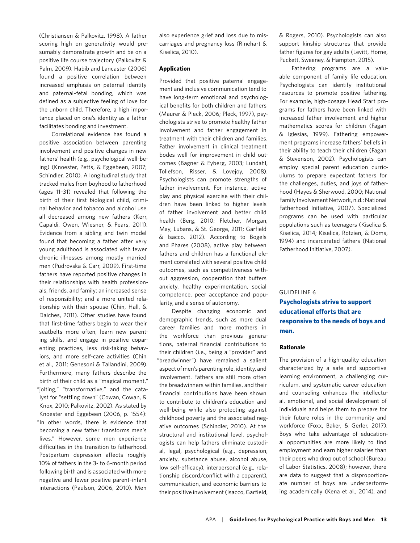(Christiansen & Palkovitz, 1998). A father scoring high on generativity would presumably demonstrate growth and be on a positive life course trajectory (Palkovitz & Palm, 2009). Habib and Lancaster (2006) found a positive correlation between increased emphasis on paternal identity and paternal–fetal bonding, which was defined as a subjective feeling of love for the unborn child. Therefore, a high importance placed on one's identity as a father facilitates bonding and investment.

Correlational evidence has found a positive association between parenting involvement and positive changes in new fathers' health (e.g., psychological well-being) (Knoester, Petts, & Eggebeen, 2007; Schindler, 2010). A longitudinal study that tracked males from boyhood to fatherhood (ages 11–31) revealed that following the birth of their first biological child, criminal behavior and tobacco and alcohol use all decreased among new fathers (Kerr, Capaldi, Owen, Wiesner, & Pears, 2011). Evidence from a sibling and twin model found that becoming a father after very young adulthood is associated with fewer chronic illnesses among mostly married men (Pudrovska & Carr, 2009). First-time fathers have reported positive changes in their relationships with health professionals, friends, and family; an increased sense of responsibility; and a more united relationship with their spouse (Chin, Hall, & Daiches, 2011). Other studies have found that first-time fathers begin to wear their seatbelts more often, learn new parenting skills, and engage in positive coparenting practices, less risk-taking behaviors, and more self-care activities (Chin et al., 2011; Genesoni & Tallandini, 2009). Furthermore, many fathers describe the birth of their child as a "magical moment," "jolting," "transformative," and the catalyst for "settling down" (Cowan, Cowan, & Knox, 2010; Palkovitz, 2002). As stated by Knoester and Eggebeen (2006, p. 1554): "In other words, there is evidence that becoming a new father transforms men's lives." However, some men experience difficulties in the transition to fatherhood. Postpartum depression affects roughly 10% of fathers in the 3- to 6-month period following birth and is associated with more negative and fewer positive parent–infant interactions (Paulson, 2006, 2010). Men

also experience grief and loss due to miscarriages and pregnancy loss (Rinehart & Kiselica, 2010).

#### **Application**

Provided that positive paternal engagement and inclusive communication tend to have long-term emotional and psychological benefits for both children and fathers (Maurer & Pleck, 2006; Pleck, 1997), psychologists strive to promote healthy father involvement and father engagement in treatment with their children and families. Father involvement in clinical treatment bodes well for improvement in child outcomes (Bagner & Eyberg, 2003; Lundahl, Tollefson, Risser, & Lovejoy, 2008). Psychologists can promote strengths of father involvement. For instance, active play and physical exercise with their children have been linked to higher levels of father involvement and better child health (Berg, 2010; Fletcher, Morgan, May, Lubans, & St. George, 2011; Garfield & Isacco, 2012). According to Bogels and Phares (2008), active play between fathers and children has a functional element correlated with several positive child outcomes, such as competitiveness without aggression, cooperation that buffers anxiety, healthy experimentation, social competence, peer acceptance and popularity, and a sense of autonomy.

Despite changing economic and demographic trends, such as more dual career families and more mothers in the workforce than previous generations, paternal financial contributions to their children (i.e., being a "provider" and "breadwinner") have remained a salient aspect of men's parenting role, identity, and involvement. Fathers are still more often the breadwinners within families, and their financial contributions have been shown to contribute to children's education and well-being while also protecting against childhood poverty and the associated negative outcomes (Schindler, 2010). At the structural and institutional level, psychologists can help fathers eliminate custodial, legal, psychological (e.g., depression, anxiety, substance abuse, alcohol abuse, low self-efficacy), interpersonal (e.g., relationship discord/conflict with a coparent), communication, and economic barriers to their positive involvement (Isacco, Garfield, & Rogers, 2010). Psychologists can also support kinship structures that provide father figures for gay adults (Levitt, Horne, Puckett, Sweeney, & Hampton, 2015).

Fathering programs are a valuable component of family life education. Psychologists can identify institutional resources to promote positive fathering. For example, high-dosage Head Start programs for fathers have been linked with increased father involvement and higher mathematics scores for children (Fagan & Iglesias, 1999). Fathering empowerment programs increase fathers' beliefs in their ability to teach their children (Fagan & Stevenson, 2002). Psychologists can employ special parent education curriculums to prepare expectant fathers for the challenges, duties, and joys of fatherhood (Hayes & Sherwood, 2000; National Family Involvement Network, n.d.; National Fatherhood Initiative, 2007). Specialized programs can be used with particular populations such as teenagers (Kiselica & Kiselica, 2014; Kiselica, Rotzien, & Doms, 1994) and incarcerated fathers (National Fatherhood Initiative, 2007).

#### GUIDELINE 6

**Psychologists strive to support educational efforts that are responsive to the needs of boys and men.**

#### **Rationale**

The provision of a high-quality education characterized by a safe and supportive learning environment, a challenging curriculum, and systematic career education and counseling enhances the intellectual, emotional, and social development of individuals and helps them to prepare for their future roles in the community and workforce (Foxx, Baker, & Gerler, 2017). Boys who take advantage of educational opportunities are more likely to find employment and earn higher salaries than their peers who drop out of school (Bureau of Labor Statistics, 2008); however, there are data to suggest that a disproportionate number of boys are underperforming academically (Kena et al., 2014), and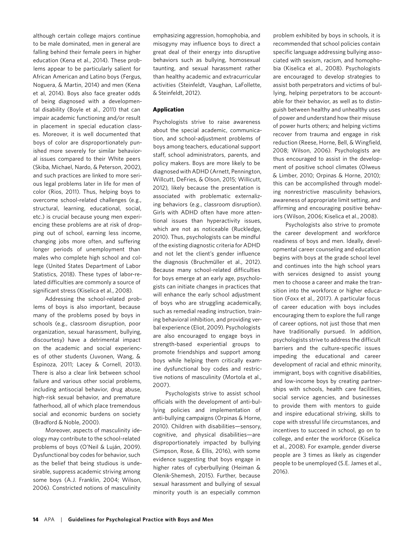although certain college majors continue to be male dominated, men in general are falling behind their female peers in higher education (Kena et al., 2014). These problems appear to be particularly salient for African American and Latino boys (Fergus, Noguera, & Martin, 2014) and men (Kena et al, 2014). Boys also face greater odds of being diagnosed with a developmental disability (Boyle et al., 2011) that can impair academic functioning and/or result in placement in special education classes. Moreover, it is well documented that boys of color are disproportionately punished more severely for similar behavioral issues compared to their White peers (Skiba, Michael, Nardo, & Peterson, 2002), and such practices are linked to more serious legal problems later in life for men of color (Rios, 2011). Thus, helping boys to overcome school-related challenges (e.g., structural, learning, educational, social, etc.) is crucial because young men experiencing these problems are at risk of dropping out of school, earning less income, changing jobs more often, and suffering longer periods of unemployment than males who complete high school and college (United States Department of Labor Statistics, 2018). These types of labor-related difficulties are commonly a source of significant stress (Kiselica et al., 2008).

Addressing the school-related problems of boys is also important, because many of the problems posed by boys in schools (e.g., classroom disruption, poor organization, sexual harassment, bullying, discourtesy) have a detrimental impact on the academic and social experiences of other students (Juvonen, Wang, & Espinoza, 2011; Lacey & Cornell, 2013). There is also a clear link between school failure and various other social problems, including antisocial behavior, drug abuse, high-risk sexual behavior, and premature fatherhood, all of which place tremendous social and economic burdens on society (Bradford & Noble, 2000).

Moreover, aspects of masculinity ideology may contribute to the school-related problems of boys (O'Neil & Luján, 2009). Dysfunctional boy codes for behavior, such as the belief that being studious is undesirable, suppress academic striving among some boys (A.J. Franklin, 2004; Wilson, 2006). Constricted notions of masculinity

emphasizing aggression, homophobia, and misogyny may influence boys to direct a great deal of their energy into disruptive behaviors such as bullying, homosexual taunting, and sexual harassment rather than healthy academic and extracurricular activities (Steinfeldt, Vaughan, LaFollette, & Steinfeldt, 2012).

#### **Application**

Psychologists strive to raise awareness about the special academic, communication, and school-adjustment problems of boys among teachers, educational support staff, school administrators, parents, and policy makers. Boys are more likely to be diagnosed with ADHD (Arnett, Pennington, Willcutt, DeFries, & Olson, 2015; Willicutt, 2012), likely because the presentation is associated with problematic externalizing behaviors (e.g., classroom disruption). Girls with ADHD often have more attentional issues than hyperactivity issues, which are not as noticeable (Ruckledge, 2010). Thus, psychologists can be mindful of the existing diagnostic criteria for ADHD and not let the client's gender influence the diagnosis (Bruchmüller et al., 2012). Because many school-related difficulties for boys emerge at an early age, psychologists can initiate changes in practices that will enhance the early school adjustment of boys who are struggling academically, such as remedial reading instruction, training behavioral inhibition, and providing verbal experience (Eliot, 2009). Psychologists are also encouraged to engage boys in strength-based experiential groups to promote friendships and support among boys while helping them critically examine dysfunctional boy codes and restrictive notions of masculinity (Mortola et al., 2007).

Psychologists strive to assist school officials with the development of anti-bullying policies and implementation of anti-bullying campaigns (Orpinas & Horne, 2010). Children with disabilities—sensory, cognitive, and physical disabilities—are disproportionately impacted by bullying (Simpson, Rose, & Ellis, 2016), with some evidence suggesting that boys engage in higher rates of cyberbullying (Heiman & Olenik-Shemesh, 2015). Further, because sexual harassment and bullying of sexual minority youth is an especially common

problem exhibited by boys in schools, it is recommended that school policies contain specific language addressing bullying associated with sexism, racism, and homophobia (Kiselica et al., 2008). Psychologists are encouraged to develop strategies to assist both perpetrators and victims of bullying, helping perpetrators to be accountable for their behavior, as well as to distinguish between healthy and unhealthy uses of power and understand how their misuse of power hurts others; and helping victims recover from trauma and engage in risk reduction (Reese, Horne, Bell, & Wingfield, 2008; Wilson, 2006). Psychologists are thus encouraged to assist in the development of positive school climates (Olweus & Limber, 2010; Orpinas & Horne, 2010); this can be accomplished through modeling nonrestrictive masculinity behaviors, awareness of appropriate limit setting, and affirming and encouraging positive behaviors (Wilson, 2006; Kiselica et al., 2008).

Psychologists also strive to promote the career development and workforce readiness of boys and men. Ideally, developmental career counseling and education begins with boys at the grade school level and continues into the high school years with services designed to assist young men to choose a career and make the transition into the workforce or higher education (Foxx et al., 2017). A particular focus of career education with boys includes encouraging them to explore the full range of career options, not just those that men have traditionally pursued. In addition, psychologists strive to address the difficult barriers and the culture-specific issues impeding the educational and career development of racial and ethnic minority, immigrant, boys with cognitive disabilities, and low-income boys by creating partnerships with schools, health care facilities, social service agencies, and businesses to provide them with mentors to guide and inspire educational striving, skills to cope with stressful life circumstances, and incentives to succeed in school, go on to college, and enter the workforce (Kiselica et al., 2008). For example, gender diverse people are 3 times as likely as cisgender people to be unemployed (S.E. James et al., 2016).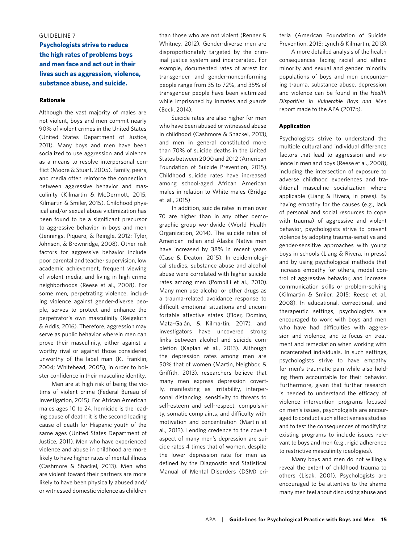#### GUIDELINE 7

**Psychologists strive to reduce the high rates of problems boys and men face and act out in their lives such as aggression, violence, substance abuse, and suicide.**

#### **Rationale**

Although the vast majority of males are not violent, boys and men commit nearly 90% of violent crimes in the United States (United States Department of Justice, 2011). Many boys and men have been socialized to use aggression and violence as a means to resolve interpersonal conflict (Moore & Stuart, 2005). Family, peers, and media often reinforce the connection between aggressive behavior and masculinity (Kilmartin & McDermott, 2015; Kilmartin & Smiler, 2015). Childhood physical and/or sexual abuse victimization has been found to be a significant precursor to aggressive behavior in boys and men (Jennings, Piquero, & Reingle, 2012; Tyler, Johnson, & Brownridge, 2008). Other risk factors for aggressive behavior include poor parental and teacher supervision, low academic achievement, frequent viewing of violent media, and living in high crime neighborhoods (Reese et al., 2008). For some men, perpetrating violence, including violence against gender-diverse people, serves to protect and enhance the perpetrator's own masculinity (Reigeluth & Addis, 2016). Therefore, aggression may serve as public behavior wherein men can prove their masculinity, either against a worthy rival or against those considered unworthy of the label man (K. Franklin, 2004; Whitehead, 2005), in order to bolster confidence in their masculine identity.

Men are at high risk of being the victims of violent crime (Federal Bureau of Investigation, 2015). For African American males ages 10 to 24, homicide is the leading cause of death; it is the second leading cause of death for Hispanic youth of the same ages (United States Department of Justice, 2011). Men who have experienced violence and abuse in childhood are more likely to have higher rates of mental illness (Cashmore & Shackel, 2013). Men who are violent toward their partners are more likely to have been physically abused and/ or witnessed domestic violence as children

than those who are not violent (Renner & Whitney, 2012). Gender-diverse men are disproportionately targeted by the criminal justice system and incarcerated. For example, documented rates of arrest for transgender and gender-nonconforming people range from 35 to 72%, and 35% of transgender people have been victimized while imprisoned by inmates and guards (Beck, 2014).

Suicide rates are also higher for men who have been abused or witnessed abuse in childhood (Cashmore & Shackel, 2013), and men in general constituted more than 70% of suicide deaths in the United States between 2000 and 2012 (American Foundation of Suicide Prevention, 2015). Childhood suicide rates have increased among school-aged African American males in relation to White males (Bridge et. al., 2015)

In addition, suicide rates in men over 70 are higher than in any other demographic group worldwide (World Health Organization, 2014). The suicide rates of American Indian and Alaska Native men have increased by 38% in recent years (Case & Deaton, 2015). In epidemiological studies, substance abuse and alcohol abuse were correlated with higher suicide rates among men (Pompilli et al., 2010). Many men use alcohol or other drugs as a trauma-related avoidance response to difficult emotional situations and uncomfortable affective states (Elder, Domino, Mata-Galán, & Kilmartin, 2017), and investigators have uncovered strong links between alcohol and suicide completion (Kaplan et al., 2013). Although the depression rates among men are 50% that of women (Martin, Neighbor, & Griffith, 2013), researchers believe that many men express depression covertly, manifesting as irritability, interpersonal distancing, sensitivity to threats to self-esteem and self-respect, compulsivity, somatic complaints, and difficulty with motivation and concentration (Martin et al., 2013). Lending credence to the covert aspect of many men's depression are suicide rates 4 times that of women, despite the lower depression rate for men as defined by the Diagnostic and Statistical Manual of Mental Disorders (DSM) criteria (American Foundation of Suicide Prevention, 2015; Lynch & Kilmartin, 2013).

A more detailed analysis of the health consequences facing racial and ethnic minority and sexual and gender minority populations of boys and men encountering trauma, substance abuse, depression, and violence can be found in the *Health Disparities in Vulnerable Boys and Men*  report made to the APA (2017b).

#### **Application**

Psychologists strive to understand the multiple cultural and individual difference factors that lead to aggression and violence in men and boys (Reese et al., 2008), including the intersection of exposure to adverse childhood experiences and traditional masculine socialization where applicable (Liang & Rivera, in press). By having empathy for the causes (e.g., lack of personal and social resources to cope with trauma) of aggressive and violent behavior, psychologists strive to prevent violence by adopting trauma-sensitive and gender-sensitive approaches with young boys in schools (Liang & Rivera, in press) and by using psychological methods that increase empathy for others, model control of aggressive behavior, and increase communication skills or problem-solving (Kilmartin & Smiler, 2015; Reese et al., 2008). In educational, correctional, and therapeutic settings, psychologists are encouraged to work with boys and men who have had difficulties with aggression and violence, and to focus on treatment and remediation when working with incarcerated individuals. In such settings, psychologists strive to have empathy for men's traumatic pain while also holding them accountable for their behavior. Furthermore, given that further research is needed to understand the efficacy of violence intervention programs focused on men's issues, psychologists are encouraged to conduct such effectiveness studies and to test the consequences of modifying existing programs to include issues relevant to boys and men (e.g., rigid adherence to restrictive masculinity ideologies).

Many boys and men do not willingly reveal the extent of childhood trauma to others (Lisak, 2001). Psychologists are encouraged to be attentive to the shame many men feel about discussing abuse and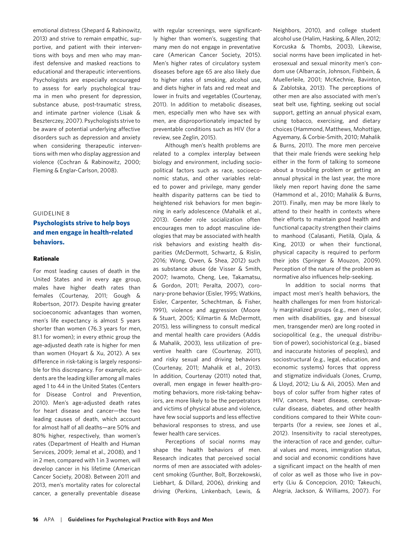emotional distress (Shepard & Rabinowitz, 2013) and strive to remain empathic, supportive, and patient with their interventions with boys and men who may manifest defensive and masked reactions to educational and therapeutic interventions. Psychologists are especially encouraged to assess for early psychological trauma in men who present for depression, substance abuse, post-traumatic stress, and intimate partner violence (Lisak & Beszterczey, 2007). Psychologists strive to be aware of potential underlying affective disorders such as depression and anxiety when considering therapeutic interventions with men who display aggression and violence (Cochran & Rabinowitz, 2000; Fleming & Englar-Carlson, 2008).

#### GUIDELINE 8

## **Psychologists strive to help boys and men engage in health-related behaviors.**

#### **Rationale**

For most leading causes of death in the United States and in every age group, males have higher death rates than females (Courtenay, 2011; Gough & Robertson, 2017). Despite having greater socioeconomic advantages than women, men's life expectancy is almost 5 years shorter than women (76.3 years for men, 81.1 for women); in every ethnic group the age-adjusted death rate is higher for men than women (Hoyart & Xu, 2012). A sex difference in risk-taking is largely responsible for this discrepancy. For example, accidents are the leading killer among all males aged 1 to 44 in the United States (Centers for Disease Control and Prevention, 2010). Men's age-adjusted death rates for heart disease and cancer—the two leading causes of death, which account for almost half of all deaths—are 50% and 80% higher, respectively, than women's rates (Department of Health and Human Services, 2009; Jemal et al., 2008), and 1 in 2 men, compared with 1 in 3 women, will develop cancer in his lifetime (American Cancer Society, 2008). Between 2011 and 2013, men's mortality rates for colorectal cancer, a generally preventable disease

with regular screenings, were significantly higher than women's, suggesting that many men do not engage in preventative care (American Cancer Society, 2015). Men's higher rates of circulatory system diseases before age 65 are also likely due to higher rates of smoking, alcohol use, and diets higher in fats and red meat and lower in fruits and vegetables (Courtenay, 2011). In addition to metabolic diseases, men, especially men who have sex with men, are disproportionately impacted by preventable conditions such as HIV (for a review, see Zeglin, 2015).

Although men's health problems are related to a complex interplay between biology and environment, including sociopolitical factors such as race, socioeconomic status, and other variables related to power and privilege, many gender health disparity patterns can be tied to heightened risk behaviors for men beginning in early adolescence (Mahalik et al., 2013). Gender role socialization often encourages men to adopt masculine ideologies that may be associated with health risk behaviors and existing health disparities (McDermott, Schwartz, & Rislin, 2016; Wong, Owen, & Shea, 2012) such as substance abuse (de Visser & Smith, 2007; Iwamoto, Cheng, Lee, Takamatsu, & Gordon, 2011; Peralta, 2007), coronary-prone behavior (Eisler, 1995; Watkins, Eisler, Carpenter, Schechtman, & Fisher, 1991), violence and aggression (Moore & Stuart, 2005; Kilmartin & McDermott, 2015), less willingness to consult medical and mental health care providers (Addis & Mahalik, 2003), less utilization of preventive health care (Courtenay, 2011), and risky sexual and driving behaviors (Courtenay, 2011; Mahalik et al., 2013). In addition, Courtenay (2011) noted that, overall, men engage in fewer health-promoting behaviors, more risk-taking behaviors, are more likely to be the perpetrators and victims of physical abuse and violence, have few social supports and less effective behavioral responses to stress, and use fewer health care services.

Perceptions of social norms may shape the health behaviors of men. Research indicates that perceived social norms of men are associated with adolescent smoking (Gunther, Bolt, Borzekowski, Liebhart, & Dillard, 2006), drinking and driving (Perkins, Linkenbach, Lewis, &

Neighbors, 2010), and college student alcohol use (Halim, Hasking, & Allen, 2012; Korcuska & Thombs, 2003), Likewise, social norms have been implicated in heterosexual and sexual minority men's condom use (Albarracín, Johnson, Fishbein, & Muellerleile, 2001; McKechnie, Bavinton, & Zablotska, 2013). The perceptions of other men are also associated with men's seat belt use, fighting, seeking out social support, getting an annual physical exam, using tobacco, exercising, and dietary choices (Hammond, Matthews, Mohottige, Agyemany, & Corbie-Smith, 2010; Mahalik & Burns, 2011). The more men perceive that their male friends were seeking help either in the form of talking to someone about a troubling problem or getting an annual physical in the last year, the more likely men report having done the same (Hammond et al., 2010; Mahalik & Burns, 2011). Finally, men may be more likely to attend to their health in contexts where their efforts to maintain good health and functional capacity strengthen their claims to manhood (Calasanti, Pietilä, Ojala, & King, 2013) or when their functional, physical capacity is required to perform their jobs (Springer & Mouzon, 2009). Perception of the nature of the problem as normative also influences help-seeking.

In addition to social norms that impact most men's health behaviors, the health challenges for men from historically marginalized groups (e.g., men of color, men with disabilities, gay and bisexual men, transgender men) are long rooted in sociopolitical (e.g., the unequal distribution of power), sociohistorical (e.g., biased and inaccurate histories of peoples), and sociostructural (e.g., legal, education, and economic systems) forces that oppress and stigmatize individuals (Jones, Crump, & Lloyd, 2012; Liu & Ali, 2005). Men and boys of color suffer from higher rates of HIV, cancers, heart disease, cerebrovascular disease, diabetes, and other health conditions compared to their White counterparts (for a review, see Jones et al., 2012). Insensitivity to racial stereotypes, the interaction of race and gender, cultural values and mores, immigration status, and social and economic conditions have a significant impact on the health of men of color as well as those who live in poverty (Liu & Concepcion, 2010; Takeuchi, Alegria, Jackson, & Williams, 2007). For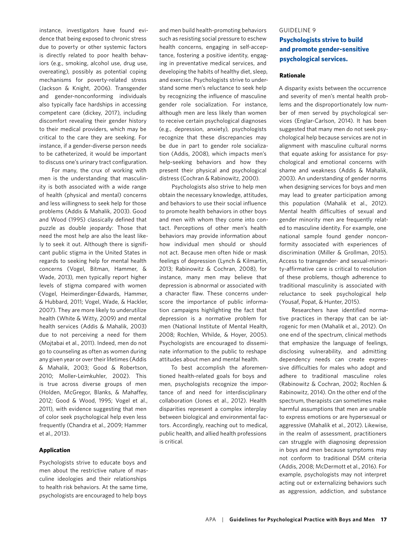instance, investigators have found evidence that being exposed to chronic stress due to poverty or other systemic factors is directly related to poor health behaviors (e.g., smoking, alcohol use, drug use, overeating), possibly as potential coping mechanisms for poverty-related stress (Jackson & Knight, 2006). Transgender and gender-nonconforming individuals also typically face hardships in accessing competent care (dickey, 2017), including discomfort revealing their gender history to their medical providers, which may be critical to the care they are seeking. For instance, if a gender-diverse person needs to be catheterized, it would be important to discuss one's urinary tract configuration.

For many, the crux of working with men is the understanding that masculinity is both associated with a wide range of health (physical and mental) concerns and less willingness to seek help for those problems (Addis & Mahalik, 2003). Good and Wood (1995) classically defined that puzzle as double jeopardy: Those that need the most help are also the least likely to seek it out. Although there is significant public stigma in the United States in regards to seeking help for mental health concerns (Vogel, Bitman, Hammer, & Wade, 2013), men typically report higher levels of stigma compared with women (Vogel, Heimerdinger-Edwards, Hammer, & Hubbard, 2011; Vogel, Wade, & Hackler, 2007). They are more likely to underutilize health (White & Witty, 2009) and mental health services (Addis & Mahalik, 2003) due to not perceiving a need for them (Mojtabai et al., 2011). Indeed, men do not go to counseling as often as women during any given year or over their lifetimes (Addis & Mahalik, 2003; Good & Robertson, 2010; Moller-Leimkuhler, 2002). This is true across diverse groups of men (Holden, McGregor, Blanks, & Mahaffey, 2012; Good & Wood, 1995; Vogel et al., 2011), with evidence suggesting that men of color seek psychological help even less frequently (Chandra et al., 2009; Hammer et al., 2013).

#### **Application**

Psychologists strive to educate boys and men about the restrictive nature of masculine ideologies and their relationships to health risk behaviors. At the same time, psychologists are encouraged to help boys

and men build health-promoting behaviors such as resisting social pressure to eschew health concerns, engaging in self-acceptance, fostering a positive identity, engaging in preventative medical services, and developing the habits of healthy diet, sleep, and exercise. Psychologists strive to understand some men's reluctance to seek help by recognizing the influence of masculine gender role socialization. For instance, although men are less likely than women to receive certain psychological diagnoses (e.g., depression, anxiety), psychologists recognize that these discrepancies may be due in part to gender role socialization (Addis, 2008), which impacts men's help-seeking behaviors and how they present their physical and psychological distress (Cochran & Rabinowitz, 2000).

Psychologists also strive to help men obtain the necessary knowledge, attitudes, and behaviors to use their social influence to promote health behaviors in other boys and men with whom they come into contact. Perceptions of other men's health behaviors may provide information about how individual men should or should not act. Because men often hide or mask feelings of depression (Lynch & Kilmartin, 2013; Rabinowitz & Cochran, 2008), for instance, many men may believe that depression is abnormal or associated with a character flaw. These concerns underscore the importance of public information campaigns highlighting the fact that depression is a normative problem for men (National Institute of Mental Health, 2008; Rochlen, Whilde, & Hoyer, 2005). Psychologists are encouraged to disseminate information to the public to reshape attitudes about men and mental health.

To best accomplish the aforementioned health-related goals for boys and men, psychologists recognize the importance of and need for interdisciplinary collaboration (Jones et al., 2012). Health disparities represent a complex interplay between biological and environmental factors. Accordingly, reaching out to medical, public health, and allied health professions is critical.

## GUIDELINE 9 **Psychologists strive to build and promote gender-sensitive psychological services.**

#### **Rationale**

A disparity exists between the occurrence and severity of men's mental health problems and the disproportionately low number of men served by psychological services (Englar-Carlson, 2014). It has been suggested that many men do not seek psychological help because services are not in alignment with masculine cultural norms that equate asking for assistance for psychological and emotional concerns with shame and weakness (Addis & Mahalik, 2003). An understanding of gender norms when designing services for boys and men may lead to greater participation among this population (Mahalik et al., 2012). Mental health difficulties of sexual and gender minority men are frequently related to masculine identity. For example, one national sample found gender nonconformity associated with experiences of discrimination (Miller & Grollman, 2015). Access to transgender- and sexual-minority-affirmative care is critical to resolution of these problems, though adherence to traditional masculinity is associated with reluctance to seek psychological help (Yousaf, Popat, & Hunter, 2015).

Researchers have identified normative practices in therapy that can be iatrogenic for men (Mahalik et al., 2012). On one end of the spectrum, clinical methods that emphasize the language of feelings, disclosing vulnerability, and admitting dependency needs can create expressive difficulties for males who adopt and adhere to traditional masculine roles (Rabinowitz & Cochran, 2002; Rochlen & Rabinowitz, 2014). On the other end of the spectrum, therapists can sometimes make harmful assumptions that men are unable to express emotions or are hypersexual or aggressive (Mahalik et al., 2012). Likewise, in the realm of assessment, practitioners can struggle with diagnosing depression in boys and men because symptoms may not conform to traditional DSM criteria (Addis, 2008; McDermott et al., 2016). For example, psychologists may not interpret acting out or externalizing behaviors such as aggression, addiction, and substance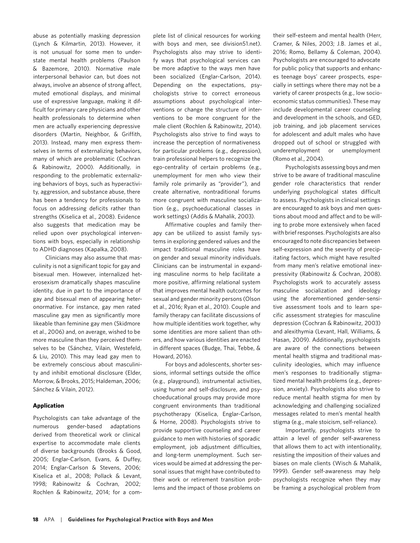abuse as potentially masking depression (Lynch & Kilmartin, 2013). However, it is not unusual for some men to understate mental health problems (Paulson & Bazemore, 2010). Normative male interpersonal behavior can, but does not always, involve an absence of strong affect, muted emotional displays, and minimal use of expressive language, making it difficult for primary care physicians and other health professionals to determine when men are actually experiencing depressive disorders (Martin, Neighbor, & Griffith, 2013). Instead, many men express themselves in terms of externalizing behaviors, many of which are problematic (Cochran & Rabinowitz, 2000). Additionally, in responding to the problematic externalizing behaviors of boys, such as hyperactivity, aggression, and substance abuse, there has been a tendency for professionals to focus on addressing deficits rather than strengths (Kiselica et al., 2008). Evidence also suggests that medication may be relied upon over psychological interventions with boys, especially in relationship to ADHD diagnoses (Kapalka, 2008).

Clinicians may also assume that masculinity is not a significant topic for gay and bisexual men. However, internalized heterosexism dramatically shapes masculine identity, due in part to the importance of gay and bisexual men of appearing heteronormative. For instance, gay men rated masculine gay men as significantly more likeable than feminine gay men (Skidmore et al., 2006) and, on average, wished to be more masculine than they perceived themselves to be (Sánchez, Vilain, Westefeld, & Liu, 2010). This may lead gay men to be extremely conscious about masculinity and inhibit emotional disclosure (Elder, Morrow, & Brooks, 2015; Haldeman, 2006; Sánchez & Vilain, 2012).

#### **Application**

Psychologists can take advantage of the numerous gender-based adaptations derived from theoretical work or clinical expertise to accommodate male clients of diverse backgrounds (Brooks & Good, 2005; Englar-Carlson, Evans, & Duffey, 2014; Englar-Carlson & Stevens, 2006; Kiselica et al., 2008; Pollack & Levant, 1998; Rabinowitz & Cochran, 2002; Rochlen & Rabinowitz, 2014; for a complete list of clinical resources for working with boys and men, see division51.net). Psychologists also may strive to identify ways that psychological services can be more adaptive to the ways men have been socialized (Englar-Carlson, 2014). Depending on the expectations, psychologists strive to correct erroneous assumptions about psychological interventions or change the structure of interventions to be more congruent for the male client (Rochlen & Rabinowitz, 2014). Psychologists also strive to find ways to increase the perception of normativeness for particular problems (e.g., depression), train professional helpers to recognize the ego-centrality of certain problems (e.g., unemployment for men who view their family role primarily as "provider"), and create alternative, nontraditional forums more congruent with masculine socialization (e.g., psychoeducational classes in work settings) (Addis & Mahalik, 2003).

Affirmative couples and family therapy can be utilized to assist family systems in exploring gendered values and the impact traditional masculine roles have on gender and sexual minority individuals. Clinicians can be instrumental in expanding masculine norms to help facilitate a more positive, affirming relational system that improves mental health outcomes for sexual and gender minority persons (Olson et al., 2016; Ryan et al., 2010). Couple and family therapy can facilitate discussions of how multiple identities work together, why some identities are more salient than others, and how various identities are enacted in different spaces (Budge, Thai, Tebbe, & Howard, 2016).

For boys and adolescents, shorter sessions, informal settings outside the office (e.g., playground), instrumental activities, using humor and self-disclosure, and psychoeducational groups may provide more congruent environments than traditional psychotherapy (Kiselica, Englar-Carlson, & Horne, 2008). Psychologists strive to provide supportive counseling and career guidance to men with histories of sporadic employment, job adjustment difficulties, and long-term unemployment. Such services would be aimed at addressing the personal issues that might have contributed to their work or retirement transition problems and the impact of those problems on

their self-esteem and mental health (Herr, Cramer, & Niles, 2003; J.B. James et al., 2016; Romo, Bellamy & Coleman, 2004). Psychologists are encouraged to advocate for public policy that supports and enhances teenage boys' career prospects, especially in settings where there may not be a variety of career prospects (e.g., low socioeconomic status communities). These may include developmental career counseling and development in the schools, and GED, job training, and job placement services for adolescent and adult males who have dropped out of school or struggled with underemployment or unemployment (Romo et al., 2004).

Psychologists assessing boys and men strive to be aware of traditional masculine gender role characteristics that render underlying psychological states difficult to assess. Psychologists in clinical settings are encouraged to ask boys and men questions about mood and affect and to be willing to probe more extensively when faced with brief responses. Psychologists are also encouraged to note discrepancies between self-expression and the severity of precipitating factors, which might have resulted from many men's relative emotional inexpressivity (Rabinowitz & Cochran, 2008). Psychologists work to accurately assess masculine socialization and ideology using the aforementioned gender-sensitive assessment tools and to learn specific assessment strategies for masculine depression (Cochran & Rabinowitz, 2003) and alexithymia (Levant, Hall, Williams, & Hasan, 2009). Additionally, psychologists are aware of the connections between mental health stigma and traditional masculinity ideologies, which may influence men's responses to traditionally stigmatized mental health problems (e.g., depression, anxiety). Psychologists also strive to reduce mental health stigma for men by acknowledging and challenging socialized messages related to men's mental health stigma (e.g., male stoicism, self-reliance).

Importantly, psychologists strive to attain a level of gender self-awareness that allows them to act with intentionality, resisting the imposition of their values and biases on male clients (Wisch & Mahalik, 1999). Gender self-awareness may help psychologists recognize when they may be framing a psychological problem from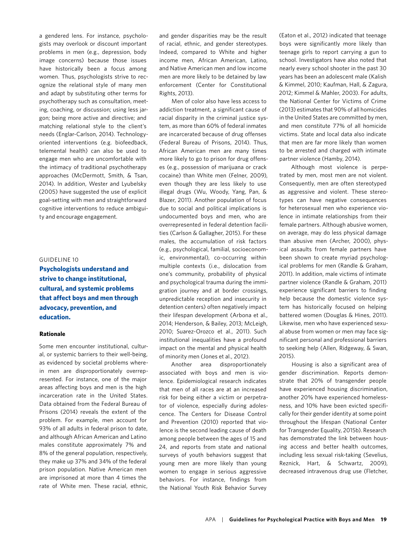a gendered lens. For instance, psychologists may overlook or discount important problems in men (e.g., depression, body image concerns) because those issues have historically been a focus among women. Thus, psychologists strive to recognize the relational style of many men and adapt by substituting other terms for psychotherapy such as consultation, meeting, coaching, or discussion; using less jargon; being more active and directive; and matching relational style to the client's needs (Englar-Carlson, 2014). Technologyoriented interventions (e.g. biofeedback, telemental health) can also be used to engage men who are uncomfortable with the intimacy of traditional psychotherapy approaches (McDermott, Smith, & Tsan, 2014). In addition, Wester and Lyubelsky (2005) have suggested the use of explicit goal-setting with men and straightforward cognitive interventions to reduce ambiguity and encourage engagement.

#### GUIDELINE 10

**Psychologists understand and strive to change institutional, cultural, and systemic problems that affect boys and men through advocacy, prevention, and education.**

#### **Rationale**

Some men encounter institutional, cultural, or systemic barriers to their well-being, as evidenced by societal problems wherein men are disproportionately overrepresented. For instance, one of the major areas affecting boys and men is the high incarceration rate in the United States. Data obtained from the Federal Bureau of Prisons (2014) reveals the extent of the problem. For example, men account for 93% of all adults in federal prison to date, and although African American and Latino males constitute approximately 7% and 8% of the general population, respectively, they make up 37% and 34% of the federal prison population. Native American men are imprisoned at more than 4 times the rate of White men. These racial, ethnic,

and gender disparities may be the result of racial, ethnic, and gender stereotypes. Indeed, compared to White and higher income men, African American, Latino, and Native American men and low income men are more likely to be detained by law enforcement (Center for Constitutional Rights, 2013).

Men of color also have less access to addiction treatment, a significant cause of racial disparity in the criminal justice system, as more than 60% of federal inmates are incarcerated because of drug offenses (Federal Bureau of Prisons, 2014). Thus, African American men are many times more likely to go to prison for drug offenses (e.g., possession of marijuana or crack cocaine) than White men (Felner, 2009), even though they are less likely to use illegal drugs (Wu, Woody, Yang, Pan, & Blazer, 2011). Another population of focus due to social and political implications is undocumented boys and men, who are overrepresented in federal detention facilities (Carlson & Gallagher, 2015). For these males, the accumulation of risk factors (e.g., psychological, familial, socioeconomic, environmental), co-occurring within multiple contexts (i.e., dislocation from one's community, probability of physical and psychological trauma during the immigration journey and at border crossings, unpredictable reception and insecurity in detention centers) often negatively impact their lifespan development (Arbona et al., 2014; Henderson, & Bailey, 2013; McLeigh, 2010; Suarez-Orozco et al., 2011). Such institutional inequalities have a profound impact on the mental and physical health of minority men (Jones et al., 2012).

Another area disproportionately associated with boys and men is violence. Epidemiological research indicates that men of all races are at an increased risk for being either a victim or perpetrator of violence, especially during adolescence. The Centers for Disease Control and Prevention (2010) reported that violence is the second leading cause of death among people between the ages of 15 and 24, and reports from state and national surveys of youth behaviors suggest that young men are more likely than young women to engage in serious aggressive behaviors. For instance, findings from the National Youth Risk Behavior Survey

(Eaton et al., 2012) indicated that teenage boys were significantly more likely than teenage girls to report carrying a gun to school. Investigators have also noted that nearly every school shooter in the past 30 years has been an adolescent male (Kalish & Kimmel, 2010; Kaufman, Hall, & Zagura, 2012; Kimmel & Mahler, 2003). For adults, the National Center for Victims of Crime (2013) estimates that 90% of all homicides in the United States are committed by men, and men constitute 77% of all homicide victims. State and local data also indicate that men are far more likely than women to be arrested and charged with intimate partner violence (Hamby, 2014).

Although most violence is perpetrated by men, most men are not violent. Consequently, men are often stereotyped as aggressive and violent. These stereotypes can have negative consequences for heterosexual men who experience violence in intimate relationships from their female partners. Although abusive women, on average, may do less physical damage than abusive men (Archer, 2000), physical assaults from female partners have been shown to create myriad psychological problems for men (Randle & Graham, 2011). In addition, male victims of intimate partner violence (Randle & Graham, 2011) experience significant barriers to finding help because the domestic violence system has historically focused on helping battered women (Douglas & Hines, 2011). Likewise, men who have experienced sexual abuse from women or men may face significant personal and professional barriers to seeking help (Allen, Ridgeway, & Swan, 2015).

Housing is also a significant area of gender discrimination. Reports demonstrate that 20% of transgender people have experienced housing discrimination, another 20% have experienced homelessness, and 10% have been evicted specifically for their gender identity at some point throughout the lifespan (National Center for Transgender Equality, 2015b). Research has demonstrated the link between housing access and better health outcomes, including less sexual risk-taking (Sevelius, Reznick, Hart, & Schwartz, 2009), decreased intravenous drug use (Fletcher,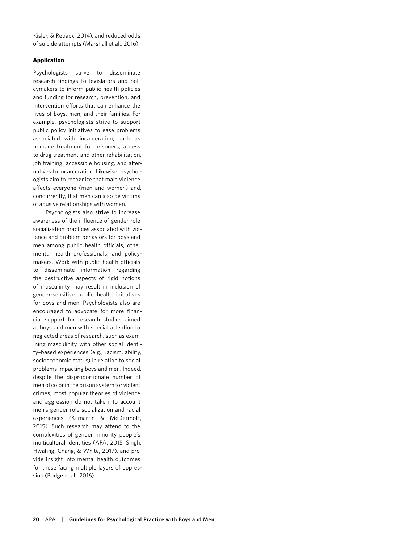Kisler, & Reback, 2014), and reduced odds of suicide attempts (Marshall et al., 2016).

#### **Application**

Psychologists strive to disseminate research findings to legislators and policymakers to inform public health policies and funding for research, prevention, and intervention efforts that can enhance the lives of boys, men, and their families. For example, psychologists strive to support public policy initiatives to ease problems associated with incarceration, such as humane treatment for prisoners, access to drug treatment and other rehabilitation, job training, accessible housing, and alternatives to incarceration. Likewise, psychologists aim to recognize that male violence affects everyone (men and women) and, concurrently, that men can also be victims of abusive relationships with women.

Psychologists also strive to increase awareness of the influence of gender role socialization practices associated with violence and problem behaviors for boys and men among public health officials, other mental health professionals, and policymakers. Work with public health officials to disseminate information regarding the destructive aspects of rigid notions of masculinity may result in inclusion of gender-sensitive public health initiatives for boys and men. Psychologists also are encouraged to advocate for more financial support for research studies aimed at boys and men with special attention to neglected areas of research, such as examining masculinity with other social identity–based experiences (e.g., racism, ability, socioeconomic status) in relation to social problems impacting boys and men. Indeed, despite the disproportionate number of men of color in the prison system for violent crimes, most popular theories of violence and aggression do not take into account men's gender role socialization and racial experiences (Kilmartin & McDermott, 2015). Such research may attend to the complexities of gender minority people's multicultural identities (APA, 2015; Singh, Hwahng, Chang, & White, 2017), and provide insight into mental health outcomes for those facing multiple layers of oppression (Budge et al., 2016).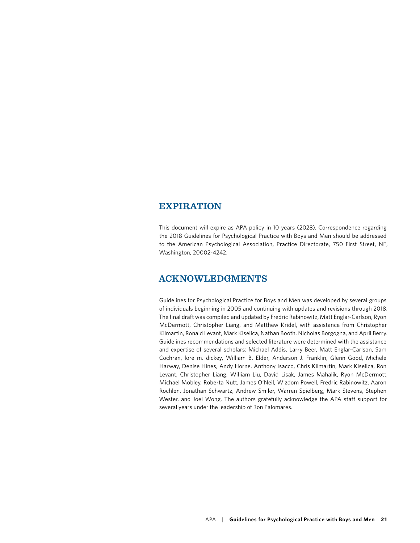## **EXPIRATION**

This document will expire as APA policy in 10 years (2028). Correspondence regarding the 2018 Guidelines for Psychological Practice with Boys and Men should be addressed to the American Psychological Association, Practice Directorate, 750 First Street, NE, Washington, 20002-4242.

## **ACKNOWLEDGMENTS**

Guidelines for Psychological Practice for Boys and Men was developed by several groups of individuals beginning in 2005 and continuing with updates and revisions through 2018. The final draft was compiled and updated by Fredric Rabinowitz, Matt Englar-Carlson, Ryon McDermott, Christopher Liang, and Matthew Kridel, with assistance from Christopher Kilmartin, Ronald Levant, Mark Kiselica, Nathan Booth, Nicholas Borgogna, and April Berry. Guidelines recommendations and selected literature were determined with the assistance and expertise of several scholars: Michael Addis, Larry Beer, Matt Englar-Carlson, Sam Cochran, lore m. dickey, William B. Elder, Anderson J. Franklin, Glenn Good, Michele Harway, Denise Hines, Andy Horne, Anthony Isacco, Chris Kilmartin, Mark Kiselica, Ron Levant, Christopher Liang, William Liu, David Lisak, James Mahalik, Ryon McDermott, Michael Mobley, Roberta Nutt, James O'Neil, Wizdom Powell, Fredric Rabinowitz, Aaron Rochlen, Jonathan Schwartz, Andrew Smiler, Warren Spielberg, Mark Stevens, Stephen Wester, and Joel Wong. The authors gratefully acknowledge the APA staff support for several years under the leadership of Ron Palomares.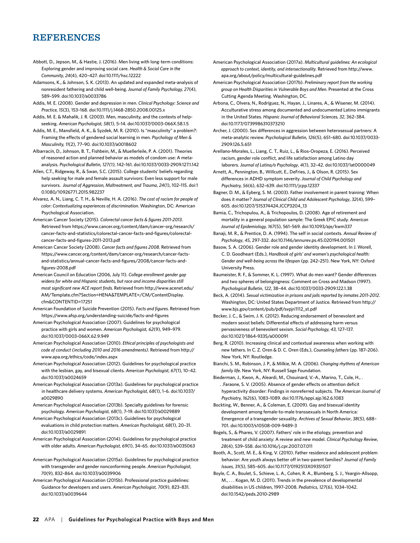## **REFERENCES**

- Abbott, D., Jepson, M., & Hastie, J. (2016). Men living with long-term conditions: Exploring gender and improving social care. *Health & Social Care in the Community, 24*(4), 420–427. doi:10.1111/hsc.12222
- Adamsons, K., & Johnson, S. K. (2013). An updated and expanded meta-analysis of nonresident fathering and child well-being. *Journal of Family Psychology, 27*(4), 589–599. doi:10.1037/a0033786
- Addis, M. E. (2008). Gender and depression in men. *Clinical Psychology: Science and Practice, 15*(3), 153–168. doi:10.1111/j.1468-2850.2008.00125.x
- Addis, M. E. & Mahalik, J. R. (2003). Men, masculinity, and the contexts of helpseeking. *American Psychologist, 58*(1), 5–14. doi:10.1037/0003-066X.58.1.5
- Addis, M. E., Mansfield, A. K., & Syzdek, M. R. (2010). Is "masculinity" a problem?: Framing the effects of gendered social learning in men. *Psychology of Men & Masculinity, 11*(2), 77–90. doi:10.1037/a0018602
- Albarracín, D., Johnson, B. T., Fishbein, M., & Muellerleile, P. A. (2001). Theories of reasoned action and planned behavior as models of condom use: A metaanalysis. *Psychological Bulletin, 127(1)*, 142–161. doi:10.1037/0033-2909.127.1.142
- Allen, C.T., Ridgeway, R., & Swan, S.C. (2015). College students' beliefs regarding help seeking for male and female assault survivors: Even less support for male survivors. *Journal of Aggression, Maltreatment, and Trauma*, *24*(1), 102–115. doi:1 0.1080/10926771.2015.982237
- Alvarez, A. N., Liang, C. T. H., & Neville, H. A. (2016). *The cost of racism for people of color: Contextualizing experiences of discrimination*. Washington, DC: American Psychological Association.
- American Cancer Society (2015). *Colorectal cancer facts & figures 2011-2013*. Retrieved from https://www.cancer.org/content/dam/cancer-org/research/ cancer-facts-and-statistics/colorectal-cancer-facts-and-figures/colorectalcancer-facts-and-figures-2011-2013.pdf
- American Cancer Society (2008). *Cancer facts and figures 2008*. Retrieved from https://www.cancer.org/content/dam/cancer-org/research/cancer-factsand-statistics/annual-cancer-facts-and-figures/2008/cancer-facts-andfigures-2008.pdf
- American Council on Education (2006, July 11). *College enrollment gender gap widens for white and Hispanic students, but race and income disparities still most significant new ACE report finds.* Retrieved from http://www.acenet.edu/ AM/Template.cfm?Section=HENA&TEMPLATE=/CM/ContentDisplay. cfm&CONTENTID=17251
- American Foundation of Suicide Prevention (2015). *Facts and figures*. Retrieved from <https://www.afsp.org/understanding-suicide/facts-and-figures>
- American Psychological Association (2007). Guidelines for psychological practice with girls and women. *American Psychologist, 62*(9), 949–979. doi:10.1037/0003-066X.62.9.949
- American Psychological Association (2010). *Ethical principles of psychologists and code of conduct (including 2010 and 2016 amendments)*. Retrieved from http:// www.apa.org/ethics/code/index.aspx
- American Psychological Association (2012). Guidelines for psychological practice with the lesbian, gay, and bisexual clients. *American Psychologist, 67*(1), 10–42. doi:10.1037/a0024659
- American Psychological Association (2013a). Guidelines for psychological practice in healthcare delivery systems. *American Psychologist, 68*(1), 1–6. doi:10.1037/ a0029890
- American Psychological Association (2013b). Specialty guidelines for forensic psychology. *American Psychologist, 68*(1), 7–19. doi:10.1037/a0029889
- American Psychological Association (2013c). Guidelines for psychological evaluations in child protection matters. *American Psychologist, 68*(1), 20–31. doi:10.1037/a0029891
- American Psychological Association (2014). Guidelines for psychological practice with older adults. *American Psychologist, 69*(1), 34–65. doi:10.1037/a0035063
- American Psychological Association (2015a). Guidelines for psychological practice with transgender and gender nonconforming people. *American Psychologist, 70*(9)*,* 832–864. doi:10.1037/a0039906

American Psychological Association (2015b). Professional practice guidelines: Guidance for developers and users. *American Psychologist, 70*(9), 823–831. doi:10.1037/a0039644

- American Psychological Association (2017a). *Multicultural guidelines: An ecological approach to context, identity, and intersectionality.* Retrieved from [http://www.](http://www.apa.org/about/policy/multicultural-guidelines.pdf) [apa.org/about/policy/multicultural-guidelines.pdf](http://www.apa.org/about/policy/multicultural-guidelines.pdf)
- American Psychological Association (2017b). *Preliminary report from the working group on Health Disparities in Vulnerable Boys and Men*. Presented at the Cross Cutting Agenda Meeting. Washington, DC.
- Arbona, C., Olvera, N., Rodríguez, N., Hayan, J., Linares, A., & Wisener, M. (2014). Acculturative stress among documented and undocumented Latino immigrants in the United States. *Hispanic Journal of Behavioral Sciences, 32*, 362–384. doi:10.1177/0739986310373210
- Archer, J. (2000). Sex differences in aggression between heterosexual partners: A meta-analytic review. *Psychological Bulletin, 126*(5), 651–680. doi:10.1037/0033- 2909.126.5.651
- Arellano-Morales, L., Liang, C. T., Ruiz, L., & Rios-Oropeza, E. (2016). Perceived racism, gender role conflict, and life satisfaction among Latino day laborers. *Journal of Latina/o Psychology*, *4*(1), 32–42. doi:10.1037/lat0000049
- Arnett, A., Pennington, B., Willcutt, E., DeFries, J., & Olson, R. (2015). Sex differences in ADHD symptom severity. *Journal of Child Psychology and Psychiatry, 56*(6), 632–639. doi:10.1111/jcpp.12337
- Bagner, D. M., & Eyberg, S. M. (2003). Father involvement in parent training: When does it matter? *Journal of Clinical Child and Adolescent Psychology*, *32*(4), 599– 605. doi:10.1207/S15374424.JCCP3204\_13
- Bamia, C., Trichopulou, A., & Trichopoulos, D. (2008). Age of retirement and mortality in a general population sample: The Greek EPIC study. *American Journal of Epidemiology, 167*(5), 561–569. doi:10.1093/aje/kwm337
- Banaji, M. R., & Prentice, D. A. (1994). The self in social contexts. *Annual Review of Psychology*, *45*, 297-332. doi:10.1146/annurev.ps.45.020194.001501
- Basow, S. A. (2006). Gender role and gender identity development. In J. Worell, C. D. Goodheart (Eds.), *Handbook of girls' and women's psychological health: Gender and well-being across the lifespan* (pp. 242–251). New York, NY: Oxford University Press.
- Baumeister, R. F., & Sommer, K. L. (1997). What do men want? Gender differences and two spheres of belongingness: Comment on Cross and Madson (1997). *Psychological Bulletin*, *122*, 38–44. doi:10.1037/0033-2909.122.1.38
- Beck, A. (2014). *Sexual victimization in prisons and jails reported by inmates 2011-2012*. Washington, DC: United States Department of Justice. Retrieved from [http://](http://www.bjs.gov/content/pub/pdf/svpjri1112_st.pdf) [www.bjs.gov/content/pub/pdf/svpjri1112\\_st.pdf](http://www.bjs.gov/content/pub/pdf/svpjri1112_st.pdf)
- Becker, J. C., & Swim, J. K. (2012). Reducing endorsement of benevolent and modern sexist beliefs: Differential effects of addressing harm versus pervasiveness of benevolent sexism. *Social Psychology, 43*, 127–137. doi:10.1027/1864-9335/a000091
- Berg, R. (2010). Increasing clinical and contextual awareness when working with new fathers. In C. Z. Oren & D. C. Oren (Eds.), *Counseling fathers* (pp. 187–206). New York, NY: Routledge.
- Bianchi, S. M., Robinson, J. P., & Milkie, M. A. (2006). *Changing rhythms of American family life.* New York, NY: Russell Sage Foundation.
- Biederman, J., Kwon, A., Aleardi, M., Chouinard, V.-A., Marino, T., Cole, H., . . .Faraone, S. V. (2005). Absence of gender effects on attention deficit hyperactivity disorder: Findings in nonreferred subjects. *The American Journal of Psychiatry, 162*(6), 1083–1089. doi:10.1176/appi.ajp.162.6.1083
- Bockting, W., Benner, A., & Coleman, E. (2009). Gay and bisexual identity development among female-to-male transsexuals in North America: Emergence of a transgender sexuality. *Archives of Sexual Behavior*, *38*(5), 688– 701. doi:10.1007/s10508-009-9489-3
- Bogels, S., & Phares, V. (2007). Fathers' role in the etiology, prevention and treatment of child anxiety: A review and new model. *Clinical Psychology Review*, *28*(4), 539–558. doi:10.1016/j.cpr.2007.07.011
- Booth, A., Scott, M. E., & King, V. (2010). Father residence and adolescent problem behavior: Are youth always better off in two-parent families? *Journal of Family Issues*, *31*(5), 585–605. doi:10.1177/0192513X09351507
- Boyle, C. A., Boulet, S., Schieve, L. A., Cohen, R. A., Blumberg, S. J., Yeargin-Allsopp, M., . . . Kogan, M. D. (2011). Trends in the prevalence of developmental disabilities in US children, 1997–2008. *Pediatrics, 127*(6), 1034–1042. doi:10.1542/peds.2010-2989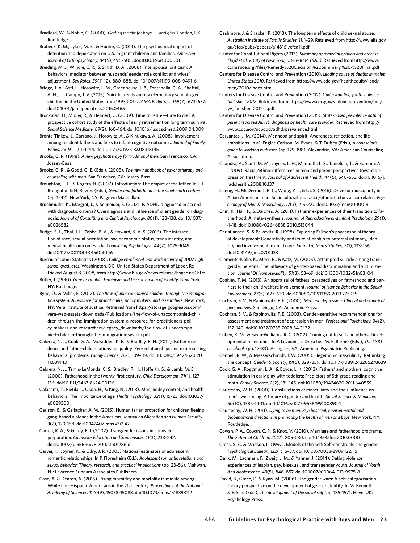Bradford, W., & Noble, C. (2000). *Getting it right for boys . . . and girls*. London, UK: Routledge.

Brabeck, K. M., Lykes, M. B., & Hunter, C. (2014). The psychosocial impact of detention and deportation on U.S. migrant children and families. *American Journal of Orthopsychiatry, 84*(5), 496–505. doi:10.1037/ort0000011

Breiding, M. J., Windle, C. R., & Smith, D. A. (2008). Interspousal criticism: A behavioral mediator between husbands' gender role conflict and wives' adjustment. *Sex Roles*, *59*(11-12), 880–888. doi:10.1007/s11199-008-9491-6

Bridge, J. A., Asti, L., Horowitz, L. M., Greenhouse, J. B., Fontanella, C. A., Sheftall, A. H., . . . Campo, J. V. (2015). Suicide trends among elementary school-aged children in the United States from 1993-2012*. JAMA Pediatrics*, *169*(7), 673–677. doi:10.1001/jamapediatrics.2015.0465

Brockman, H., Müller, R., & Helmert, U. (2009). Time to retire—time to die? A prospective cohort study of the effects of early retirement on long term survival*. Social Science Medicine, 69*(2), 160–164. doi:10.1016/j.socscimed.2009.04.009

Bronte-Tinkew, J., Carrano, J., Horowitz, A., & Kinukawa, A. (2008). Involvement among resident fathers and links to infant cognitive outcomes*. Journal of Family Issues*, *29*(9), 1211–1244. doi:10.1177/0192513X08318145

Brooks, G. R. (1998). *A new psychotherapy for traditional men*. San Francisco, CA: Jossey-Bass.

Brooks, G. R., & Good, G. E. (Eds.). (2005). *The new handbook of psychotherapy and counseling with men*. San Francisco, CA: Jossey-Bass.

Broughton, T. L., & Rogers, H. (2007). Introduction: The empire of the father. In T. L. Broughton & H. Rogers (Eds.), *Gender and fatherhood in the nineteenth century* (pp. 1–42). New York, NY: Palgrave Macmillan.

Bruchmüller, K., Margraf, J., & Schneider, S. (2012). Is ADHD diagnosed in accord with diagnostic criteria? Overdiagnosis and influence of client gender on diagnosis. *Journal of Consulting and Clinical Psychology, 80*(1), 128–138. doi:10.1037/ a0026582

Budge, S. L., Thai, J. L., Tebbe, E. A., & Howard, K. A. S. (2016). The intersection of race, sexual orientation, socioeconomic status, trans identity, and mental health outcomes. *The Counseling Psychologist, 44*(7), 1025–1049. doi:10.1177/0011000015609046

Bureau of Labor Statistics (2008). *College enrollment and work activity of 2007 high school graduates.* Washington, DC: United States Department of Labor. Retrieved August 8, 2008, from http://www.bls.gov/news.release/hsgec.nr0.htm

Butler, J. (1990). *Gender trouble: Feminism and the subversion of identity*. New York, NY: Routledge.

Byne, O., & Miller, E. (2012). *The flow of unaccompanied children through the immigration system: A resource for practitioners, policy makers, and researchers.* New York, NY: Vera Institute of Justice. Retrieved from https://storage.googleapis.com/ vera-web-assets/downloads/Publications/the-flow-of-unaccompanied-children-through-the-immigration-system-a-resource-for-practitioners-policy-makers-and-researchers/legacy\_downloads/the-flow-of-unaccompanied-children-through-the-immigration-system.pdf

Cabrera, N. J., Cook, G. A., McFadden, K. E., & Bradley, R. H. (2012). Father residence and father-child relationship quality: Peer relationships and externalizing behavioral problems. *Family Science*, *2*(2)*,* 109–119. doi:10.1080/19424620.20 11.639143

Cabrera, N. J., Tamis-LeMonda, C. S., Bradley, R. H., Hofferth, S., & Lamb, M. E. (2000). Fatherhood in the twenty-first century. *Child Development, 71*(1), 127– 136. doi:10.1111/1467-8624.00126

Calasanti, T., Pietilä, I., Ojala, H., & King, N. (2013). Men, bodily control, and health behaviors: The importance of age. *Health Psychology*, *32*(1), 15–23. doi:10.1037/ a0029300

Carlson, E., & Gallagher, A. M. (2015). Humanitarian protection for children fleeing gang-based violence in the Americas. *Journal on Migration and Human Security, 3*(2), 129–158. doi:10.14240/jmhs.v3i2.47

Carroll, R. A., & Gilroy, P. J. (2002). Transgender issues in counselor preparation. *Counselor Education and Supervision, 41*(3), 233–242. [doi:10.1002/j.1556-6978.2002.tb01286.x](https://doi.org/10.1002/j.1556-6978.2002.tb01286.x)

Carver, K., Joyner, K., & Udry, J. R. (2003) National estimates of adolescent romantic relationships. In P. Floresheim (Ed.), *Adolescent romantic relations and sexual behavior: Theory, research, and practical implications* (pp. 23–56). Mahwah, NJ: Lawrence Erlbaum Associates Publishers.

Case, A. & Deaton, A. (2015). Rising morbidity and mortality in midlife among White non-Hispanic Americans in the 21st century. *Proceedings of the National Academy of Sciences, 112*(49), 15078–15083. doi:10.1073/pnas.1518393112

Cashmore, J. & Shackel, R. (2013). The long term effects of child sexual abuse. *Australian Institute of Family Studies, 11*, 1–29. Retrieved from [http://www.aifs.gov.](http://www.aifs.gov.au/cfca/pubs/papers/a143161/cfca11.pdf) [au/cfca/pubs/papers/a143161/cfca11.pdf](http://www.aifs.gov.au/cfca/pubs/papers/a143161/cfca11.pdf)

Center for Constitutional Rights (2013). *Summary of remedial opinion and order in Floyd et al. v. City of New York, 08-cv-1034 (SAS)*. Retrieved from [http://www.](http://www.ccrjustice.org/files/Remedy%20Decision%20Summary%20-%20Final.pdf) [ccrjustice.org/files/Remedy%20Decision%20Summary%20-%20Final.pdf](http://www.ccrjustice.org/files/Remedy%20Decision%20Summary%20-%20Final.pdf)

Centers for Disease Control and Prevention (2010). *Leading cause of deaths in males United States 2010*. Retrieved from https://www.cdc.gov/healthequity/lcod/ men/2010/index.htm

Centers for Disease Control and Prevention (2012). *Understanding youth violence fact sheet 2012*. Retrieved from https://www.cdc.gov/violenceprevention/pdf/ yv\_factsheet2012-a.pdf

Centers for Disease Control and Prevention (2015). *State-based prevalence data of parent reported ADHD diagnosis by health care provider*. Retrieved from http:// www.cdc.gov/ncbddd/adhd/prevalence.html

Cervantes, J. M. (2014). Manhood and spirit: Awareness, reflection, and life transitions. In M. Englar-Carlson, M. Evans, & T. Duffey (Eds.), *A counselor's guide to working with men* (pp. 179–198). Alexandria, VA: American Counseling Association.

Chandra, A., Scott, M. M., Jaycox, L. H., Meredith, L. S., Tanielian, T., & Burnam, A. (2009). Racial/ethnic differences in teen and parent perspectives toward depression treatment. *Journal of Adolescent Health*, *44*(6), 546–553. doi:10.1016/j. jadohealth.2008.10.137

Cheng, H., McDermott, R. C., Wong, Y. J., & La, S. (2016). Drive for muscularity in Asian American men: Sociocultural and racial/ethnic factors as correlates. *Psychology of Men & Masculinity*, *17*(3), 215–227. doi:10.1037/men0000019

Chin, R., Hall, P., & Daiches, A. (2011). Fathers' experiences of their transition to fatherhood: A meta-synthesis. *Journal of Reproductive and Infant Psychology, 29*(1), 4–18. doi:10.1080/02646838.2010.513044

Christiansen, S. & Palkovitz, R. (1998). Exploring Erikson's psychosocial theory of development: Generativity and its relationship to paternal intimacy, identity and involvement in child care. *Journal of Men's Studies, 7*(1), 133–156. doi:10.3149/jms.0701.133

Clements-Nolle, K., Marx, R., & Katz, M. (2006). Attempted suicide among transgender persons: The influence of gender-based discrimination and victimization. *Journal Of Homosexuality*, *51*(3), 53–69. doi:10.1300/J082v51n03\_04

Coakley, T. M. (2013). An appraisal of fathers' perspectives on fatherhood and barriers to their child welfare involvement. *Journal of Human Behavior in the Social Environment*, *23*(5), 627–639. doi:10.1080/10911359.2013.775935

Cochran, S. V., & Rabinowitz, F. E. (2000)*. Men and depression: Clinical and empirical perspectives*. San Diego, CA: Academic Press.

Cochran, S. V., & Rabinowitz, F. E. (2003). Gender-sensitive recommendations for assessment and treatment of depression in men*. Professional Psychology, 34*(2), 132–140. doi:10.1037/0735-7028.34.2.132

Cohen, K. M., & Savin-Williams, R. C. (2012). Coming out to self and others: Developmental milestones. In P. Levounis, J. Drescher, M. E. Barber (Eds.), *The LGBT casebook* (pp. 17–33). Arlington, VA: American Psychiatric Publishing.

Connell, R. W., & Messerschmidt, J. W. (2005). Hegemonic masculinity: Rethinking the concept. *Gender & Society*, *19*(6), 829–859. doi:10.1177/0891243205278639

Cook, G. A., Roggman, L. A., & Boyce, L. K. (2012). Fathers' and mothers' cognitive stimulation in early play with toddlers: Predictors of 5th grade reading and math. *Family Science*, *2*(2), 131–145. doi:10.1080/19424620.2011.640559

Courtenay, W. H. (2000). Constructions of masculinity and their influence on men's well-being: A theory of gender and health. *Social Science & Medicine*, *50*(10), 1385–1401. doi:10.1016/s0277-9536(99)00390-1

Courtenay, W. H. (2011). *Dying to be men: Psychosocial, environmental and biobehavioral directions in promoting the health of men and boys.* New York, NY: Routledge.

Cowan, P. A., Cowan, C. P., & Knox, V. (2010). Marriage and fatherhood programs. *The Future of Children*, *20*(2), 205–230. doi:10.1353/foc.2010.0000

Cross, S. E., & Madson, L. (1997). Models of the self: Self-construals and gender. *Psychological Bulletin*, *122*(1), 5–37. doi:10.1037/0033-2909.122.1.5

Dank, M., Lachman, P., Zweig, J. M., & Yahner, J. (2014). Dating violence experiences of lesbian, gay, bisexual, and transgender youth. *Journal of Youth And Adolescence*, *43*(5), 846–857. doi:10.1007/s10964-013-9975-8

David, B., Grace, D. & Ryan, M. (2006). The gender wars: A self-categorisation theory perspective on the development of gender identity. In M. Bennett & F. Sani (Eds.), *The development of the social self* (pp. 135–157). Hove, UK: Psychology Press.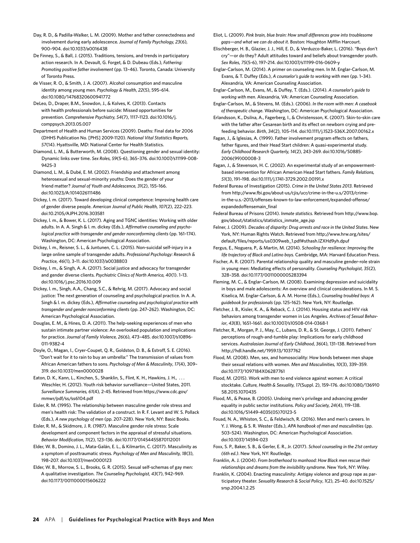- Day, R. D., & Padilla-Walker, L. M. (2009). Mother and father connectedness and involvement during early adolescence*. Journal of Family Psychology, 23*(6)*,* 900–904. doi:10.1037/a0016438
- De Finney, S., & Ball, J. (2015). Traditions, tensions, and trends in participatory action research. In A. Devault, G. Forget, & D. Dubeau (Eds.), *Fathering: Promoting positive father involvement* (pp. 13–46). Toronto, Canada: University of Toronto Press.
- de Visser, R. O., & Smith, J. A. (2007). Alcohol consumption and masculine identity among young men. *Psychology & Health*, *22*(5), 595–614. doi:10.1080/14768320600941772
- DeLeo, D., Draper, B.M., Snowdon, J., & Kolves, K. (2013). Contacts with health professionals before suicide: Missed opportunities for prevention. *Comprehensive Psychiatry, 54*(7), 1117–1123. doi:10.1016/j. comppsych.2013.05.007
- Department of Health and Human Services (2009). Deaths: Final data for 2006 (DHHS Publication No. [PHS] 2009-1120). *National Vital Statistics Reports, 57*(14). Hyattsville, MD: National Center for Health Statistics.
- Diamond, L. M., & Butterworth, M. (2008). Questioning gender and sexual identity: Dynamic links over time. *Sex Roles*, *59*(5-6), 365–376. doi:10.1007/s11199-008- 9425-3
- Diamond, L. M., & Dubé, E. M. (2002). Friendship and attachment among heterosexual and sexual-minority youths: Does the gender of your friend matter? *Journal of Youth and Adolescence, 31*(2), 155–166. doi:10.1023/A:1014026111486
- Dickey, l. m. (2017). Toward developing clinical competence: Improving health care of gender diverse people. *American Journal of Public Health, 107*(2), 222–223. doi:10.2105/AJPH.2016.303581
- Dickey, l. m., & Bower, K. L. (2017). Aging and TGNC identities: Working with older adults. In A. A. Singh & l. m. dickey (Eds.), *Affirmative counseling and psychological practice with transgender and gender nonconforming clients* (pp. 161–174). Washington, DC: American Psychological Association.
- Dickey, l. m., Reisner, S. L., & Juntunen, C. L. (2015). Non-suicidal self-injury in a large online sample of transgender adults. *Professional Psychology: Research & Practice, 46*(1)*,* 3–11. doi:10.1037/a0038803
- Dickey, l. m., & Singh, A. A. (2017). Social justice and advocacy for transgender and gender diverse clients. *Psychiatric Clinics of North America, 40*(1). 1–13. doi:10.1016/j.psc.2016.10.009
- Dickey, l. m., Singh, A.A., Chang, S.C., & Rehrig, M. (2017). Advocacy and social justice: The next generation of counseling and psychological practice. In A. A. Singh & l. m. dickey (Eds.), *Affirmative counseling and psychological practice with transgender and gender nonconforming clients* (pp. 247–262). Washington, DC: American Psychological Association.
- Douglas, E. M., & Hines, D. A. (2011). The help-seeking experiences of men who sustain intimate partner violence: An overlooked population and implications for practice. *Journal of Family Violence, 26*(6), 473–485. doi:10.1007/s10896- 011-9382-4
- Doyle, O., Magan, I., Cryer-Coupet, Q. R., Goldston, D. B., & Estroff, S. E. (2016). "Don't wait for it to rain to buy an umbrella:" The transmission of values from African American fathers to sons. *Psychology of Men & Masculinity*, *17*(4), 309– 319. doi:10.1037/men0000028
- Eaton, D. K., Kann, L., Kinchen, S., Shanklin, S., Flint, K. H., Hawkins, J. H., ... Weschler, H. (2012). Youth risk behavior survelliance—United States, 2011. *Surveillance Summaries, 61*(4)*,* 2-45. Retrieved from https://www.cdc.gov/ mmwr/pdf/ss/ss6104.pdf
- Eisler, R. M. (1995). The relationship between masculine gender role stress and men's health risk: The validation of a construct. In R. F. Levant and W. S. Pollack (Eds.), *A new psychology of men* (pp. 207–228). New York, NY: Basic Books.
- Eisler, R. M., & Skidmore, J. R. (1987). Masculine gender role stress: Scale development and component factors in the appraisal of stressful situations. *Behavior Modification, 11*(2), 123–136. doi:10.1177/01454455870112001
- Elder, W. B., Domino, J. L., Mata-Galán, E. L., & Kilmartin, C. (2017). Masculinity as a symptom of posttraumatic stress. *Psychology of Men and Masculinity, 18*(3), 198–207. doi:10.1037/men0000123
- Elder, W. B., Morrow, S. L., Brooks, G. R. (2015). Sexual self-schemas of gay men: A qualitative investigation. *The Counseling Psychologist, 43*(7), 942–969. doi:10.1177/0011000015606222

Eliot, L. (2009). *Pink brain, blue brain: How small differences grow into troublesome gaps—and what we can do about it*. Boston: Houghton Mifflin Harcourt.

- Elischberger, H. B., Glazier, J. J., Hill, E. D., & Verduzco-Baker, L. (2016). "Boys don't cry"—or do they? Adult attitudes toward and beliefs about transgender youth. *Sex Roles*, *75*(5-6), 197–214. doi:10.1007/s11199-016-0609-y
- Englar-Carlson, M. (2014). A primer on counseling men. In M. Englar-Carlson, M. Evans, & T. Duffey (Eds.), *A counselor's guide to working with men* (pp. 1–34). Alexandria, VA: American Counseling Association.
- Englar-Carlson, M., Evans, M., & Duffey, T. (Eds.). (2014). *A counselor's guide to working with men*. Alexandria, VA: American Counseling Association.
- Englar-Carlson, M., & Stevens, M. (Eds.). (2006). *In the room with men: A casebook of therapeutic change*. Washington, DC: American Psychological Association.
- Erlandsson, K., Dsilna, A., Fagerberg, I., & Christensson, K. (2007). Skin-to-skin care with the father after Cesarean birth and its effect on newborn crying and prefeeding behavior. *Birth*, *34*(2), 105–114. doi:10.1111/j.1523-536X.2007.00162.x
- Fagan, J., & Iglesias, A. (1999). Father involvement program effects on fathers, father figures, and their Head Start children: A quasi-experimental study. *Early Childhood Research Quarterly, 14*(2), 243–269. doi:10.1016/S0885- 2006(99)00008-3
- Fagan, J., & Stevenson, H. C. (2002). An experimental study of an empowermentbased intervention for African American Head Start fathers. *Family Relations, 51*(3), 191–198. doi:10.1111/j.1741-3729.2002.00191.x
- Federal Bureau of Investigation (2015). *Crime in the United States 2013*. Retrieved from http://www.fbi.gov/about-us/cjis/ucr/crime-in-the-u.s/2013/crimein-the-u.s.-2013/offenses-known-to-law-enforcement/expanded-offense/ expandedoffensemain\_final
- Federal Bureau of Prisons (2014). *Inmate statistics*. Retrieved from http://www.bop. gov/about/statistics/statistics\_inmate\_age.jsp
- Felner, J. (2009). *Decades of disparity: Drug arrests and race in the United States*. New York, NY: Human Rights Watch. Retrieved from http://www.hrw.org/sites/ default/files/reports/us0309web\_1.pdf#sthash.lZXHd9yh.dpuf
- Fergus, E., Noguera, P., & Martin, M. (2014). *Schooling for resilience: Improving the life trajectory of Black and Latino boys.* Cambridge, MA: Harvard Education Press.
- Fischer, A. R. (2007). Parental relationship quality and masculine gender-role strain in young men: Mediating effects of personality. *Counseling Psychologist, 35*(2)*,*  328–358. doi:10.1177/0011000005283394
- Fleming, M. C., & Englar-Carlson, M. (2008). Examining depression and suicidality in boys and male adolescents: An overview and clinical considerations. In M. S. Kiselica, M. Englar-Carlson, & A. M. Horne (Eds.), *Counseling troubled boys: A guidebook for professionals* (pp. 125–162). New York, NY: Routledge.
- Fletcher, J. B., Kisler, K. A., & Reback, C. J. (2014). Housing status and HIV risk behaviors among transgender women in Los Angeles. *Archives of Sexual Behavior*, *43*(8), 1651–1661. doi:10.1007/s10508-014-0368-1
- Fletcher, R., Morgan, P. J., May, C., Lubans, D. R., & St. George, J. (2011). Fathers' perceptions of rough-and-tumble play: Implications for early childhood services. *Australasian Journal of Early Childhood*, *36*(4), 131–138. Retrieved from <http://hdl.handle.net/1959.13/1037762>
- Flood, M. (2008). Men, sex, and homosociality: How bonds between men shape their sexual relations with women. *Men and Masculinities, 10*(3), 339–359. doi:10.1177/1097184X06287761
- Flood, M. (2015). Work with men to end violence against women: A critical stocktake. *Culture, Health & Sexuality, 17*(Suppl. 2), 159–176. doi:10.1080/136910 58.2015.1070435
- Flood, M., & Pease, B. (2005). Undoing men's privilege and advancing gender equality in public sector institutions. *Policy and Society, 24*(4), 119–138. doi:10.1016/S1449-4035(05)70123-5
- Fouad, N. A., Whiston, S. C., & Feldwisch, R. (2016). Men and men's careers. In Y. J. Wong, & S. R. Wester (Eds.), *APA handbook of men and masculinities* (pp. 503–524). Washington, DC: American Psychological Association. doi:10.1037/14594-023
- Foxx, S. P., Baker, S. B., & Gerler, E. R., Jr. (2017). *School counseling in the 21st century (6th ed.)*. New York, NY: Routledge.
- Franklin, A. J. (2004). *From brotherhood to manhood: How Black men rescue their relationships and dreams from the invisibility syndrome*. New York, NY: Wiley.
- Franklin, K. (2004). Enacting masculinity: Antigay violence and group rape as participatory theater. *Sexuality Research & Social Policy*, *1*(2), 25–40. doi:10.1525/ srsp.2004.1.2.25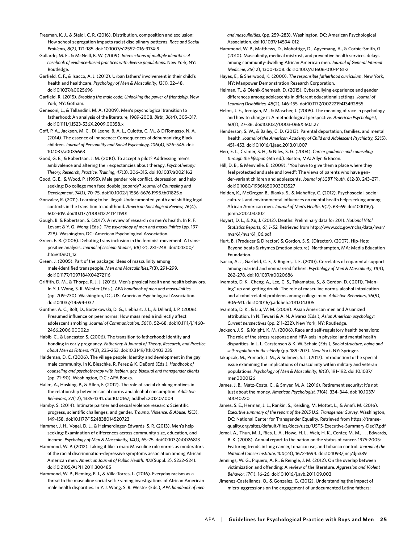Freeman, K. J., & Steidl, C. R. (2016). Distribution, composition and exclusion: How school segregation impacts racist disciplinary patterns. *Race and Social Problems*, *8*(2), 171–185. doi: 10.1007/s12552-016-9174-9

Gallardo, M. E., & McNeill, B. W. (2009). *Intersections of multiple identities: A casebook of evidence-based practices with diverse populations*. New York, NY: Routledge.

- Garfield, C. F., & Isacco, A. J. (2012). Urban fathers' involvement in their child's health and healthcare. *Psychology of Men & Masculinity*, *13*(1)*,* 32–48. doi:10.1037/a0025696
- Garfield, R. (2015). *Breaking the male code: Unlocking the power of friendship*. New York, NY: Gotham.

Genesoni, L., & Tallandini, M. A. (2009). Men's psychological transition to fatherhood: An analysis of the literature, 1989-2008. *Birth, 36*(4), 305–317. doi:10.1111/j.1523-536X.2009.00358.x

Goff, P. A., Jackson, M. C., Di Leone, B. A. L., Culotta, C. M., & DiTomasso, N. A. (2014). The essence of innocence: Consequences of dehumanizing Black children. *Journal of Personality and Social Psychology, 106*(4), 526–545. doi: 10.1037/a0035663

Good, G. E., & Robertson, J. M. (2010). To accept a pilot? Addressing men's ambivalence and altering their expectancies about therapy. *Psychotherapy: Theory, Research, Practice, Training*, *47*(3), 306–315. doi:10.1037/a0021162

Good, G. E., & Wood, P. (1995). Male gender role conflict, depression, and help seeking: Do college men face double jeopardy? *Journal of Counseling and Development*, *74*(1), 70–75. doi:10.1002/j.1556-6676.1995.tb01825.x

Gonzalez, R. (2011). Learning to be illegal: Undocumented youth and shifting legal contexts in the transition to adulthood. *American Sociological Review, 76*(4), 602–619. doi:10.1177/0003122411411901

Gough, B. & Robertson, S. (2017). A review of research on men's health. In R. F. Levant & Y. G. Wong (Eds.), *The psychology of men and masculinities* (pp. 197– 228). Washington, DC: American Psychological Association.

Green, E. R. (2006). Debating trans inclusion in the feminist movement: A transpositive analysis. *Journal of Lesbian Studies, 10*(1-2), 231–248. doi:10.1300/ J155v10n01\_12

Green, J. (2005). Part of the package: Ideas of masculinity among male-identified transpeople. *Men and Masculinities,7*(3), 291–299. doi:10.1177/1097184X04272116

Griffith, D. M., & Thorpe, R. J. J. (2016). Men's physical health and health behaviors. In Y. J. Wong, S. R. Wester (Eds.), *APA handbook of men and masculinities.* (pp. 709–730). Washington, DC, US: American Psychological Association. doi:10.1037/14594-032

Gunther, A. C., Bolt, D., Borzekowski, D. G., Liebhart, J. L., & Dillard, J. P. (2006). Presumed influence on peer norms: How mass media indirectly affect adolescent smoking. *Journal of Communication, 56*(1), 52–68. doi:10.1111/j.1460- 2466.2006.00002.x

Habib, C., & Lancaster, S. (2006). The transition to fatherhood: Identity and bonding in early pregnancy*. Fathering: A Journal of Theory, Research, and Practice about Men as Fathers, 4*(3), 235–253. doi:10.3149/fth.0403.235

Haldeman, D. C. (2006). The village people: Identity and development in the gay male community. In K. Bieschke, R. Perez & K. DeBord (Eds.), *Handbook of counseling and psychotherapy with lesbian, gay, bisexual and transgender clients* (pp. 71–90). Washington, D.C.: APA Books.

Halim, A., Hasking, P., & Allen, F. (2012). The role of social drinking motives in the relationship between social norms and alcohol consumption. *Addictive Behaviors*, *37*(12), 1335–1341. doi:10.1016/j.addbeh.2012.07.004

Hamby, S. (2014). Intimate partner and sexual violence research: Scientific progress, scientific challenges, and gender. *Trauma, Violence, & Abuse, 15*(3), 149–158. doi:10.1177/1524838014520723

Hammer, J. H., Vogel, D. L., & Heimerdinger-Edwards, S. R. (2013). Men's help seeking: Examination of differences across community size, education, and income. *Psychology of Men & Masculinity*, *14*(1)*,* 65–75. doi:10.1037/a0026813

Hammond, W. P. (2012). Taking it like a man: Masculine role norms as moderators of the racial discrimination–depressive symptoms association among African American men. *American Journal of Public Health, 102*(Suppl. 2), S232–S241. doi:10.2105/AJPH.2011.300485

Hammond, W. P., Fleming, P. J., & Villa-Torres, L. (2016). Everyday racism as a threat to the masculine social self: Framing investigations of African American male health disparities. In Y. J. Wong, S. R. Wester (Eds.), *APA handbook of men*  *and masculinities.* (pp. 259–283). Washington, DC: American Psychological Association. doi:10.1037/14594-012

Hammond, W. P., Matthews, D., Mohottige, D., Agyemang, A., & Corbie-Smith, G. (2010). Masculinity, medical mistrust, and preventive health services delays among community-dwelling African American men*. Journal of General Internal Medicine, 25*(12), 1300–1308. doi:10.1007/s11606-010-1481-z

Hayes, E., & Sherwood, K. (2000). *The responsible fatherhood curriculum*. New York, NY: Manpower Demonstration Research Corporation.

Heiman, T., & Olenik-Shemesh, D. (2015). Cyberbullying experience and gender differences among adolescents in different educational settings. *Journal of Learning Disabilities, 48*(2), 146–155. doi:10.1177/0022219413492855

Helms, J. E., Jernigan, M., & Mascher, J. (2005). The meaning of race in psychology and how to change it: A methodological perspective. *American Psychologist, 60*(1), 27–36. [doi:](http://dx.doi)10.1037/0003-066X.60.1.27

Henderson, S. W., & Bailey, C. D. (2013). Parental deportation, families, and mental health. *Journal of the American Academy of Child and Adolescent Psychiatry, 52*(5), 451–453. doi:10.1016/j.jaac.2013.01.007

Herr, E. L., Cramer, S. H., & Niles, S. G. (2004). *Career guidance and counseling through the lifespan* (6th ed.). Boston, MA: Allyn & Bacon.

Hill, D. B., & Menvielle, E. (2009). "You have to give them a place where they feel protected and safe and loved": The views of parents who have gender-variant children and adolescents. *Journal of LGBT Youth, 6*(2-3), 243–271. doi:10.1080/19361650903013527

Holden, K., McGregor, B., Blanks, S., & Mahaffey, C. (2012). Psychosocial, sociocultural, and environmental influences on mental health help-seeking among African American men. *Journal of Men's Health*, *9*(2), 63–69. doi:10.1016/j. iomh.2012.03.002

Hoyart, D. L., & Xu, J. (2012). Deaths: Preliminary data for 2011. *National Vital Statistics Reports, 61, 1–52.* Retrieved from http://www.cdc.gov/nchs/data/nvsr/ nvsr61/nvsr61\_06.pdf

Hurt, B. (Producer & Director) & Gordon, S. S. (Director). (2007). Hip-Hop: Beyond beats & rhymes [motion picture]. Northampton, MA: Media Education Foundation.

Isacco, A. J., Garfield, C. F., & Rogers, T. E. (2010). Correlates of coparental support among married and nonmarried fathers. *Psychology of Men & Masculinity*, *11*(4), 262–278. [doi:](http://dx.doi)10.1037/a0020686

Iwamoto, D. K., Cheng, A., Lee, C. S., Takamatsu, S., & Gordon, D. ( 2011). "Maning" up and getting drunk: The role of masculine norms, alcohol intoxication and alcohol-related problems among college men. *Addictive Behaviors*, *36*(9), 906–911. doi:10.1016/j.addbeh.2011.04.005

Iwamoto, D. K., & Liu, W. M. (2009). Asian American men and Asianized attribution. In N. Tewari & A. N. Alvarez (Eds.), *Asian American psychology: Current perspectives* (pp. 211–232). New York, NY: Routledge.

Jackson, J. S., & Knight, K. M. (2006). Race and self-regulatory health behaviors: The role of the stress response and HPA axis in physical and mental health disparities. In L. L. Carstensen & K. W. Schaie (Eds.), *Social structure, aging and self-regulation in the elderly* (pp. 189–207). New York, NY: Springer.

Jakupcak, M., Primack, J. M., & Solimeo, S. L. (2017). Introduction to the special issue examining the implications of masculinity within military and veteran populations. *Psychology of Men & Masculinity*, *18*(3), 191–192. doi:10.1037/ men0000126

James, J. B., Matz-Costa, C., & Smyer, M. A. (2016). Retirement security: It's not just about the money. *American Psychologist, 71*(4), 334–344. doi: 10.1037/ a0040220

James, S. E., Herman, J. L., Rankin, S., Keisling, M. Mottet, L., & Anafi, M. (2016). *Executive summary of the report of the 2015 U.S. Transgender Survey.* Washington, DC: National Center for Transgender Equality. Retrieved from https://transequality.org/sites/default/files/docs/usts/USTS-Executive-Summary-Dec17.pdf

Jemal, A., Thun, M. J., Ries, L. A., Howe, H. L., Weir, H. K., Center, M. M., . . . Edwards, B. K. (2008). Annual report to the nation on the status of cancer, 1975-2005: Featuring trends in lung cancer, tobacco use, and tobacco control. *Journal of the National Cancer Institute, 100*(23), 1672–1694. doi:10.1093/jnci/djn389

Jennings, W. G., Piquero, A. R., & Reingle, J. M. (2012). On the overlap between victimization and offending: A review of the literature. *Aggression and Violent Behavior, 17*(1), 16–26. doi:10.1016/j.avb.2011.09.003

Jimenez-Castellanos, O., & Gonzalez, G. (2012). Understanding the impact of micro-aggressions on the engagement of undocumented Latino fathers: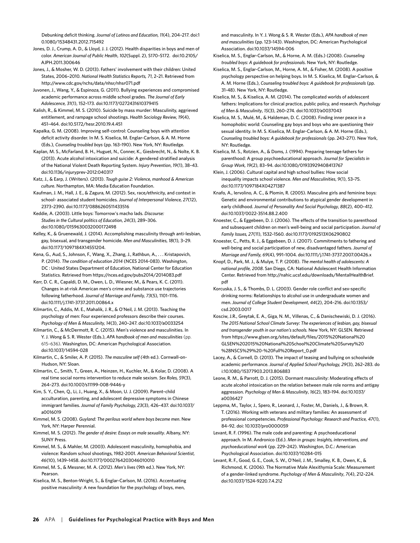Debunking deficit thinking. *Journal of Latinos and Education, 11*(4), 204–217. doi:1 0.1080/15348431.2012.715492

Jones, D. J., Crump, A. D., & Lloyd, J. J. (2012). Health disparities in boys and men of color. *American Journal of Public Health*, *102*(Suppl. 2), S170–S172. [doi:](http://dx.doi)10.2105/ AJPH.2011.300646

Jones, J., & Mosher, W. D. (2013). Fathers' involvement with their children: United States, 2006–2010. *National Health Statistics Reports, 71*, 2–21. Retrieved from http://www.cdc.gov/nchs/data/nhsr/nhsr071.pdf

Juvonen, J., Wang, Y., & Espinoza, G. (2011). Bullying experiences and compromised academic performance across middle school grades. *The Journal of Early Adolescence, 31*(1), 152–173. doi:10.1177/0272431610379415

Kalish, R., & Kimmel, M. S. (2010). Suicide by mass murder: Masculinity, aggrieved entitlement, and rampage school shootings. *Health Sociology Review, 19*(4), 451–464. doi:10.5172/hesr.2010.19.4.451

Kapalka, G. M. (2008). Improving self-control: Counseling boys with attention deficit activity disorder. In M. S. Kiselica, M. Englar-Carlson, & A. M. Horne (Eds.), *Counseling troubled boys* (pp. 163–190). New York, NY: Routledge.

Kaplan, M. S., McFarland, B. H., Huguet, N., Conner, K., Giesbrecht, N., & Nolte, K. B. (2013). Acute alcohol intoxication and suicide: A gendered stratified analysis of the National Violent Death Reporting System. *Injury Prevention*, *19*(1), 38–43. doi:10.1136/injuryprev-2012:040317

Katz, J., & Earp, J. (Writers). (2013). *Tough guise 2: Violence, manhood & American culture*. Northampton, MA: Media Education Foundation.

Kaufman, J. M., Hall, J. E., & Zagura, M. (2012). Sex, race/ethnicity, and context in school- associated student homicides. *Journal of Interpersonal Violence, 27*(12), 2373–2390. doi:10.1177/0886260511433516

Keddie, A. (2003). Little boys: Tomorrow's macho lads. *Discourse: Studies in the Cultural politics of Education*, *24*(3), 289–306. doi:10.1080/0159630032000172498

Kelley, K., & Gruenewald, J. (2014). Accomplishing masculinity through anti-lesbian, gay, bisexual, and transgender homicide. *Men and Masculinities*, *18*(1)*,* 3–29. doi:10.1177/1097184X14551204.

Kena, G., Aud, S., Johnson, F., Wang, X., Zhang, J., Rathbun, A., . . . Kristapovich, P. (2014). *The condition of education 2014* (NCES 2014-083). Washington, DC : United States Department of Education, National Center for Education Statistics. Retrieved from https://nces.ed.gov/pubs2014/2014083.pdf

Kerr, D. C. R., Capaldi, D. M., Owen, L. D., Wiesner, M., & Pears, K. C. (2011). Changes in at-risk American men's crime and substance use trajectories following fatherhood. *Journal of Marriage and Family, 73*(5), 1101–1116. doi:10.1111/j.1741-3737.2011.00864.x

Kilmartin, C., Addis, M. E., Mahalik, J. R., & O'Neil, J. M. (2013). Teaching the psychology of men: Four experienced professors describe their courses. *Psychology of Men & Masculinity, 14*(3), 240–247. doi:10.1037/a0033254

Kilmartin, C., & McDermott, R. C. (2015). Men's violence and masculinities. In Y. J. Wong & S. R. Wester (Eds.), *APA handbook of men and masculinities* (pp. 615–636). Washington, DC: American Psychological Association*.*  [doi:10.1037/14594-028](http://psycnet.apa.org/doi/10.1037/14594-028)

Kilmartin, C., & Smiler, A. P. (2015). *The masculine self (*4th ed.). Cornwall-on-Hudson, NY: Sloan.

Kilmartin, C., Smith, T., Green, A., Heinzen, H., Kuchler, M., & Kolar, D. (2008). A real time social norms intervention to reduce male sexism. *Sex Roles, 59*(3), 264–273. doi:10.1007/s11199-008-9446-y

Kim, S. Y., Chen, Q., Li, J., Huang, X., & Moon, U. J. (2009). Parent–child acculturation, parenting, and adolescent depressive symptoms in Chinese immigrant families. *Journal of Family Psychology, 23*(3), 426–437. [doi:10.1037/](http://psycnet.apa.org/doi/10.1037/a0016019) [a0016019](http://psycnet.apa.org/doi/10.1037/a0016019)

Kimmel, M. S. (2008). *Guyland: The perilous world where boys become men*. New York, NY: Harper Perennial.

Kimmel, M. S. (2012). *The gender of desire: Essays on male sexuality*. Albany, NY: SUNY Press.

Kimmel, M. S., & Mahler, M. (2003). Adolescent masculinity, homophobia, and violence: Random school shootings, 1982-2001. *American Behavioral Scientist, 46*(10)*,* 1439–1458. doi:10.1177/0002764203046010010

Kimmel, M. S., & Messner, M. A. (2012). *Men's lives* (9th ed.). New York, NY: Pearson.

Kiselica, M. S., Benton-Wright, S., & Englar-Carlson, M. (2016). Accentuating positive masculinity: A new foundation for the psychology of boys, men,

and masculinity. In Y. J. Wong & S. R. Wester (Eds.), *APA handbook of men and masculinities* (pp. 123–143). Washington, DC: American Psychological Association. doi:10.1037/14594-006

Kiselica, M. S., Englar-Carlson, M., & Horne, A. M. (Eds.) (2008). *Counseling troubled boys: A guidebook for professionals*. New York, NY: Routledge.

Kiselica, M. S., Englar-Carlson, M., Horne, A. M., & Fisher, M. (2008). A positive psychology perspective on helping boys. In M. S. Kiselica, M. Englar-Carlson, & A. M. Horne (Eds.), *Counseling troubled boys: A guidebook for professionals* (pp. 31-48). New York, NY: Routledge.

Kiselica, M. S., & Kiselica, A. M. (2014). The complicated worlds of adolescent fathers: Implications for clinical practice, public policy, and research. *Psychology of Men & Masculinity*, *15*(3), 260–274. doi:10.1037/a0037043

Kiselica, M. S., Mulé, M., & Haldeman, D. C. (2008). Finding inner peace in a homophobic world: Counseling gay boys and boys who are questioning their sexual identity. In M. S. Kiselica, M. Englar-Carlson, & A. M. Horne (Eds.), *Counseling troubled boys: A guidebook for professionals* (pp. 243–271). New York, NY: Routledge.

Kiselica, M. S., Rotzien, A., & Doms, J. (1994). Preparing teenage fathers for parenthood: A group psychoeducational approach. *Journal for Specialists in Group Work, 19*(2), 83–94. doi:10.1080/01933929408413767

Klein, J. (2006). Cultural capital and high school bullies: How social inequality impacts school violence. *Men and Masculinities*, *9*(1), 53–75. doi:10.1177/1097184X04271387

Knafo, A., Iervolino, A. C., & Plomin, R. (2005). Masculine girls and feminine boys: Genetic and environmental contributions to atypical gender development in early childhood. *Journal of Personality And Social Psychology*, *88*(2), 400–412. doi:10.1037/0022-3514.88.2.400

Knoester, C., & Eggebeen, D. J. (2006). The effects of the transition to parenthood and subsequent children on men's well-being and social participation. *Journal of Family Issues, 27*(11), 1532–1560. doi:10.1177/0192513X06290802

Knoester, C., Petts, R. J., & Eggebeen, D. J. (2007). Commitments to fathering and well-being and social participation of new, disadvantaged fathers. *Journal of Marriage and Family, 69*(4), 991–1004. doi:10.1111/j.1741-3737.2007.00426.x

Knopf, D., Park, M. J., & Mulye, T. P. (2008). *The mental health of adolescents: A national profile, 2008*. San Diego, CA: National Adolescent Health Information Center. Retrieved from http://nahic.ucsf.edu/downloads/MentalHealthBrief. pdf

Korcuska, J. S., & Thombs, D. L. (2003). Gender role conflict and sex-specific drinking norms: Relationships to alcohol use in undergraduate women and men. *Journal of College Student Development*, *44*(2), 204–216. doi:10.1353/ csd.2003.0017

Kosciw, J.R., Greytak, E. A., Giga, N. M., Villenas, C., & Danischewiski, D. J. (2016). *The 2015 National School Climate Survey: The experiences of lesbian, gay, bisexual and transgender youth in our nation's schools.* New York, NY: GLSEN. Retrieved from https://www.glsen.org/sites/default/files/2015%20National%20 GLSEN%202015%20National%20School%20Climate%20Survey%20 %28NSCS%29%20-%20Full%20Report\_0.pdf

Lacey, A., & Cornell, D. (2013). The impact of teasing and bullying on schoolwide academic performance*. Journal of Applied School Psychology, 29*(3), 262–283. do i:10.1080/15377903.2013.806883

Leone, R. M., & Parrott, D. J. (2015). Dormant masculinity: Moderating effects of acute alcohol intoxication on the relation between male role norms and antigay aggression. *Psychology of Men & Masculinity*, *16*(2), 183–194. doi:10.1037/ a0036427

Leppma, M., Taylor, J., Spero, R., Leonard, J., Foster, M., Daniels, J., & Brown, R. T. (2016). Working with veterans and military families: An assessment of professional competencies. *Professional Psychology: Research and Practice, 47*(1), 84–92. doi: 10.1037/pro0000059

Levant, R. F. (1996). The male code and parenting: A psychoeducational approach. In M. Andronico (Ed.). *Men in groups: Insights, interventions, and psychoeducational work* (pp. 229–242). Washington, D.C.: American Psychological Association. doi:10.1037/10284-015

Levant, R. F., Good, G. E., Cook, S. W., O'Neil, J. M., Smalley, K. B., Owen, K., & Richmond, K. (2006). The Normative Male Alexithymia Scale: Measurement of a gender-linked syndrome. *Psychology of Men & Masculinity*, *7*(4), 212–224. doi:10.1037/1524-9220.7.4.212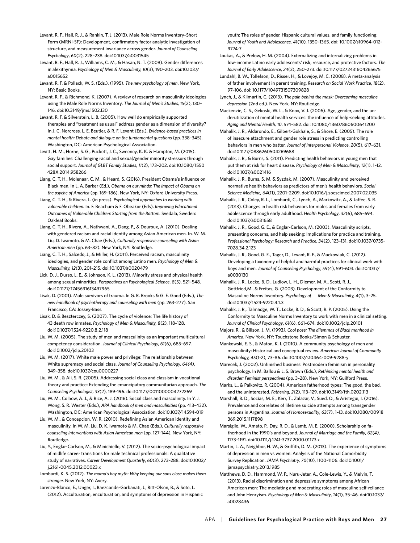Levant, R. F., Hall, R. J., & Rankin, T. J. (2013). Male Role Norms Inventory–Short Form (MRNI-SF): Development, confirmatory factor analytic investigation of structure, and measurement invariance across gender. *Journal of Counseling Psychology*, *60*(2), 228–238. doi:10.1037/a0031545

Levant, R. F., Hall, R. J., Williams, C. M., & Hasan, N. T. (2009). Gender differences in alexithymia. *Psychology of Men & Masculinity, 10*(3), 190–203. doi:10.1037/ a0015652

Levant, R. F. & Pollack, W. S. (Eds.). (1995). *The new psychology of men*. New York, NY: Basic Books.

Levant, R. F., & Richmond, K. (2007). A review of research on masculinity ideologies using the Male Role Norms Inventory. *The Journal of Men's Studies, 15*(2), 130– 146. doi:10.3149/jms.1502.130

Levant, R. F. & Silverstein, L. B. (2005). How well do empirically supported therapies and "treatment as usual" address gender as a dimension of diversity? In J. C. Norcross, L. E. Beutler, & R. F. Levant (Eds.), *Evidence-based practices in mental health: Debate and dialogue on the fundamental questions* (pp. 338–345). Washington, DC: American Psychological Association.

Levitt, H. M., Horne, S. G., Puckett, J. C., Sweeney, K. K. & Hampton, M. (2015). Gay families: Challenging racial and sexual/gender minority stressors through social support. *Journal of GLBT Family Studies, 11*(2), 173–202. doi:10.1080/1550 428X.2014.958266

Liang, C. T. H., Molenaar, C. M., & Heard, S. (2016). President Obama's influence on Black men. In L. A. Barker (Ed.), *Obama on our minds: The impact of Obama on the psyche of America* (pp. 169–186). New York, NY: Oxford University Press.

Liang, C. T. H., & Rivera, L. (in press). *Psychological approaches to working with vulnerable children.* In. F. Beachum & F. Obeakor (Eds). *Improving Educational Outcomes of Vulnerable Children: Starting from the Bottom.* Svedala, Sweden: Oakleaf Books.

Liang, C. T. H., Rivera, A., Nathwani, A., Dang, P., & Douroux, A. (2010). Dealing with gendered racism and racial identity among Asian American men. In. W. M. Liu, D. Iwamoto, & M. Chae (Eds.), *Culturally responsive counseling with Asian American men* (pp. 63–82)*.* New York, NY: Routledge.

Liang, C. T. H., Salcedo, J., & Miller, H. (2011). Perceived racism, masculinity ideologies, and gender role conflict among Latino men. *Psychology of Men & Masculinity, 12*(3), 201–215. doi:10.1037/a0020479

Lick, D. J., Durso, L. E., & Johnson, K. L. (2013). Minority stress and physical health among sexual minorities. *Perspectives on Psychological Science*, *8*(5), 521–548. doi:10.1177/1745691613497965

Lisak, D. (2001). Male survivors of trauma. In G. R. Brooks & G. E. Good (Eds.), *The new handbook of psychotherapy and counseling with men* (pp. 263–277). San Francisco, CA: Jossey-Bass.

Lisak, D. & Beszterczey, S. (2007). The cycle of violence: The life history of 43 death row inmates. *Psychology of Men & Masculinity, 8*(2), 118–128. doi:10.1037/1524-9220.8.2.118

Liu, W. M. (2005). The study of men and masculinity as an important multicultural competency consideration. *Journal of Clinical Psychology, 61*(6), 685–697. doi:10.1002/jclp.20103

Liu, W. M. (2017). White male power and privilege: The relationship between White supremacy and social class. *Journal of Counseling Psychology, 64(4)*, 349–358. [doi:10.1037/cou0000227](http://psycnet.apa.org/doi/10.1037/cou0000227)

Liu, W. M., & Ali, S. R. (2005). Addressing social class and classism in vocational theory and practice: Extending the emancipatory communitarian approach. *The Counseling Psychologist, 33*(2)*,* 189–196. doi:10.1177/0011000004272269

Liu, W. M., Colbow, A. J., & Rice, A. J. (2016). Social class and masculinity. In Y. J. Wong, S. R. Wester (Eds.), *APA handbook of men and masculinities* (pp. 413–432). Washington, DC: American Psychological Association. doi:10.1037/14594-019

Liu, W. M., & Concepcion, W. R. (2010). Redefining Asian American identity and masculinity. In W. M. Liu, D. K. Iwamoto & M. Chae (Eds.), *Culturally responsive counseling interventions with Asian American men* (pp. 127–144)*.* New York, NY: Routledge.

Liu, Y., Englar-Carlson, M., & Minichiello, V. (2012). The socio-psychological impact of midlife career transitions for male technical professionals: A qualitative study of narratives. *Career Development Quarterly*, *60*(3), 273–288. doi:10.1002/ j.2161-0045.2012.00023.x

Lombardi, K. S. (2012). *The mama's boy myth: Why keeping our sons close makes them stronger.* New York, NY: Avery.

Lorenzo-Blanco, E., Unger, I., Baezconde-Garbanati, J., Ritt-Olson, B., & Soto, L. (2012). Acculturation, enculturation, and symptoms of depression in Hispanic

youth: The roles of gender, Hispanic cultural values, and family functioning. *Journal of Youth and Adolescence, 41*(10), 1350–1365. doi: 10.1007/s10964-012- 9774-7

Loukas, A., & Prelow, H. M. (2004). Externalizing and internalizing problems in low-income Latino early adolescents' risk, resource, and protective factors. *The Journal of Early Adolescence*, *24*(3), 250–273. doi:10.1177/0272431604265675

Lundahl, B. W., Tollefson, D., Risser, H., & Lovejoy, M. C. (2008). A meta-analysis of father involvement in parent training. *Research on Social Work Practice*, *18*(2), 97–106. doi: 10.1177/1049731507309828

Lynch, J., & Kilmartin, C. (2013). *The pain behind the mask: Overcoming masculine depression* (2nd ed.). New York, NY: Routledge.

Mackenzie, C. S., Gekoski, W. L., & Knox, V. J. (2006). Age, gender, and the underutilization of mental health services: the influence of help-seeking attitudes. *Aging and Mental Health, 10*, 574–582. doi: 10.1080/13607860600641200

Mahalik, J. R., Aldarondo, E., Gilbert-Gokhale, S., & Shore, E. (2005). The role of insecure attachment and gender role stress in predicting controlling behaviors in men who batter. *Journal of Interpersonal Violence*, *20*(5), 617–631. doi:10.1177/0886260504269688

Mahalik, J. R., & Burns, S. (2011). Predicting health behaviors in young men that put them at risk for heart disease. *Psychology of Men & Masculinity*, *12*(1), 1–12. doi:10.1037/a0021416

Mahalik, J. R., Burns, S. M. & Syzdak, M. (2007). Masculinity and perceived normative health behaviors as predictors of men's health behaviors. *Social Science Medicine, 64*(11), 2201–2209. doi:10.1016/j.socscimed.2007.02.035

Mahalik, J. R., Coley, R. L., Lombardi, C., Lynch, A., Markowitz, A., & Jaffee, S. R. (2013). Changes in health risk behaviors for males and females from early adolescence through early adulthood. *Health Psychology*, *32*(6), 685–694. [doi:10.1037/a0031658](http://dx.doi.org/10.1037/a0031658)

Mahalik, J. R., Good, G. E., & Englar-Carlson, M. (2003). Masculinity scripts, presenting concerns, and help seeking: Implications for practice and training. *Professional Psychology: Research and Practice*, *34*(2), 123–131. [doi:10.1037/0735-](http://dx.doi.org/10.1037/0735-7028.34.2.123) [7028.34.2.123](http://dx.doi.org/10.1037/0735-7028.34.2.123)

Mahalik, J. R., Good, G. E., Tager, D., Levant, R. F., & Mackowiak, C. (2012). Developing a taxonomy of helpful and harmful practices for clinical work with boys and men. *Journal of Counseling Psychology*, *59*(4), 591–603. doi:10.1037/ a0030130

Mahalik, J. R., Locke, B. D., Ludlow, L. H., Diemer, M. A., Scott, R. J., Gottfried,M., & Freitas, G. (2003). Development of the Conformity to Masculine Norms Inventory. *Psychology of Men & Masculinity, 4*(1), 3–25. doi:10.1037/1524-9220.4.1.3

Mahalik, J. R., Talmadge, W. T., Locke, B. D., & Scott, R. P. (2005). Using the Conformity to Masculine Norms Inventory to work with men in a clinical setting. *Journal of Clinical Psychology*, *61*(6), 661–674. doi:10.1002/jclp.20101

Majors, R., & Billson, J. M. (1993*). Cool pose: The dilemmas of Black manhood in America*. New York, NY: Touchstone Books/Simon & Schuster.

Mankowski, E. S., & Maton, K. I. (2010). A community psychology of men and masculinity: Historical and conceptual review. *American Journal of Community Psychology, 45*(1-2), 73–86. doi:10.1007/s10464-009-9288-y

Marecek, J. (2002). Unfinished business: Postmodern feminism in personality psychology. In M. Ballou & L. S. Brown (Eds.), *Rethinking mental health and disorder: Feminist perspectives* (pp. 3–28). New York, NY: Guilford Press.

Marks, L., & Palkovitz, R. (2004). American fatherhood types: The good, the bad, and the uninterested. *Fathering, 2*(2)*,* 113–129. doi:10.3149/fth.0202.113

Marshall, B. D., Socías, M. E., Kerr, T., Zalazar, V., Sued, O., & Arístegui, I. (2016). Prevalence and correlates of lifetime suicide attempts among transgender persons in Argentina. *Journal of Homosexuality*, *63*(7), 1–13. doi:10.1080/00918 369.2015.1117898

Marsiglio, W., Amato, P., Day, R. D., & Lamb, M. E. (2000). Scholarship on fatherhood in the 1990's and beyond. *Journal of Marriage and the Family*, *62(4)*, 1173–1191. doi:10.1111/j.1741-3737.2000.01173.x

Martin, L. A., Neighbor, H. W., & Griffith, D. M. (2013). The experience of symptoms of depression in men vs women: Analysis of the National Comorbidity Survey Replication. *JAMA Psychiatry, 70*(10), 1100–1106. doi:10.1001/ jamapsychiatry.2013.1985

Matthews, D. D., Hammond, W. P., Nuru-Jeter, A., Cole-Lewis, Y., & Melvin, T. (2013). Racial discrimination and depressive symptoms among African American men: The mediating and moderating roles of masculine self-reliance and John Henryism. *Psychology of Men & Masculinity*, *14*(1), 35–46. doi:10.1037/ a0028436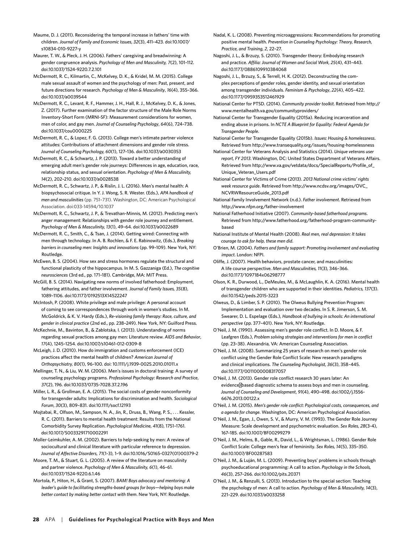- Maume, D. J. (2011). Reconsidering the temporal increase in fathers' time with children. *Journal of Family and Economic Issues*, *32*(3), 411–423. doi:10.1007/ s10834-010-9227-y
- Maurer, T. W., & Pleck, J. H. (2006). Fathers' caregiving and breadwinning: A gender congruence analysis. *Psychology of Men and Masculinity, 7*(2), 101–112. doi:10.1037/1524-9220.7.2.101
- McDermott, R. C., Kilmartin, C., McKelvey, D. K., & Kridel, M. M. (2015). College male sexual assault of women and the psychology of men: Past, present, and future directions for research. *Psychology of Men & Masculinity*, *16*(4), 355–366. doi:10.1037/a0039544
- McDermott, R. C., Levant, R. F., Hammer, J. H., Hall, R. J., McKelvey, D. K., & Jones, Z. (2017). Further examination of the factor structure of the Male Role Norms Inventory-Short Form (MRNI-SF): Measurement considerations for women, men of color, and gay men. *Journal of Counseling Psychology*, *64*(6), 724–738. doi:10.1037/cou0000225
- McDermott, R. C., & Lopez, F. G. (2013). College men's intimate partner violence attitudes: Contributions of attachment dimensions and gender role stress. *Journal of Counseling Psychology, 60*(1), 127–136. doi:10.1037/a0030353
- McDermott, R. C., & Schwartz, J. P. (2013). Toward a better understanding of emerging adult men's gender role journeys: Differences in age, education, race, relationship status, and sexual orientation. *Psychology of Men & Masculinity, 14*(2), 202–210. doi:10.1037/a0028538
- McDermott, R. C., Schwartz, J. P., & Rislin, J. L. (2016). Men's mental health: A biopsychosocial critique. In Y. J. Wong, S. R. Wester. (Eds.), *APA handbook of men and masculinities* (pp. 751–731). Washington, DC: American Psychological Association. doi:033-14594/10.1037
- McDermott, R. C., Schwartz, J. P., & Trevathan-Minnis, M. (2012). Predicting men's anger management: Relationships with gender role journey and entitlement. *Psychology of Men & Masculinity, 13*(1), 49–64. doi:10.1037/a0022689
- McDermott, R. C., Smith, C., & Tsan, J. (2014). Getting wired: Connecting with men through technology. In A. B. Rochlen, & F. E. Rabinowitz, (Eds.), *Breaking barriers in counseling men: Insights and innovations* (pp. 99–109). New York, NY: Routledge.
- McEwen, B. S. (2004). How sex and stress hormones regulate the structural and functional plasticity of the hippocampus. In M. S. Gazzaniga (Ed.), *The cognitive neurosciences* (3rd ed., pp. 171–181). Cambridge, MA: MIT Press.
- McGill, B. S. (2014). Navigating new norms of involved fatherhood: Employment, fathering attitudes, and father involvement. *Journal of Family Issues, 35*(8), 1089–1106. [doi:10.1177/0192513X14522247](https://doi.org/10.1177%2F0192513X14522247)
- McIntosh, P. (2008). White privilege and male privilege: A personal account of coming to see correspondences through work in women's studies. In M. McGoldrick, & K. V. Hardy (Eds.), *Re-visioning family therapy: Race, culture, and gender in clinical practice* (2nd ed., pp. 238–249). New York, NY: Guilford Press.
- McKechnie, M., Bavinton, B., & Zablotska, I. (2013). Understanding of norms regarding sexual practices among gay men: Literature review. *AIDS and Behavior*, *17*(4), 1245–1254. doi:10.1007/s10461-012-0309-8
- McLeigh, J. D. (2010). How do immigration and customs enforcement (ICE) practices affect the mental health of children? *American Journal of Orthopsychiatry, 80*(1), 96–100. doi: 10.1111/j.1939-0025.2010.01011.x
- Mellinger, T. N., & Liu, W. M. (2006). Men's issues in doctoral training: A survey of counseling psychology programs. *Professional Psychology: Research and Practice*, *37*(2), 196. doi:10.1037/0735-7028.37.2.196
- Miller, L. R., & Grollman, E. A. (2015). The social costs of gender nonconformity for transgender adults: Implications for discrimination and health. *Sociological Forum*, *30*(3), 809–831. doi:10.1111/socf.12193
- Mojtabai, R., Olfson, M., Sampson, N. A., Jin, R., Druss, B., Wang, P. S., . . . Kessler, R. C. (2011). Barriers to mental health treatment: Results from the National Comorbidity Survey Replication. *Psychological Medicine, 41*(8), 1751–1761. doi:10.1017/S0033291710002291
- Moller-Leimkuhler, A. M. (2002). Barriers to help-seeking by men: A review of sociocultural and clinical literature with particular reference to depression. *Journal of Affective Disorders*, *71*(1-3)*,* 1–9. doi:10.1016/S0165-0327(01)00379-2
- Moore, T. M., & Stuart, G. L. (2005). A review of the literature on masculinity and partner violence. *Psychology of Men & Masculinity, 6*(1), 46–61. doi:10.1037/1524-9220.6.1.46

Mortola, P., Hiton, H., & Grant, S. (2007). *BAM! Boys advocacy and mentoring: A leader's guide to facilitating strengths-based groups for boys—helping boys make better contact by making better contact with them*. New York, NY: Routledge.

- Nadal, K. L. (2008). Preventing microaggressions: Recommendations for promoting positive mental health. *Prevention in Counseling Psychology: Theory, Research, Practice, and Training, 2*, 22–27.
- Nagoshi, J. L., & Brzuzy, S. (2010). Transgender theory: Embodying research and practice. *Affilia: Journal of Women and Social Work, 25*(4), 431–443. doi:10.1177/0886109910384068
- Nagoshi, J. L., Brzuzy, S., & Terrell, H. K. (2012). Deconstructing the complex perceptions of gender roles, gender identity, and sexual orientation among transgender individuals. *Feminism & Psychology*, *22*(4), 405–422. doi:10.1177/0959353512461929
- National Center for PTSD. (2014). *Community provider toolkit.* Retrieved from http:// www.mentalhealth.va.gov/communityproviders/
- National Center for Transgender Equality (2015a). Reducing incarceration and ending abuse in prisons. In *NCTE A Blueprint for Equality: Federal Agenda for Transgender People*.
- National Center for Transgender Equality (2015b). *Issues: Housing & homelessness*. Retrieved from <http://www.transequality.org/issues/housing-homelessness>
- National Center for Veterans Analysis and Statistics (2014). *Unique veterans user report, FY 2013*. Washington, DC: United States Department of Veterans Affairs. Retrieved from http://www.va.gov/vetdata/docs/SpecialReports/Profile\_of\_ Unique\_Veteran\_Users.pdf
- National Center for Victims of Crime (2013). *2013 National crime victims' rights week resource guide*. Retrieved from http://www.ncdsv.org/images/OVC\_ NCVRWResourceGuide\_2013.pdf
- National Family Involvement Network (n.d.). *Father involvement*. Retrieved from http://www.nfpn.org/father-involvement
- National Fatherhood Initiative (2007). *Community-based fatherhood programs*. Retrieved from http://www.fatherhood.org/fatherhood-program-communitybased
- National Institute of Mental Health (2008). *Real men, real depression: It takes courage to ask for help, these men did*.
- O'Brien, M. (2004). *Fathers and family support: Promoting involvement and evaluating impact.* London: NFPI.
- Oliffe, J. (2007). Health behaviors, prostate cancer, and masculinities: A life course perspective. *Men and Masculinities, 11*(3)*,* 346–366. doi:10.1177/1097184x06298777
- Olson, K. R., Durwood, L., DeMeules, M., & McLaughlin, K. A. (2016). Mental health of transgender children who are supported in their identities. *Pediatrics, 137*(3). doi:10.1542/peds.2015-3223
- Olweus, D., & Limber, S. P. (2010). The Olweus Bullying Prevention Program: Implementation and evaluation over two decades. In S. R. Jimerson, S. M. Swearer, D. L. Espelage (Eds.), *Handbook of bullying in schools: An international perspective* (pp. 377–401). New York, NY: Routledge.
- O'Neil, J. M. (1990). Assessing men's gender role conflict. In D. Moore, & F. Leafgren (Eds.), *Problem solving strategies and interventions for men in conflict* (pp. 23–38). Alexandria, VA: American Counseling Association.
- O'Neil, J. M. (2008). Summarizing 25 years of research on men's gender role conflict using the Gender Role Conflict Scale: New research paradigms and clinical implications. *The Counseling Psychologist, 36*(3), 358–445. doi:10.1177/0011000008317057
- O'Neil, J. M. (2013). Gender role conflict research 30 years later: An evidence based diagnostic schema to assess boys and men in counseling. *Journal of Counseling and Development*, *91*(4), 490–498. doi:1002/j.1556- 6676.2013.00122.x
- O'Neil, J. M. (2015). *Men's gender role conflict: Psychological costs, consequences, and a agenda for change.* Washington, DC: American Psychological Association.
- O'Neil, J. M., Egan, J., Owen, S. V., & Murry, V. M. (1993). The Gender Role Journey Measure: Scale development and psychometric evaluation. *Sex Roles, 28*(3-4), 167–185. doi:10.1007/BF00299279
- O'Neil, J. M., Helms, B., Gable, R., David, L., & Wrightsman, L. (1986). Gender Role Conflict Scale: College men's fear of femininity. *Sex Roles, 14*(5), 335–350. doi:10.1007/BF00287583
- O'Neil, J. M., & Luján, M. L. (2009). Preventing boys' problems in schools through psychoeducational programming: A call to action. *Psychology in the Schools, 46*(3), 257–266. doi:10.1002/pits.20371
- O'Neil, J. M., & Renzulli, S. (2013). Introduction to the special section: Teaching the psychology of men: A call to action. *Psychology of Men & Masculinity, 14*(3), 221–229. doi:10.1037/a0033258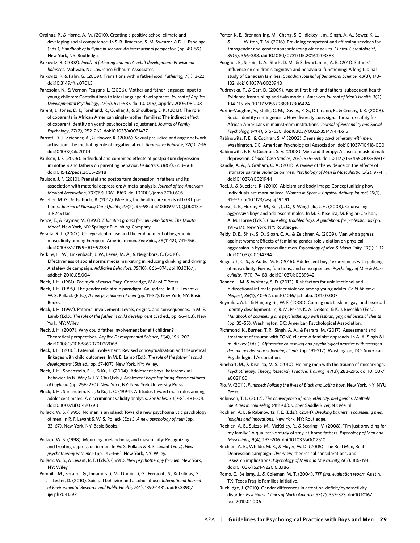Orpinas, P., & Horne, A. M. (2010). Creating a positive school climate and developing social competence. In S. R. Jimerson, S. M. Swearer, & D. L. Espelage (Eds.), *Handbook of bullying in schools: An international perspective* (pp. 49–59). New York, NY: Routledge.

Palkovitz, R. (2002). *Involved fathering and men's adult development: Provisional balances*. Mahwah, NJ: Lawrence Erlbaum Associates.

Palkovitz, R. & Palm, G. (2009). Transitions within fatherhood. *Fathering, 7*(1), 3–22. doi:10.3149/fth.0701.3

Pancsofar, N., & Vernon-Feagans, L. (2006). Mother and father language input to young children: Contributions to later language development. *Journal of Applied Developmental Psychology*, *27*(6), 571–587. doi:10.1016/j.appdev.2006.08.003

Parent, J., Jones, D. J., Forehand, R., Cuellar, J., & Shoulberg, E. K. (2013). The role of coparents in African American single-mother families: The indirect effect of coparent identity on youth psychosocial adjustment. *Journal of Family Psychology*, *27*(2), 252–262. doi:10.1037/a0031477

Parrott, D. J., Zeichner, A., & Hoover, R. (2006). Sexual prejudice and anger network activation: The mediating role of negative affect. *Aggressive Behavior, 32*(1), 7–16. doi:10.1002/ab.20101

Paulson, J. F. (2006). Individual and combined effects of postpartum depression in mothers and fathers on parenting behavior. *P*e*diatrics, 118*(2), 658–668. doi:10.1542/peds.2005-2948

Paulson, J. F. (2010). Prenatal and postpartum depression in fathers and its association with material depression: A meta-analysis. *Journal of the American Medical Association, 303*(19), 1961–1969. doi:10.1001/jama.2010.605

Pelletier, M. G., & Tschurtz, B. (2012). Meeting the health care needs of LGBT patients. *Journal of Nursing Care Quality, 27*(2), 95–98[. doi:10.1097/NCQ.0b013e-](https://doi.org/10.1097/NCQ.0b013e31824911ac)[31824911ac](https://doi.org/10.1097/NCQ.0b013e31824911ac)

Pence, E., & Paymar, M. (1993). *Education groups for men who batter: The Duluth Model*. New York, NY: Springer Publishing Company.

Peralta, R. L. (2007). College alcohol use and the embodiment of hegemonic masculinity among European American men. *Sex Roles*, *56*(11-12), 741–756. doi:10.1007/s11199-007-9233-1

Perkins, H. W., Linkenbach, J. W., Lewis, M. A., & Neighbors, C. (2010). Effectiveness of social norms media marketing in reducing drinking and driving: A statewide campaign. *Addictive Behaviors, 35*(10), 866–874. doi:10.1016/j. addbeh.2010.05.004

Pleck, J. H. (1981). *The myth of masculinity*. Cambridge, MA: MIT Press.

Pleck, J. H. (1995). The gender role strain paradigm: An update. In R. F. Levant & W. S. Pollack (Eds.), *A new psychology of men* (pp. 11–32). New York, NY: Basic Books.

Pleck, J. H. (1997). Paternal involvement: Levels, origins, and consequences. In M. E. Lamb (Ed.)., *The role of the father in child development* (3rd ed., pp. 66–103). New York, NY: Wiley.

Pleck, J. H. (2007). Why could father involvement benefit children? Theoretical perspectives. *Applied Developmental Science, 11*(4)*,* 196–202. doi:10.1080/10888690701762068

Pleck, J. H. (2010). Paternal involvement: Revised conceptualization and theoretical linkages with child outcomes. In M. E. Lamb (Ed.), *The role of the father in child development* (5th ed*.*, pp. 67–107). New York, NY: Wiley.

Pleck, J. H., Sonenstein, F. L., & Ku, L. (2004). Adolescent boys' heterosexual behavior. In N. Way & J. Y. Chu (Eds.), *Adolescent boys: Exploring diverse cultures of boyhood* (pp. 256–270). New York, NY: New York University Press.

Pleck, J. H., Sonenstein, F. L., & Ku, L. C. (1994). Attitudes toward male roles among adolescent males: A discriminant validity analysis. *Sex Roles*, *30*(7-8), 481–501. doi:10.1007/BF01420798

Pollack, W. S. (1995). No man is an island: Toward a new psychoanalytic psychology of men. In R. F. Levant & W. S. Pollack (Eds.), *A new psychology of men* (pp. 33–67). New York, NY: Basic Books.

Pollack, W. S. (1998). Mourning, melancholia, and masculinity: Recognizing and treating depression in men. In W. S. Pollack & R. F. Levant (Eds.), *New psychotherapy with men* (pp. 147–166). New York, NY: Wiley.

Pollack, W. S., & Levant, R. F. (Eds.). (1998). *New psychotherapy for men*. New York, NY: Wiley.

Pompilli, M., Serafini, G., Innamorati, M., Dominici, G., Ferracuti, S., Kotzilidas, G., . . . Lester, D. (2010). Suicidal behavior and alcohol abuse. *International Journal of Environmental Research and Public Health, 7*(4), 1392–1431. [doi:10.3390/](http://dx.doi.org/10.3390/ijerph7041392) iierph7041392

Porter, K. E., Brennan-Ing, M., Chang, S. C., dickey, l. m., Singh, A. A., Bower, K. L., & Witten, T. M. (2016). Providing competent and affirming services for transgender and gender nonconforming older adults. *Clinical Gerontologist*, *39*(5), 366–388. doi:10.1080/07317115.2016.1203383

Pougnet, E., Serbin, L. A., Stack, D. M., & Schwartzman, A. E. (2011). Fathers' influence on children's cognitive and behavioral functioning: A longitudinal study of Canadian families. *Canadian Journal of Behavioral Science*, *43*(3), 173– 182. doi:10.1037/a0023948

Pudrovska, T., & Carr, D. (2009). Age at first birth and fathers' subsequent health: Evidence from sibling and twin models. *American Journal of Men's Health*, *3*(2), 104–115. doi:10.1177/1557988307306424

Purdie-Vaughns, V., Stelle, C. M., Davies, P. G., Ditlmann, R., & Crosby, J. R. (2008). Social identity contingencies: How diversity cues signal threat or safety for African Americans in mainstream institutions. *Journal of Personality and Social Psychology, 94*(4), 615–630. doi:10.1037/0022-3514.94.4.615

Rabinowitz, F. E., & Cochran, S. V. (2002). *Deepening psychotherapy with men*. Washington, DC: American Psychological Association. doi:10.1037/10418-000

Rabinowitz, F. E. & Cochran, S. V. (2008). Men and therapy: A case of masked male depression. *Clinical Case Studies, 7*(6), 575–591. doi:10.1177/1534650108319917

Randle, A. A., & Graham, C. A. (2011). A review of the evidence on the effects of intimate partner violence on men. *Psychology of Men & Masculinity, 12*(2), 97–111. doi:10.1037/a0021944

Reel, J., & Bucciere, R. (2010). Ableism and body image: Conceptualizing how individuals are marginalized. *Women in Sport & Physical Activity Journal, 19*(1), 91–97. doi:10.1123/wspaj.19.1.91

Reese, L. E., Horne, A. M., Bell, C. D., & Wingfield, J. H. (2008). Counseling aggressive boys and adolescent males. In M. S. Kiselica, M. Englar-Carlson, A. M. Horne (Eds.), *Counseling troubled boys: A guidebook for professionals* (pp. 191–217). New York, NY: Routledge.

Reidy, D. E., Shirk, S. D., Sloan, C. A., & Zeichner, A. (2009). Men who aggress against women: Effects of feminine gender role violation on physical aggression in hypermasculine men. *Psychology of Men & Masculinity*, *10*(1), 1–12. doi:10.1037/a0014794

Reigeluth, C. S., & Addis, M. E. (2016). Adolescent boys' experiences with policing of masculinity: Forms, functions, and consequences. *Psychology of Men & Masculinity*, *17*(1), 74–83. doi:10.1037/a0039342

Renner, L. M. & Whitney, S. D. (2012). Risk factors for unidirectional and bidirectional intimate partner violence among young adults. *Child Abuse & Neglect, 36*(1), 40–52. doi:10.1016/j.chiabu.2011.07.007

Reynolds, A. L., & Hanjorgiris, W. F. (2000). Coming out: Lesbian, gay, and bisexual identity development. In, R. M. Perez, K. A. DeBord, & K. J. Bieschke (Eds.), *Handbook of counseling and psychotherapy with lesbian, gay, and bisexual clients* (pp. 35–55). Washington, DC: American Psychological Association.

Richmond, K., Burnes, T. R., Singh, A. A., & Ferrara, M. (2017). Assessment and treatment of trauma with TGNC clients: A feminist approach. In A. A. Singh & l. m. dickey (Eds.), *Affirmative counseling and psychological practice with transgender and gender nonconforming clients* (pp. 191–212). Washington, DC: American Psychological Association.

Rinehart, M., & Kiselica, M. S. (2010). Helping men with the trauma of miscarriage. *Psychotherapy: Theory, Research, Practice, Training*, *47*(3), 288–295. doi:10.1037/ a0021160

Rio, V. (2011). *Punished: Policing the lives of Black and Latino boys*. New York, NY: NYU Press.

Robinson, T. L. (2012). *The convergence of race, ethnicity, and gender: Multiple identities in counseling* (4th ed.)*.* Upper Saddle River, NJ: Merrill.

Rochlen, A. B. & Rabinowitz, F. E. (Eds.). (2014). *Breaking barriers in counseling men: Insights and innovations*. New York, NY: Routledge.

Rochlen, A. B., Suizzo, M., McKelley, R., & Scaringi, V. (2008). "I'm just providing for my family:" A qualitative study of stay-at-home fathers. *Psychology of Men and Masculinity, 9*(4)*,* 193–206. doi:10.1037/a0012510

Rochlen, A. B., Whilde, M. R., & Hoyer, W. D. (2005). The Real Men, Real Depression campaign: Overview, theoretical considerations, and research implications. *Psychology of Men and Masculinity, 6*(3)*,* 186–194. doi:10.1037/1524-9220.6.3.186

Romo, C., Bellamy, J., & Coleman, M. T. (2004). *TFF final evaluation report*. Austin, TX: Texas Fragile Families Initiative.

Rucklidge, J. (2010). Gender differences in attention-deficit/hyperactivity disorder. *Psychiatric Clinics of North America, 33*(2), 357–373. doi:10.1016/j. psc.2010.01.006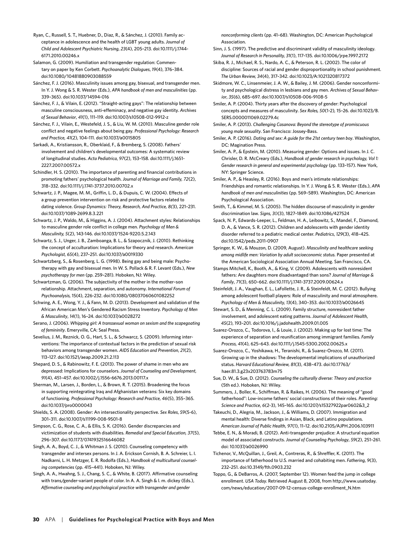Ryan, C., Russell, S. T., Huebner, D., Diaz, R., & Sánchez, J. (2010). Family acceptance in adolescence and the health of LGBT young adults. *Journal of Child and Adolescent Psychiatric Nursing*, *23*(4), 205–213. doi:10.1111/j.1744- 6171.2010.00246.x

Salamon, G. (2009). Humiliation and transgender regulation: Commentary on paper by Ken Corbett. *Psychoanalytic Dialogues*, *19*(4), 376–384. doi:10.1080/10481880903088559

Sánchez, F. J. (2016). Masculinity issues among gay, bisexual, and transgender men. In Y. J. Wong & S. R. Wester (Eds.), *APA handbook of men and masculinities* (pp. 339–365). [doi:10.1037/14594-016](http://psycnet.apa.org/doi/10.1037/14594-016)

Sánchez, F. J., & Vilain, E. (2012). "Straight-acting gays": The relationship between masculine consciousness, anti-effeminacy, and negative gay identity. *Archives of Sexual Behavior*, *41*(1), 111–119. doi:10.1007/s10508-012-9912-z

Sánchez, F. J., Vilain, E., Westefeld, J. S., & Liu, W. M. (2010). Masculine gender role conflict and negative feelings about being gay. *Professional Psychology: Research and Practice, 41*(2), 104–111. doi:10.1037/a0015805

Sarkadi, A., Kristiansson, R., Oberklaid, F., & Bremberg, S. (2008). Fathers' involvement and children's developmental outcomes: A systematic review of longitudinal studies. *Acta Pediatrica*, *97*(2), 153–158. doi:10.1111/j.1651- 2227.2007.00572.x

Schindler, H. S. (2010). The importance of parenting and financial contributions in promoting fathers' psychological health. *Journal of Marriage and Family, 72*(2), 318–332. doi:10.1111/j.1741-3737.2010.00702.x

Schwartz, J. P., Magee, M. M., Griffin, L. D., & Dupuis, C. W. (2004). Effects of a group prevention intervention on risk and protective factors related to dating violence. *Group Dynamics: Theory, Research, And Practice, 8(*3), 221–231. doi:10.1037/1089-2699.8.3.221

Schwartz, J. P., Waldo, M., & Higgins, A. J. (2004). Attachment styles: Relationships to masculine gender role conflict in college men. *Psychology of Men & Masculinity, 5*(2), 143-146. doi:10.1037/1524-9220.5.2.143

Schwartz, S. J., Unger, J. B., Zamboanga, B. L., & Szapocznik, J. (2010). Rethinking the concept of acculturation: Implications for theory and research. *American Psychologist, 65*(4), 237–251. doi:10.1037/a0019330

Schwartzberg, S., & Rosenberg, L. G. (1998). Being gay and being male: Psychotherapy with gay and bisexual men. In W. S. Pollack & R. F. Levant (Eds.), *New psychotherapy for men* (pp. 259–281). Hoboken, NJ: Wiley.

Schwartzman, G. (2006). The subjectivity of the mother in the mother–son relationship. Attachment, separation, and autonomy. *International Forum of Psychoanalysis,* 15(4), 226-232. doi:10.1080/08037060601082252

Schwing, A. E., Wong, Y. J., & Fann, M. D. (2013). Development and validation of the African American Men's Gendered Racism Stress Inventory. *Psychology of Men & Masculinity*, *14*(1), 16–24. doi:10.1037/a0028272

Serano, J. (2006). *Whipping girl: A transsexual woman on sexism and the scapegoating of femininity*. Emeryville, CA: Seal Press.

Sevelius, J. M., Reznick, O. G., Hart, S. L., & Schwarcz, S. (2009). Informing interventions: The importance of contextual factors in the prediction of sexual risk behaviors among transgender women. *AIDS Education and Prevention*, *21*(2), 113–127. doi:10.1521/aeap.2009.21.2.113

Shepard, D. S., & Rabinowitz, F. E. (2013). The power of shame in men who are depressed: Implications for counselors. *Journal of Counseling and Development, 91*(4), 451–457. [doi:10.1002/j.1556-6676.2013.00117.x](http://dx.doi.org/10.1002/j.1556-6676.2013.00117.x)

Sherman, M., Larsen, J., Borden, L., & Brown, R. T. (2015). Broadening the focus in supporting reintegrating Iraq and Afghanistan veterans: Six key domains of functioning. *Professional Psychology: Research and Practice, 46*(5), 355–365. doi:10.1037/pro0000043

Shields, S. A. (2008). Gender: An intersectionality perspective. *Sex Roles*, *59*(5-6), 301–311. doi:10.1007/s11199-008-9501-8

Simpson, C. G., Rose, C. A., & Ellis, S. K. (2016). Gender discrepancies and victimization of students with disabilities. *Remedial and Special Education, 37*(5), 296–307. doi:10.1177/0741932516646082

Singh, A. A., Boyd, C. J., & Whitman J. S. (2010). Counseling competency with transgender and intersex persons. In J. A. Erickson Cornish, B. A. Schreier, L. I. Nadkarni, L. H. Metzger, E. R. Rodolfa (Eds.), *Handbook of multicultural counseling competencies* (pp. 415–441)*.* Hoboken, NJ: Wiley.

Singh, A. A., Hwahng, S. J., Chang, S. C., & White, B. (2017). Affirmative counseling with trans/gender-variant people of color. In A. A. Singh & l. m. dickey (Eds.), *Affirmative counseling and psychological practice with transgender and gender* 

*nonconforming clients* (pp. 41–68). Washington, DC: American Psychological Association.

Sinn, J. S. (1997). The predictive and discriminant validity of masculinity ideology. *Journal of Research in Personality, 31*(1), 117–135. doi:10.1006/jrpe.1997.2172

Skiba, R. J., Michael, R. S., Nardo, A. C., & Peterson, R. L. (2002). The color of discipline: Sources of racial and gender disproportionality in school punishment. *The Urban Review, 34*(4), 317–342. doi:10.1023/A:1021320817372

Skidmore, W. C., Linsenmeier, J. A. W., & Bailey, J. M. (2006). Gender nonconformity and psychological distress in lesbians and gay men. *Archives of Sexual Behavior*, *35*(6), 685–697. doi:10.1007/s10508-006-9108-5

Smiler, A. P. (2004). Thirty years after the discovery of gender: Psychological concepts and measures of masculinity. *Sex Roles, 50*(1-2)*,* 15–26. doi:10.1023/B. SERS.0000011069.02279.4c

Smiler, A. P. (2013). *Challenging Casanova: Beyond the stereotype of promiscuous young male sexuality*. San Francisco: Jossey-Bass.

Smiler, A. P. (2016). *Dating and sex: A guide for the 21st century teen boy*. Washington, DC: Magination Press.

Smiler, A. P., & Epstein, M. (2010). Measuring gender: Options and issues. In J. C. Chrisler, D. R. McCreary (Eds.), *Handbook of gender research in psychology, Vol 1: Gender research in general and experimental psychology* (pp. 133–157). New York, NY: Springer Science.

Smiler, A. P., & Heasley, R. (2016). Boys and men's intimate relationships: Friendships and romantic relationships. In Y. J. Wong & S. R. Wester (Eds.), *APA handbook of men and masculinities* (pp. 569–589). Washington, DC: American Psychological Association.

Smith, T., & Kimmel, M. S. (2005). The hidden discourse of masculinity in gender discrimination law. *Signs, 30*(3), 1827–1849. doi:10.1086/427524

Spack, N. P., Edwards-Leeper, L., Feldman, H. A., Leibowitz, S., Mandel, F., Diamond, D. A., & Vance, S. R. (2012). Children and adolescents with gender identity disorder referred to a pediatric medical center. *Pediatrics*, *129*(3), 418–425. doi:10.1542/peds.2011-0907

Springer, K. W., & Mouzon, D. (2009, August). *Masculinity and healthcare seeking among midlife men: Variation by adult socioeconomic status.* Paper presented at the American Sociological Association Annual Meeting. San Francisco, CA.

Stamps Mitchell, K., Booth, A., & King, V. (2009). Adolescents with nonresident fathers: Are daughters more disadvantaged than sons? *Journal of Marriage & Family*, *71*(3), 650–662. doi:10.1111/j.1741-3737.2009.00624.x

Steinfeldt, J. A., Vaughan, E. L., LaFollette, J. R., & Steinfeldt, M. C. (2012). Bullying among adolescent football players: Role of masculinity and moral atmosphere. *Psychology of Men & Masculinity, 13*(4), 340–353. doi:10.1037/a0026645

Stewart, S. D., & Menning, C. L. (2009). Family structure, nonresident father involvement, and adolescent eating patterns. *Journal of Adolescent Health*, *45*(2), 193–201. doi:10.1016/j.jadohealth.2009.01.005

Suarez-Orozco, C., Todorova, I., & Louie, J. (2002). Making up for lost time: The experience of separation and reunification among immigrant families. *Family Process, 41*(4), 625–643. doi:10.1111/j.1545-5300.2002.00625.x

Suarez-Orozco, C., Yoshikawa, H., Teranishi, R., & Suarez-Orozco, M. (2011). Growing up in the shadows: The developmental implications of unauthorized status. *Harvard Educational Review, 81*(3), 438–473. doi:10.17763/ haer.81.3.g23x203763783m75

Sue, D. W., & Sue, D. (2012). *Counseling the culturally diverse: Theory and practice*  (5th ed.). Hoboken, NJ: Wiley.

Summers, J., Boller, K., Schiffman, R. & Raikes, H. (2006). The meaning of "good fatherhood": Low-income fathers' social constructions of their roles. *Parenting: Science and Practice*, *6*(2-3), 145–165. doi:10.1207/s15327922par0602&3\_2

Takeuchi, D., Alegria, M., Jackson, J., & Williams, D. (2007). Immigration and mental health: Diverse findings in Asian, Black, and Latino populations. *American Journal of Public Health*, *97*(1), 11–12. doi:10.2105/AJPH.2006.103911

Tebbe, E. N., & Moradi, B. (2012). Anti-transgender prejudice: A structural equation model of associated constructs. *Journal of Counseling Psychology*, *59*(2), 251–261. doi: 10.1037/a0026990

Tichenor, V., McQuillan, J., Greil, A., Contreras, R., & Shreffler, K. (2011). The importance of fatherhood to U.S. married and cohabiting men. *Fathering*, *9*(3), 232–251. doi:10.3149/fth.0903.232

Toppo, G., & DeBarros, A. (2007, September 12). Women feed the jump in college enrollment. *USA Today.* Retrieved August 8, 2008, from http://www.usatoday. com/news/education/2007-09-12-census-college-enrollment\_N.htm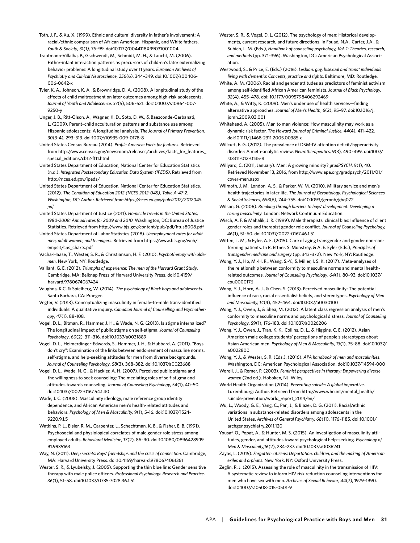Toth, J. F., & Xu, X. (1999). Ethnic and cultural diversity in father's involvement: A racial/ethnic comparison of African American, Hispanic, and White fathers. *Youth & Society*, *31(1)*, 76–99. doi:10.1177/0044118X99031001004

Trautmann-Villalba, P., Gschwendt, M., Schmidt, M. H., & Laucht, M. (2006). Father-infant interaction patterns as precursors of children's later externalizing behavior problems: A longitudinal study over 11 years. *European Archives of Psychiatry and Clinical Neuroscience*, *256*(6), 344–349. doi:10.1007/s00406- 006-0642-x

Tyler, K. A., Johnson, K. A., & Brownridge, D. A. (2008). A longitudinal study of the effects of child maltreatment on later outcomes among high-risk adolescents. *Journal of Youth and Adolescence, 37*(5), 506–521. doi:10.1007/s10964-007- 9250-y

Unger, J. B., Ritt-Olson, A., Wagner, K. D., Soto, D. W., & Baezconde-Garbanati, L. (2009). Parent–child acculturation patterns and substance use among Hispanic adolescents: A longitudinal analysis. *The Journal of Primary Prevention, 30*(3-4), 293–313. doi:1007/s10935-009-0178-8

United States Census Bureau (2014). *Profile America: Facts for features*. Retrieved from http://www.census.gov/newsroom/releases/archives/facts\_for\_features\_ special\_editions/cb12-ff11.html

United States Department of Education, National Center for Education Statistics (n.d.). *Integrated Postsecondary Education Data System (IPEDS)*. Retrieved from http://nces.ed.gov/ipeds/

United States Department of Education, National Center for Education Statistics. (2012). *[The Condition of Education 2012](https://nces.ed.gov/pubsearch/pubsinfo.asp?pubid=2012045) (NCES 2012-045), Table A-47-2. Washington, DC: Author. Retrieved from https://nces.ed.gov/pubs2012/2012045. pdf*

United States Department of Justice (2011). *Homicide trends in the United States, 1980-2008: Annual rates for 2009 and 2010.* Washington, DC: Bureau of Justice Statistics. Retrieved from<http://www.bjs.gov/content/pub/pdf/htus8008.pdf>

United States Department of Labor Statistics (2018). *Unemployment rates for adult men, adult women, and teenagers*. Retrieved from https://www.bls.gov/web/ empsit/cps\_charts.pdf

Vacha-Haase, T., Wester, S. R., & Christianson, H. F. (2010). *Psychotherapy with older men*. New York, NY: Routledge.

Vaillant, G. E. (2012). *Triumphs of experience: The men of the Harvard Grant Study*. Cambridge, MA: Belknap Press of Harvard University Press. doi:10.4159/ harvard.9780674067424

Vaughns, K.C. & Spielberg, W. (2014). *The psychology of Black boys and adolescents*. Santa Barbara, CA: Praeger.

Vegter, V. (2013). Conceptualizing masculinity in female-to-male trans-identified individuals: A qualitative inquiry. *Canadian Journal of Counselling and Psychotherapy*, *47*(1), 88–108.

Vogel, D. L., Bitman, R., Hammer, J. H., & Wade, N. G. (2013). Is stigma internalized? The longitudinal impact of public stigma on self-stigma. *Journal of Counseling Psychology*, *60*(2), 311–316. doi:10.1037/a0031889

Vogel, D. L., Heimerdinger-Edwards, S., Hammer, J. H., & Hubbard, A. (2011). "Boys don't cry": Examination of the links between endorsement of masculine norms, self-stigma, and help-seeking attitudes for men from diverse backgrounds. *Journal of Counseling Psychology*, *58*(3), 368–382. doi:10.1037/a0023688

Vogel, D. L., Wade, N. G., & Hackler, A. H. (2007). Perceived public stigma and the willingness to seek counseling: The mediating roles of self-stigma and attitudes towards counseling. *Journal of Counseling Psychology*, *54*(1), 40–50. doi:10.1037/0022-0167.54.1.40

Wade, J. C. (2008). Masculinity ideology, male reference group identity dependence, and African American men's health-related attitudes and behaviors. *Psychology of Men & Masculinity, 9*(1), 5–16. doi:10.1037/1524- 9220.915

Watkins, P. L., Eisler, R. M., Carpenter, L., Schechtman, K. B., & Fisher, E. B. (1991). Psychosocial and physiological correlates of male gender role stress among employed adults. *Behavioral Medicine, 17*(2), 86–90. doi:10.1080/08964289.19 91.9935163

Way, N. (2011). *Deep secrets: Boys' friendships and the crisis of connection*. Cambridge, MA: Harvard University Press. doi:10.4159/harvard.9780674061361

Wester, S. R., & Lyubelsky, J. (2005). Supporting the thin blue line: Gender sensitive therapy with male police officers. *Professional Psychology: Research and Practice, 36*(1), 51–58. doi:10.1037/0735-7028.36.1.51

Wester, S. R., & Vogel, D. L. (2012). The psychology of men: Historical developments, current research, and future directions. In Fouad, N.A., Carter, J.A., & Subich, L. M. (Eds.), *Handbook of counseling psychology, Vol. 1: Theories, research, and methods* (pp. 371–396). Washington, DC: American Psychological Association.

Westwood, S., & Price, E. (Eds.) (2016). *Lesbian, gay, bisexual and trans\* individuals living with dementia: Concepts, practice and rights*. Baltimore, MD: Routledge.

White, A. M. (2006). Racial and gender attitudes as predictors of feminist activism among self-identified African American feminists. *Journal of Black Psychology, 32*(4), 455–478. doi: 10.1177/0095798406292469

White, A., & Witty, K. (2009). Men's under use of health services—finding alternative approaches. *Journal of Men's Health*, *6*(2), 95–97. doi:10.1016/j. jomh.2009.03.001

Whitehead, A. (2005). Man to man violence: How masculinity may work as a dynamic risk factor. *The Howard Journal of Criminal Justice*, *44*(4), 411–422. doi:10.1111/j.1468-2311.2005.00385.x

Willcutt, E. G. (2012)*.* The prevalence of DSM-IV attention deficit/hyperactivity disorder: A meta-analytic review*. Neurotherapeutics, 9*(3)*,* 490*–*499*.* doi:1007/ s13311-012-0135-8

Willyard, C. (2011, January). Men: A growing minority? *gradPSYCH*, 9(1), 40*.* Retrieved November 13, 2016, from http://www.apa.org/gradpsych/2011/01/ cover-men.aspx

Wilmoth, J. M., London, A. S., & Parker, W. M. (2010). Military service and men's health trajectories in later life. *The Journal of Gerontology, Psychological Sciences & Social Sciences, 65B*(6), 744–755. doi:10.1093/geronb/gbq072

Wilson, G. (2006). *Breaking through barriers to boys' development: Developing a caring masculinity.* London: Network Continuum Education.

Wisch, A. F. & Mahalik, J. R. (1999). Male therapists' clinical bias: Influence of client gender roles and therapist gender role conflict*. Journal of Counseling Psychology, 46*(1), 51–60. doi:10.1037/0022-0167.46.1.51

Witten, T. M., & Eyler, A. E. (2015). Care of aging transgender and gender non-conforming patients. In R. Ettner, S. Monstrey, & A. E. Eyler (Eds.), *Principles of transgender medicine and surgery* (pp. 343–372). New York, NY: Routledge.

Wong, Y. J., Ho, M.-H. R., Wang, S.-Y., & Miller, I. S. K. (2017). Meta-analyses of the relationship between conformity to masculine norms and mental healthrelated outcomes. *Journal of Counseling Psychology*, *64*(1), 80–93. doi:10.1037/ cou0000176

Wong, Y. J., Horn, A. J., & Chen, S. (2013). Perceived masculinity: The potential influence of race, racial essentialist beliefs, and stereotypes. *Psychology of Men and Masculinity, 14*(4)*,* 452–464. doi:10.1037/a0030100

Wong, Y. J., Owen, J., & Shea, M. (2012). A latent class regression analysis of men's conformity to masculine norms and psychological distress. *Journal of Counseling Psychology*, *59*(1), 176–183. doi:10.1037/a0026206

Wong, Y. J., Owen, J., Tran, K. K., Collins, D. L., & Higgins, C. E. (2012). Asian American male college students' perceptions of people's stereotypes about Asian American men. *Psychology of Men & Masculinity, 13*(1), 75–88. doi:10.1037/ a0022800

Wong, Y. J., & Wester, S. R. (Eds.). (2016). *APA handbook of men and masculinities*. Washington, DC: American Psychological Association. doi:10.1037/14594-000

Worell, J., & Remer, P. (2003). *Feminist perspectives in therapy: Empowering diverse women* (2nd ed.). Hoboken, NJ: Wiley.

World Health Organization (2014). *Preventing suicide: A global imperative.* Luxembourg: Author. Retrieved from http://www.who.int/mental\_health/ suicide-prevention/world\_report\_2014/en/

Wu, L., Woody, G. E., Yang, C., Pan, J., & Blazer, D. G. (2011). Racial/ethnic variations in substance-related disorders among adolescents in the United States. *Archives of General Psychiatry, 68*(11), 1176–1185. doi:10.1001/ archgenpsychiatry.2011.120

Yousaf, O., Popat, A., & Hunter, M. S. (2015). An investigation of masculinity attitudes, gender, and attitudes toward psychological help-seeking. *Psychology of Men & Masculinity,16*(2), 234–237. [doi:10.1037/a0036241](https://doi.org/10.1037/a0036241)

Zayas, L. (2015). *Forgotten citizens: Deportation, children, and the making of American exiles and orphans*. New York, NY: Oxford University Press.

Zeglin, R. J. (2015). Assessing the role of masculinity in the transmission of HIV: A systematic review to inform HIV risk reduction counseling interventions for men who have sex with men. *Archives of Sexual Behavior*, *44*(7), 1979–1990. doi:10.1007/s10508-015-0501-9